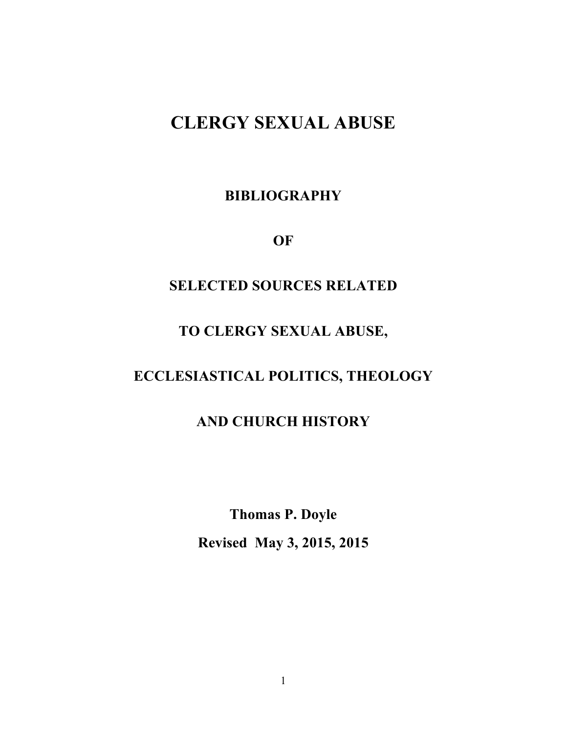# **CLERGY SEXUAL ABUSE**

**BIBLIOGRAPHY**

**OF**

### **SELECTED SOURCES RELATED**

### **TO CLERGY SEXUAL ABUSE,**

## **ECCLESIASTICAL POLITICS, THEOLOGY**

### **AND CHURCH HISTORY**

**Thomas P. Doyle Revised May 3, 2015, 2015**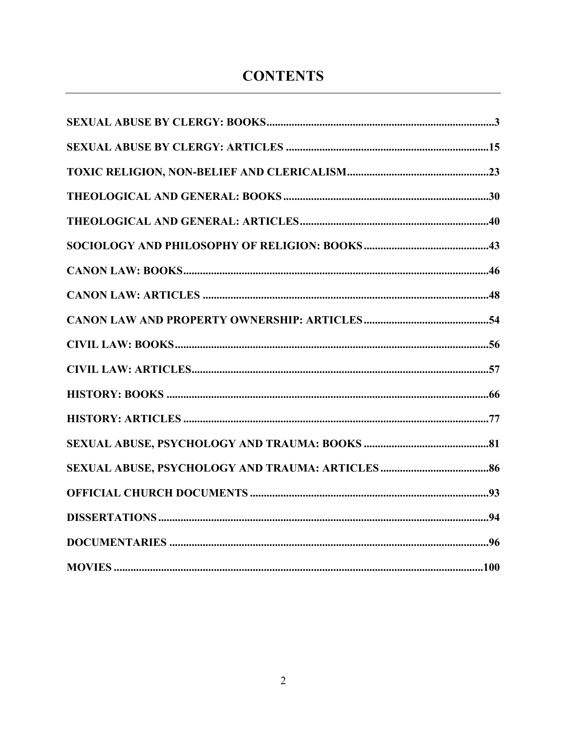## **CONTENTS**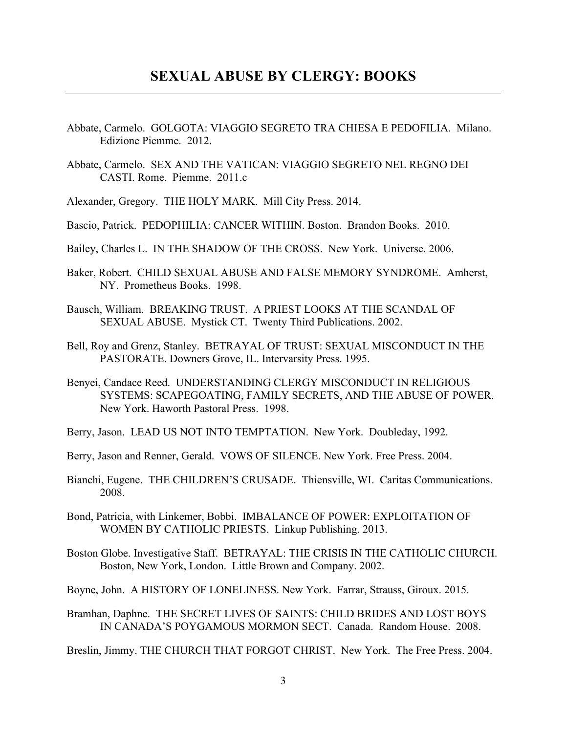- Abbate, Carmelo. GOLGOTA: VIAGGIO SEGRETO TRA CHIESA E PEDOFILIA. Milano. Edizione Piemme. 2012.
- Abbate, Carmelo. SEX AND THE VATICAN: VIAGGIO SEGRETO NEL REGNO DEI CASTI. Rome. Piemme. 2011.c
- Alexander, Gregory. THE HOLY MARK. Mill City Press. 2014.
- Bascio, Patrick. PEDOPHILIA: CANCER WITHIN. Boston. Brandon Books. 2010.
- Bailey, Charles L. IN THE SHADOW OF THE CROSS. New York. Universe. 2006.
- Baker, Robert. CHILD SEXUAL ABUSE AND FALSE MEMORY SYNDROME. Amherst, NY. Prometheus Books. 1998.
- Bausch, William. BREAKING TRUST. A PRIEST LOOKS AT THE SCANDAL OF SEXUAL ABUSE. Mystick CT. Twenty Third Publications. 2002.
- Bell, Roy and Grenz, Stanley. BETRAYAL OF TRUST: SEXUAL MISCONDUCT IN THE PASTORATE. Downers Grove, IL. Intervarsity Press. 1995.
- Benyei, Candace Reed. UNDERSTANDING CLERGY MISCONDUCT IN RELIGIOUS SYSTEMS: SCAPEGOATING, FAMILY SECRETS, AND THE ABUSE OF POWER. New York. Haworth Pastoral Press. 1998.
- Berry, Jason. LEAD US NOT INTO TEMPTATION. New York. Doubleday, 1992.
- Berry, Jason and Renner, Gerald. VOWS OF SILENCE. New York. Free Press. 2004.
- Bianchi, Eugene. THE CHILDREN'S CRUSADE. Thiensville, WI. Caritas Communications. 2008.
- Bond, Patricia, with Linkemer, Bobbi. IMBALANCE OF POWER: EXPLOITATION OF WOMEN BY CATHOLIC PRIESTS. Linkup Publishing. 2013.
- Boston Globe. Investigative Staff. BETRAYAL: THE CRISIS IN THE CATHOLIC CHURCH. Boston, New York, London. Little Brown and Company. 2002.
- Boyne, John. A HISTORY OF LONELINESS. New York. Farrar, Strauss, Giroux. 2015.
- Bramhan, Daphne. THE SECRET LIVES OF SAINTS: CHILD BRIDES AND LOST BOYS IN CANADA'S POYGAMOUS MORMON SECT. Canada. Random House. 2008.

Breslin, Jimmy. THE CHURCH THAT FORGOT CHRIST. New York. The Free Press. 2004.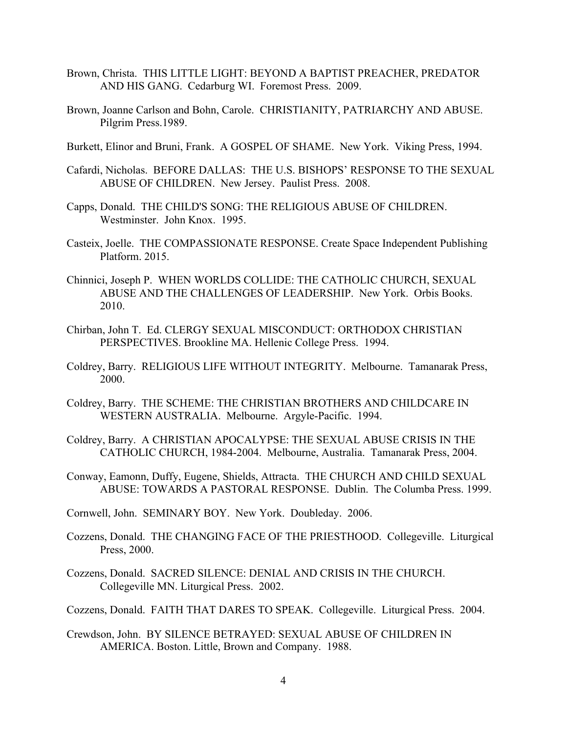- Brown, Christa. THIS LITTLE LIGHT: BEYOND A BAPTIST PREACHER, PREDATOR AND HIS GANG. Cedarburg WI. Foremost Press. 2009.
- Brown, Joanne Carlson and Bohn, Carole. CHRISTIANITY, PATRIARCHY AND ABUSE. Pilgrim Press.1989.
- Burkett, Elinor and Bruni, Frank. A GOSPEL OF SHAME. New York. Viking Press, 1994.
- Cafardi, Nicholas. BEFORE DALLAS: THE U.S. BISHOPS' RESPONSE TO THE SEXUAL ABUSE OF CHILDREN. New Jersey. Paulist Press. 2008.
- Capps, Donald. THE CHILD'S SONG: THE RELIGIOUS ABUSE OF CHILDREN. Westminster. John Knox. 1995.
- Casteix, Joelle. THE COMPASSIONATE RESPONSE. Create Space Independent Publishing Platform. 2015.
- Chinnici, Joseph P. WHEN WORLDS COLLIDE: THE CATHOLIC CHURCH, SEXUAL ABUSE AND THE CHALLENGES OF LEADERSHIP. New York. Orbis Books. 2010.
- Chirban, John T. Ed. CLERGY SEXUAL MISCONDUCT: ORTHODOX CHRISTIAN PERSPECTIVES. Brookline MA. Hellenic College Press. 1994.
- Coldrey, Barry. RELIGIOUS LIFE WITHOUT INTEGRITY. Melbourne. Tamanarak Press, 2000.
- Coldrey, Barry. THE SCHEME: THE CHRISTIAN BROTHERS AND CHILDCARE IN WESTERN AUSTRALIA. Melbourne. Argyle-Pacific. 1994.
- Coldrey, Barry. A CHRISTIAN APOCALYPSE: THE SEXUAL ABUSE CRISIS IN THE CATHOLIC CHURCH, 1984-2004. Melbourne, Australia. Tamanarak Press, 2004.
- Conway, Eamonn, Duffy, Eugene, Shields, Attracta. THE CHURCH AND CHILD SEXUAL ABUSE: TOWARDS A PASTORAL RESPONSE. Dublin. The Columba Press. 1999.
- Cornwell, John. SEMINARY BOY. New York. Doubleday. 2006.
- Cozzens, Donald. THE CHANGING FACE OF THE PRIESTHOOD. Collegeville. Liturgical Press, 2000.
- Cozzens, Donald. SACRED SILENCE: DENIAL AND CRISIS IN THE CHURCH. Collegeville MN. Liturgical Press. 2002.
- Cozzens, Donald. FAITH THAT DARES TO SPEAK. Collegeville. Liturgical Press. 2004.
- Crewdson, John. BY SILENCE BETRAYED: SEXUAL ABUSE OF CHILDREN IN AMERICA. Boston. Little, Brown and Company. 1988.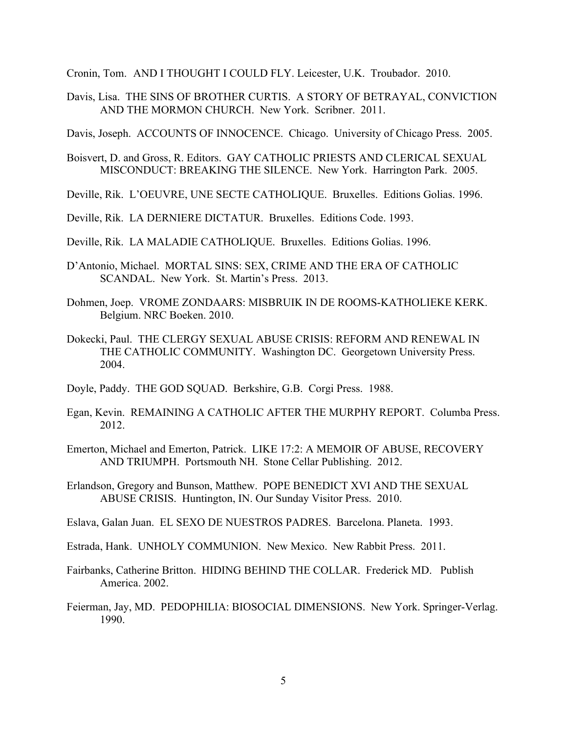Cronin, Tom. AND I THOUGHT I COULD FLY. Leicester, U.K. Troubador. 2010.

Davis, Lisa. THE SINS OF BROTHER CURTIS. A STORY OF BETRAYAL, CONVICTION AND THE MORMON CHURCH. New York. Scribner. 2011.

Davis, Joseph. ACCOUNTS OF INNOCENCE. Chicago. University of Chicago Press. 2005.

- Boisvert, D. and Gross, R. Editors. GAY CATHOLIC PRIESTS AND CLERICAL SEXUAL MISCONDUCT: BREAKING THE SILENCE. New York. Harrington Park. 2005.
- Deville, Rik. L'OEUVRE, UNE SECTE CATHOLIQUE. Bruxelles. Editions Golias. 1996.
- Deville, Rik. LA DERNIERE DICTATUR. Bruxelles. Editions Code. 1993.
- Deville, Rik. LA MALADIE CATHOLIQUE. Bruxelles. Editions Golias. 1996.
- D'Antonio, Michael. MORTAL SINS: SEX, CRIME AND THE ERA OF CATHOLIC SCANDAL. New York. St. Martin's Press. 2013.
- Dohmen, Joep. VROME ZONDAARS: MISBRUIK IN DE ROOMS-KATHOLIEKE KERK. Belgium. NRC Boeken. 2010.
- Dokecki, Paul. THE CLERGY SEXUAL ABUSE CRISIS: REFORM AND RENEWAL IN THE CATHOLIC COMMUNITY. Washington DC. Georgetown University Press. 2004.
- Doyle, Paddy. THE GOD SQUAD. Berkshire, G.B. Corgi Press. 1988.
- Egan, Kevin. REMAINING A CATHOLIC AFTER THE MURPHY REPORT. Columba Press. 2012.
- Emerton, Michael and Emerton, Patrick. LIKE 17:2: A MEMOIR OF ABUSE, RECOVERY AND TRIUMPH. Portsmouth NH. Stone Cellar Publishing. 2012.
- Erlandson, Gregory and Bunson, Matthew. POPE BENEDICT XVI AND THE SEXUAL ABUSE CRISIS. Huntington, IN. Our Sunday Visitor Press. 2010.
- Eslava, Galan Juan. EL SEXO DE NUESTROS PADRES. Barcelona. Planeta. 1993.
- Estrada, Hank. UNHOLY COMMUNION. New Mexico. New Rabbit Press. 2011.
- Fairbanks, Catherine Britton. HIDING BEHIND THE COLLAR. Frederick MD. Publish America. 2002.
- Feierman, Jay, MD. PEDOPHILIA: BIOSOCIAL DIMENSIONS. New York. Springer-Verlag. 1990.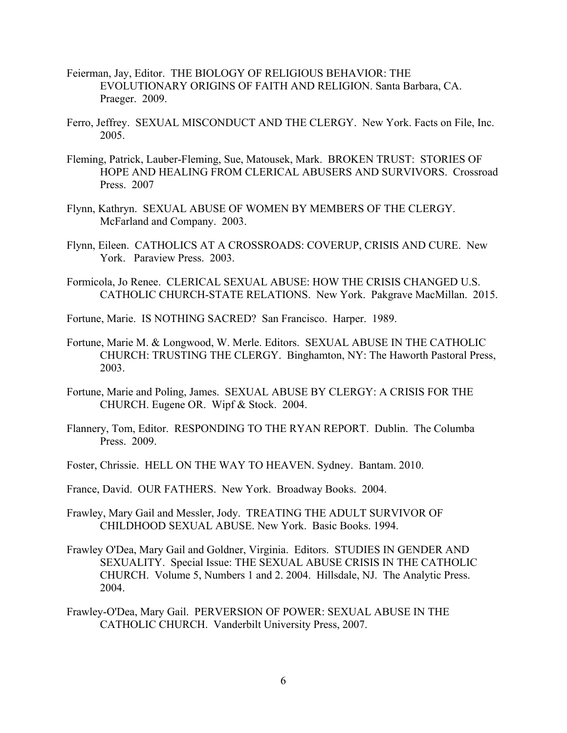- Feierman, Jay, Editor. THE BIOLOGY OF RELIGIOUS BEHAVIOR: THE EVOLUTIONARY ORIGINS OF FAITH AND RELIGION. Santa Barbara, CA. Praeger. 2009.
- Ferro, Jeffrey. SEXUAL MISCONDUCT AND THE CLERGY. New York. Facts on File, Inc. 2005.
- Fleming, Patrick, Lauber-Fleming, Sue, Matousek, Mark. BROKEN TRUST: STORIES OF HOPE AND HEALING FROM CLERICAL ABUSERS AND SURVIVORS. Crossroad Press. 2007
- Flynn, Kathryn. SEXUAL ABUSE OF WOMEN BY MEMBERS OF THE CLERGY. McFarland and Company. 2003.
- Flynn, Eileen. CATHOLICS AT A CROSSROADS: COVERUP, CRISIS AND CURE. New York. Paraview Press. 2003.
- Formicola, Jo Renee. CLERICAL SEXUAL ABUSE: HOW THE CRISIS CHANGED U.S. CATHOLIC CHURCH-STATE RELATIONS. New York. Pakgrave MacMillan. 2015.

Fortune, Marie. IS NOTHING SACRED? San Francisco. Harper. 1989.

- Fortune, Marie M. & Longwood, W. Merle. Editors. SEXUAL ABUSE IN THE CATHOLIC CHURCH: TRUSTING THE CLERGY. Binghamton, NY: The Haworth Pastoral Press, 2003.
- Fortune, Marie and Poling, James. SEXUAL ABUSE BY CLERGY: A CRISIS FOR THE CHURCH. Eugene OR. Wipf & Stock. 2004.
- Flannery, Tom, Editor. RESPONDING TO THE RYAN REPORT. Dublin. The Columba Press. 2009.
- Foster, Chrissie. HELL ON THE WAY TO HEAVEN. Sydney. Bantam. 2010.
- France, David. OUR FATHERS. New York. Broadway Books. 2004.
- Frawley, Mary Gail and Messler, Jody. TREATING THE ADULT SURVIVOR OF CHILDHOOD SEXUAL ABUSE. New York. Basic Books. 1994.
- Frawley O'Dea, Mary Gail and Goldner, Virginia. Editors. STUDIES IN GENDER AND SEXUALITY. Special Issue: THE SEXUAL ABUSE CRISIS IN THE CATHOLIC CHURCH. Volume 5, Numbers 1 and 2. 2004. Hillsdale, NJ. The Analytic Press. 2004.
- Frawley-O'Dea, Mary Gail. PERVERSION OF POWER: SEXUAL ABUSE IN THE CATHOLIC CHURCH. Vanderbilt University Press, 2007.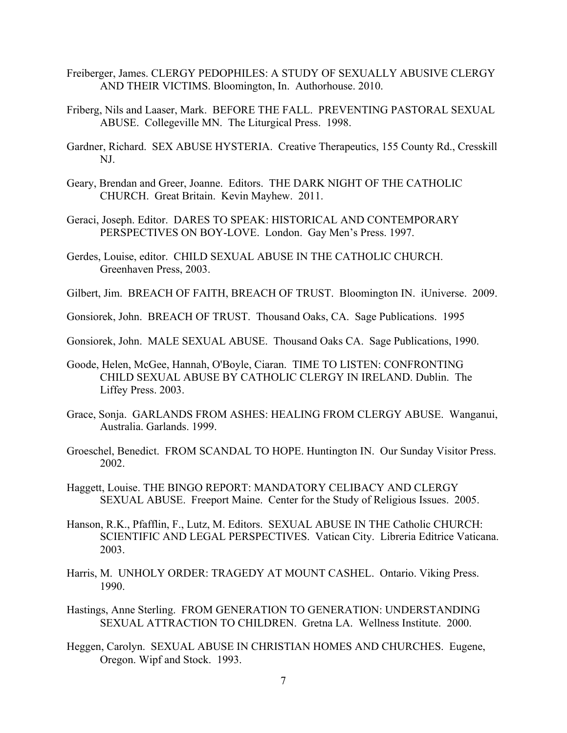- Freiberger, James. CLERGY PEDOPHILES: A STUDY OF SEXUALLY ABUSIVE CLERGY AND THEIR VICTIMS. Bloomington, In. Authorhouse. 2010.
- Friberg, Nils and Laaser, Mark. BEFORE THE FALL. PREVENTING PASTORAL SEXUAL ABUSE. Collegeville MN. The Liturgical Press. 1998.
- Gardner, Richard. SEX ABUSE HYSTERIA. Creative Therapeutics, 155 County Rd., Cresskill NJ.
- Geary, Brendan and Greer, Joanne. Editors. THE DARK NIGHT OF THE CATHOLIC CHURCH. Great Britain. Kevin Mayhew. 2011.
- Geraci, Joseph. Editor. DARES TO SPEAK: HISTORICAL AND CONTEMPORARY PERSPECTIVES ON BOY-LOVE. London. Gay Men's Press. 1997.
- Gerdes, Louise, editor. CHILD SEXUAL ABUSE IN THE CATHOLIC CHURCH. Greenhaven Press, 2003.
- Gilbert, Jim. BREACH OF FAITH, BREACH OF TRUST. Bloomington IN. iUniverse. 2009.
- Gonsiorek, John. BREACH OF TRUST. Thousand Oaks, CA. Sage Publications. 1995
- Gonsiorek, John. MALE SEXUAL ABUSE. Thousand Oaks CA. Sage Publications, 1990.
- Goode, Helen, McGee, Hannah, O'Boyle, Ciaran. TIME TO LISTEN: CONFRONTING CHILD SEXUAL ABUSE BY CATHOLIC CLERGY IN IRELAND. Dublin. The Liffey Press. 2003.
- Grace, Sonja. GARLANDS FROM ASHES: HEALING FROM CLERGY ABUSE. Wanganui, Australia. Garlands. 1999.
- Groeschel, Benedict. FROM SCANDAL TO HOPE. Huntington IN. Our Sunday Visitor Press. 2002.
- Haggett, Louise. THE BINGO REPORT: MANDATORY CELIBACY AND CLERGY SEXUAL ABUSE. Freeport Maine. Center for the Study of Religious Issues. 2005.
- Hanson, R.K., Pfafflin, F., Lutz, M. Editors. SEXUAL ABUSE IN THE Catholic CHURCH: SCIENTIFIC AND LEGAL PERSPECTIVES. Vatican City. Libreria Editrice Vaticana. 2003.
- Harris, M. UNHOLY ORDER: TRAGEDY AT MOUNT CASHEL. Ontario. Viking Press. 1990.
- Hastings, Anne Sterling. FROM GENERATION TO GENERATION: UNDERSTANDING SEXUAL ATTRACTION TO CHILDREN. Gretna LA. Wellness Institute. 2000.
- Heggen, Carolyn. SEXUAL ABUSE IN CHRISTIAN HOMES AND CHURCHES. Eugene, Oregon. Wipf and Stock. 1993.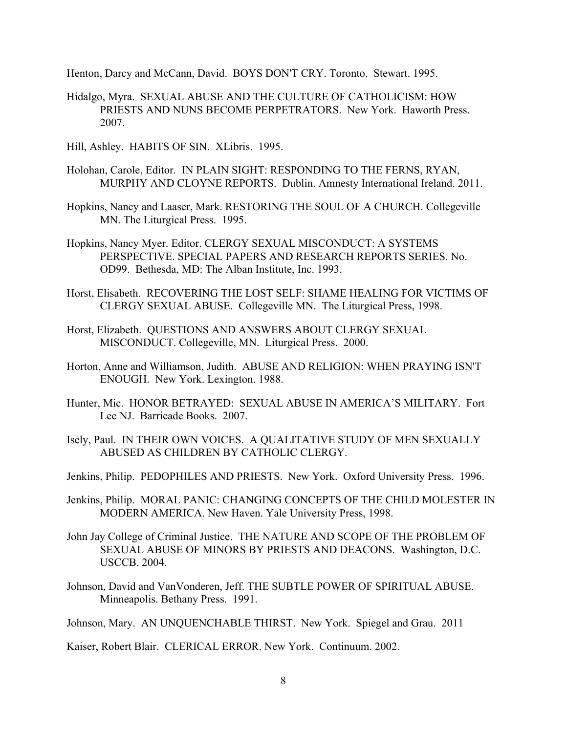Henton, Darcy and McCann, David. BOYS DON'T CRY. Toronto. Stewart. 1995.

- Hidalgo, Myra. SEXUAL ABUSE AND THE CULTURE OF CATHOLICISM: HOW PRIESTS AND NUNS BECOME PERPETRATORS. New York. Haworth Press. 2007.
- Hill, Ashley. HABITS OF SIN. XLibris. 1995.
- Holohan, Carole, Editor. IN PLAIN SIGHT: RESPONDING TO THE FERNS, RYAN, MURPHY AND CLOYNE REPORTS. Dublin. Amnesty International Ireland. 2011.
- Hopkins, Nancy and Laaser, Mark. RESTORING THE SOUL OF A CHURCH. Collegeville MN. The Liturgical Press. 1995.
- Hopkins, Nancy Myer. Editor. CLERGY SEXUAL MISCONDUCT: A SYSTEMS PERSPECTIVE. SPECIAL PAPERS AND RESEARCH REPORTS SERIES. No. OD99. Bethesda, MD: The Alban Institute, Inc. 1993.
- Horst, Elisabeth. RECOVERING THE LOST SELF: SHAME HEALING FOR VICTIMS OF CLERGY SEXUAL ABUSE. Collegeville MN. The Liturgical Press, 1998.
- Horst, Elizabeth. QUESTIONS AND ANSWERS ABOUT CLERGY SEXUAL MISCONDUCT. Collegeville, MN. Liturgical Press. 2000.
- Horton, Anne and Williamson, Judith. ABUSE AND RELIGION: WHEN PRAYING ISN'T ENOUGH. New York. Lexington. 1988.
- Hunter, Mic. HONOR BETRAYED: SEXUAL ABUSE IN AMERICA'S MILITARY. Fort Lee NJ. Barricade Books. 2007.
- Isely, Paul. IN THEIR OWN VOICES. A QUALITATIVE STUDY OF MEN SEXUALLY ABUSED AS CHILDREN BY CATHOLIC CLERGY.
- Jenkins, Philip. PEDOPHILES AND PRIESTS. New York. Oxford University Press. 1996.
- Jenkins, Philip. MORAL PANIC: CHANGING CONCEPTS OF THE CHILD MOLESTER IN MODERN AMERICA. New Haven. Yale University Press, 1998.
- John Jay College of Criminal Justice. THE NATURE AND SCOPE OF THE PROBLEM OF SEXUAL ABUSE OF MINORS BY PRIESTS AND DEACONS. Washington, D.C. USCCB. 2004.
- Johnson, David and VanVonderen, Jeff. THE SUBTLE POWER OF SPIRITUAL ABUSE. Minneapolis. Bethany Press. 1991.

Johnson, Mary. AN UNQUENCHABLE THIRST. New York. Spiegel and Grau. 2011

Kaiser, Robert Blair. CLERICAL ERROR. New York. Continuum. 2002.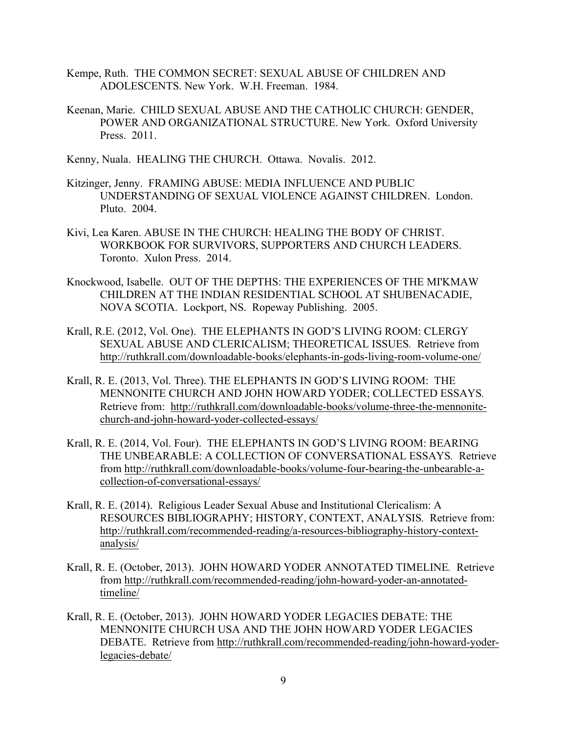- Kempe, Ruth. THE COMMON SECRET: SEXUAL ABUSE OF CHILDREN AND ADOLESCENTS. New York. W.H. Freeman. 1984.
- Keenan, Marie. CHILD SEXUAL ABUSE AND THE CATHOLIC CHURCH: GENDER, POWER AND ORGANIZATIONAL STRUCTURE. New York. Oxford University Press. 2011.
- Kenny, Nuala. HEALING THE CHURCH. Ottawa. Novalis. 2012.
- Kitzinger, Jenny. FRAMING ABUSE: MEDIA INFLUENCE AND PUBLIC UNDERSTANDING OF SEXUAL VIOLENCE AGAINST CHILDREN. London. Pluto. 2004.
- Kivi, Lea Karen. ABUSE IN THE CHURCH: HEALING THE BODY OF CHRIST. WORKBOOK FOR SURVIVORS, SUPPORTERS AND CHURCH LEADERS. Toronto. Xulon Press. 2014.
- Knockwood, Isabelle. OUT OF THE DEPTHS: THE EXPERIENCES OF THE MI'KMAW CHILDREN AT THE INDIAN RESIDENTIAL SCHOOL AT SHUBENACADIE, NOVA SCOTIA. Lockport, NS. Ropeway Publishing. 2005.
- Krall, R.E. (2012, Vol. One). THE ELEPHANTS IN GOD'S LIVING ROOM: CLERGY SEXUAL ABUSE AND CLERICALISM; THEORETICAL ISSUES*.* Retrieve from http://ruthkrall.com/downloadable-books/elephants-in-gods-living-room-volume-one/
- Krall, R. E. (2013, Vol. Three). THE ELEPHANTS IN GOD'S LIVING ROOM: THE MENNONITE CHURCH AND JOHN HOWARD YODER; COLLECTED ESSAYS*.*  Retrieve from: http://ruthkrall.com/downloadable-books/volume-three-the-mennonitechurch-and-john-howard-yoder-collected-essays/
- Krall, R. E. (2014, Vol. Four). THE ELEPHANTS IN GOD'S LIVING ROOM: BEARING THE UNBEARABLE: A COLLECTION OF CONVERSATIONAL ESSAYS*.* Retrieve from http://ruthkrall.com/downloadable-books/volume-four-bearing-the-unbearable-acollection-of-conversational-essays/
- Krall, R. E. (2014). Religious Leader Sexual Abuse and Institutional Clericalism: A RESOURCES BIBLIOGRAPHY; HISTORY, CONTEXT, ANALYSIS*.* Retrieve from: http://ruthkrall.com/recommended-reading/a-resources-bibliography-history-contextanalysis/
- Krall, R. E. (October, 2013). JOHN HOWARD YODER ANNOTATED TIMELINE*.* Retrieve from http://ruthkrall.com/recommended-reading/john-howard-yoder-an-annotatedtimeline/
- Krall, R. E. (October, 2013). JOHN HOWARD YODER LEGACIES DEBATE: THE MENNONITE CHURCH USA AND THE JOHN HOWARD YODER LEGACIES DEBATE. Retrieve from http://ruthkrall.com/recommended-reading/john-howard-yoderlegacies-debate/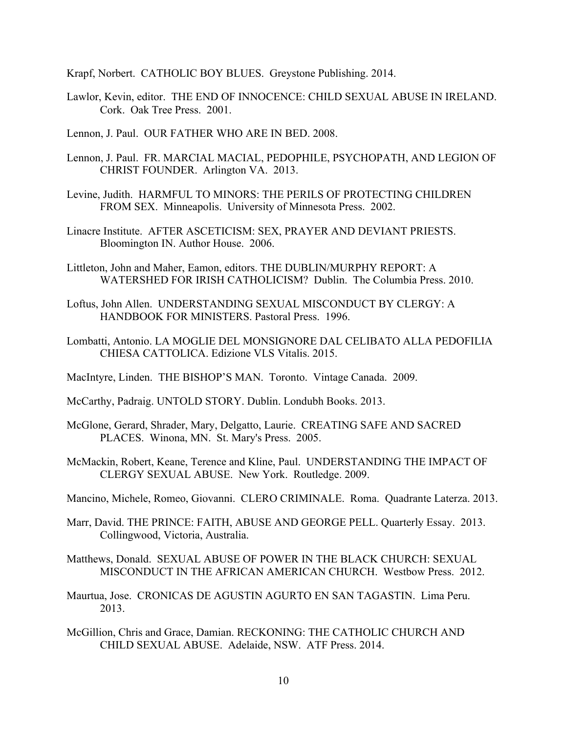Krapf, Norbert. CATHOLIC BOY BLUES. Greystone Publishing. 2014.

- Lawlor, Kevin, editor. THE END OF INNOCENCE: CHILD SEXUAL ABUSE IN IRELAND. Cork. Oak Tree Press. 2001.
- Lennon, J. Paul. OUR FATHER WHO ARE IN BED. 2008.
- Lennon, J. Paul. FR. MARCIAL MACIAL, PEDOPHILE, PSYCHOPATH, AND LEGION OF CHRIST FOUNDER. Arlington VA. 2013.
- Levine, Judith. HARMFUL TO MINORS: THE PERILS OF PROTECTING CHILDREN FROM SEX. Minneapolis. University of Minnesota Press. 2002.
- Linacre Institute. AFTER ASCETICISM: SEX, PRAYER AND DEVIANT PRIESTS. Bloomington IN. Author House. 2006.
- Littleton, John and Maher, Eamon, editors. THE DUBLIN/MURPHY REPORT: A WATERSHED FOR IRISH CATHOLICISM? Dublin. The Columbia Press. 2010.
- Loftus, John Allen. UNDERSTANDING SEXUAL MISCONDUCT BY CLERGY: A HANDBOOK FOR MINISTERS. Pastoral Press. 1996.
- Lombatti, Antonio. LA MOGLIE DEL MONSIGNORE DAL CELIBATO ALLA PEDOFILIA CHIESA CATTOLICA. Edizione VLS Vitalis. 2015.
- MacIntyre, Linden. THE BISHOP'S MAN. Toronto. Vintage Canada. 2009.
- McCarthy, Padraig. UNTOLD STORY. Dublin. Londubh Books. 2013.
- McGlone, Gerard, Shrader, Mary, Delgatto, Laurie. CREATING SAFE AND SACRED PLACES. Winona, MN. St. Mary's Press. 2005.
- McMackin, Robert, Keane, Terence and Kline, Paul. UNDERSTANDING THE IMPACT OF CLERGY SEXUAL ABUSE. New York. Routledge. 2009.
- Mancino, Michele, Romeo, Giovanni. CLERO CRIMINALE. Roma. Quadrante Laterza. 2013.
- Marr, David. THE PRINCE: FAITH, ABUSE AND GEORGE PELL. Quarterly Essay. 2013. Collingwood, Victoria, Australia.
- Matthews, Donald. SEXUAL ABUSE OF POWER IN THE BLACK CHURCH: SEXUAL MISCONDUCT IN THE AFRICAN AMERICAN CHURCH. Westbow Press. 2012.
- Maurtua, Jose. CRONICAS DE AGUSTIN AGURTO EN SAN TAGASTIN. Lima Peru. 2013.
- McGillion, Chris and Grace, Damian. RECKONING: THE CATHOLIC CHURCH AND CHILD SEXUAL ABUSE. Adelaide, NSW. ATF Press. 2014.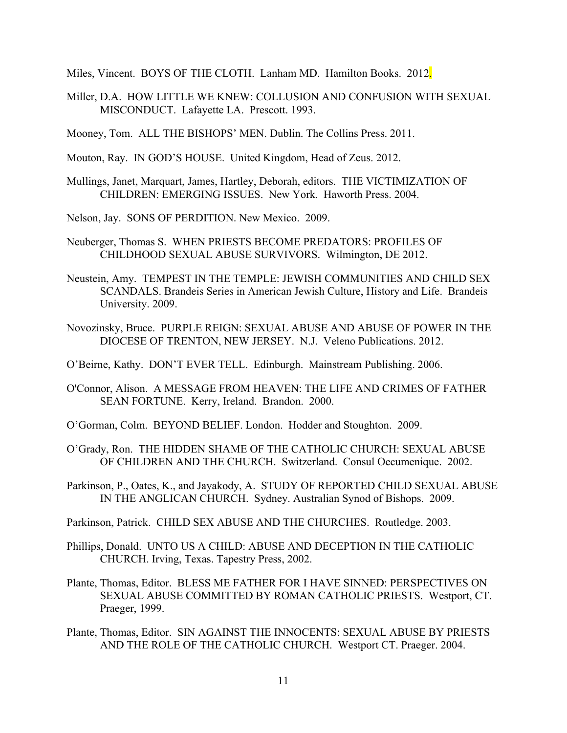Miles, Vincent. BOYS OF THE CLOTH. Lanham MD. Hamilton Books. 2012.

- Miller, D.A. HOW LITTLE WE KNEW: COLLUSION AND CONFUSION WITH SEXUAL MISCONDUCT. Lafayette LA. Prescott. 1993.
- Mooney, Tom. ALL THE BISHOPS' MEN. Dublin. The Collins Press. 2011.
- Mouton, Ray. IN GOD'S HOUSE. United Kingdom, Head of Zeus. 2012.
- Mullings, Janet, Marquart, James, Hartley, Deborah, editors. THE VICTIMIZATION OF CHILDREN: EMERGING ISSUES. New York. Haworth Press. 2004.
- Nelson, Jay. SONS OF PERDITION. New Mexico. 2009.
- Neuberger, Thomas S. WHEN PRIESTS BECOME PREDATORS: PROFILES OF CHILDHOOD SEXUAL ABUSE SURVIVORS. Wilmington, DE 2012.
- Neustein, Amy. TEMPEST IN THE TEMPLE: JEWISH COMMUNITIES AND CHILD SEX SCANDALS. Brandeis Series in American Jewish Culture, History and Life. Brandeis University. 2009.
- Novozinsky, Bruce. PURPLE REIGN: SEXUAL ABUSE AND ABUSE OF POWER IN THE DIOCESE OF TRENTON, NEW JERSEY. N.J. Veleno Publications. 2012.
- O'Beirne, Kathy. DON'T EVER TELL. Edinburgh. Mainstream Publishing. 2006.
- O'Connor, Alison. A MESSAGE FROM HEAVEN: THE LIFE AND CRIMES OF FATHER SEAN FORTUNE. Kerry, Ireland. Brandon. 2000.
- O'Gorman, Colm. BEYOND BELIEF. London. Hodder and Stoughton. 2009.
- O'Grady, Ron. THE HIDDEN SHAME OF THE CATHOLIC CHURCH: SEXUAL ABUSE OF CHILDREN AND THE CHURCH. Switzerland. Consul Oecumenique. 2002.
- Parkinson, P., Oates, K., and Jayakody, A. STUDY OF REPORTED CHILD SEXUAL ABUSE IN THE ANGLICAN CHURCH. Sydney. Australian Synod of Bishops. 2009.
- Parkinson, Patrick. CHILD SEX ABUSE AND THE CHURCHES. Routledge. 2003.
- Phillips, Donald. UNTO US A CHILD: ABUSE AND DECEPTION IN THE CATHOLIC CHURCH. Irving, Texas. Tapestry Press, 2002.
- Plante, Thomas, Editor. BLESS ME FATHER FOR I HAVE SINNED: PERSPECTIVES ON SEXUAL ABUSE COMMITTED BY ROMAN CATHOLIC PRIESTS. Westport, CT. Praeger, 1999.
- Plante, Thomas, Editor. SIN AGAINST THE INNOCENTS: SEXUAL ABUSE BY PRIESTS AND THE ROLE OF THE CATHOLIC CHURCH. Westport CT. Praeger. 2004.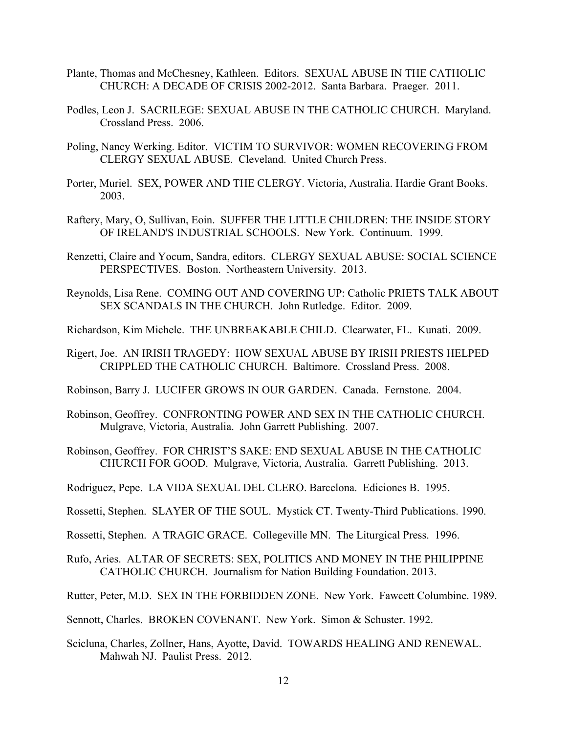- Plante, Thomas and McChesney, Kathleen. Editors. SEXUAL ABUSE IN THE CATHOLIC CHURCH: A DECADE OF CRISIS 2002-2012. Santa Barbara. Praeger. 2011.
- Podles, Leon J. SACRILEGE: SEXUAL ABUSE IN THE CATHOLIC CHURCH. Maryland. Crossland Press. 2006.
- Poling, Nancy Werking. Editor. VICTIM TO SURVIVOR: WOMEN RECOVERING FROM CLERGY SEXUAL ABUSE. Cleveland. United Church Press.
- Porter, Muriel. SEX, POWER AND THE CLERGY. Victoria, Australia. Hardie Grant Books. 2003.
- Raftery, Mary, O, Sullivan, Eoin. SUFFER THE LITTLE CHILDREN: THE INSIDE STORY OF IRELAND'S INDUSTRIAL SCHOOLS. New York. Continuum. 1999.
- Renzetti, Claire and Yocum, Sandra, editors. CLERGY SEXUAL ABUSE: SOCIAL SCIENCE PERSPECTIVES. Boston. Northeastern University. 2013.
- Reynolds, Lisa Rene. COMING OUT AND COVERING UP: Catholic PRIETS TALK ABOUT SEX SCANDALS IN THE CHURCH. John Rutledge. Editor. 2009.
- Richardson, Kim Michele. THE UNBREAKABLE CHILD. Clearwater, FL. Kunati. 2009.
- Rigert, Joe. AN IRISH TRAGEDY: HOW SEXUAL ABUSE BY IRISH PRIESTS HELPED CRIPPLED THE CATHOLIC CHURCH. Baltimore. Crossland Press. 2008.
- Robinson, Barry J. LUCIFER GROWS IN OUR GARDEN. Canada. Fernstone. 2004.
- Robinson, Geoffrey. CONFRONTING POWER AND SEX IN THE CATHOLIC CHURCH. Mulgrave, Victoria, Australia. John Garrett Publishing. 2007.
- Robinson, Geoffrey. FOR CHRIST'S SAKE: END SEXUAL ABUSE IN THE CATHOLIC CHURCH FOR GOOD. Mulgrave, Victoria, Australia. Garrett Publishing. 2013.
- Rodriguez, Pepe. LA VIDA SEXUAL DEL CLERO. Barcelona. Ediciones B. 1995.
- Rossetti, Stephen. SLAYER OF THE SOUL. Mystick CT. Twenty-Third Publications. 1990.
- Rossetti, Stephen. A TRAGIC GRACE. Collegeville MN. The Liturgical Press. 1996.
- Rufo, Aries. ALTAR OF SECRETS: SEX, POLITICS AND MONEY IN THE PHILIPPINE CATHOLIC CHURCH. Journalism for Nation Building Foundation. 2013.
- Rutter, Peter, M.D. SEX IN THE FORBIDDEN ZONE. New York. Fawcett Columbine. 1989.
- Sennott, Charles. BROKEN COVENANT. New York. Simon & Schuster. 1992.
- Scicluna, Charles, Zollner, Hans, Ayotte, David. TOWARDS HEALING AND RENEWAL. Mahwah NJ. Paulist Press. 2012.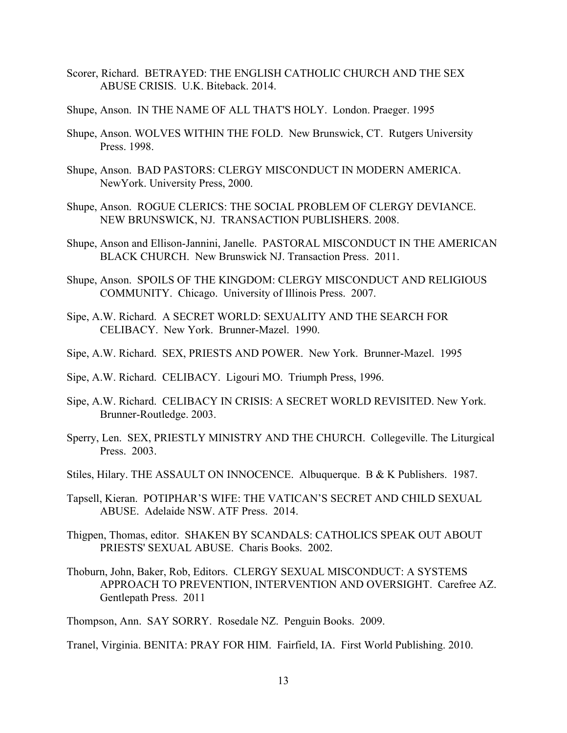- Scorer, Richard. BETRAYED: THE ENGLISH CATHOLIC CHURCH AND THE SEX ABUSE CRISIS. U.K. Biteback. 2014.
- Shupe, Anson. IN THE NAME OF ALL THAT'S HOLY. London. Praeger. 1995
- Shupe, Anson. WOLVES WITHIN THE FOLD. New Brunswick, CT. Rutgers University Press. 1998.
- Shupe, Anson. BAD PASTORS: CLERGY MISCONDUCT IN MODERN AMERICA. NewYork. University Press, 2000.
- Shupe, Anson. ROGUE CLERICS: THE SOCIAL PROBLEM OF CLERGY DEVIANCE. NEW BRUNSWICK, NJ. TRANSACTION PUBLISHERS. 2008.
- Shupe, Anson and Ellison-Jannini, Janelle. PASTORAL MISCONDUCT IN THE AMERICAN BLACK CHURCH. New Brunswick NJ. Transaction Press. 2011.
- Shupe, Anson. SPOILS OF THE KINGDOM: CLERGY MISCONDUCT AND RELIGIOUS COMMUNITY. Chicago. University of Illinois Press. 2007.
- Sipe, A.W. Richard. A SECRET WORLD: SEXUALITY AND THE SEARCH FOR CELIBACY. New York. Brunner-Mazel. 1990.
- Sipe, A.W. Richard. SEX, PRIESTS AND POWER. New York. Brunner-Mazel. 1995
- Sipe, A.W. Richard. CELIBACY. Ligouri MO. Triumph Press, 1996.
- Sipe, A.W. Richard. CELIBACY IN CRISIS: A SECRET WORLD REVISITED. New York. Brunner-Routledge. 2003.
- Sperry, Len. SEX, PRIESTLY MINISTRY AND THE CHURCH. Collegeville. The Liturgical Press. 2003.
- Stiles, Hilary. THE ASSAULT ON INNOCENCE. Albuquerque. B & K Publishers. 1987.
- Tapsell, Kieran. POTIPHAR'S WIFE: THE VATICAN'S SECRET AND CHILD SEXUAL ABUSE. Adelaide NSW. ATF Press. 2014.
- Thigpen, Thomas, editor. SHAKEN BY SCANDALS: CATHOLICS SPEAK OUT ABOUT PRIESTS' SEXUAL ABUSE. Charis Books. 2002.
- Thoburn, John, Baker, Rob, Editors. CLERGY SEXUAL MISCONDUCT: A SYSTEMS APPROACH TO PREVENTION, INTERVENTION AND OVERSIGHT. Carefree AZ. Gentlepath Press. 2011

Thompson, Ann. SAY SORRY. Rosedale NZ. Penguin Books. 2009.

Tranel, Virginia. BENITA: PRAY FOR HIM. Fairfield, IA. First World Publishing. 2010.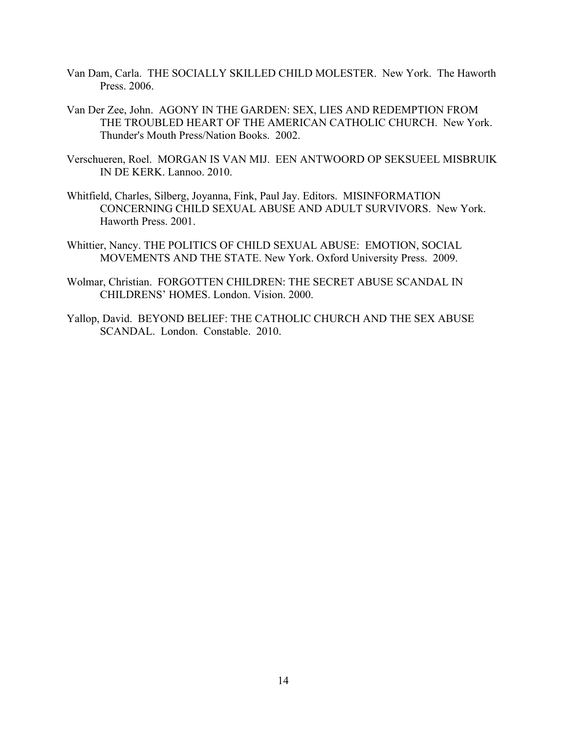- Van Dam, Carla. THE SOCIALLY SKILLED CHILD MOLESTER. New York. The Haworth Press. 2006.
- Van Der Zee, John. AGONY IN THE GARDEN: SEX, LIES AND REDEMPTION FROM THE TROUBLED HEART OF THE AMERICAN CATHOLIC CHURCH. New York. Thunder's Mouth Press/Nation Books. 2002.
- Verschueren, Roel. MORGAN IS VAN MIJ. EEN ANTWOORD OP SEKSUEEL MISBRUIK IN DE KERK. Lannoo. 2010.
- Whitfield, Charles, Silberg, Joyanna, Fink, Paul Jay. Editors. MISINFORMATION CONCERNING CHILD SEXUAL ABUSE AND ADULT SURVIVORS. New York. Haworth Press. 2001.
- Whittier, Nancy. THE POLITICS OF CHILD SEXUAL ABUSE: EMOTION, SOCIAL MOVEMENTS AND THE STATE. New York. Oxford University Press. 2009.
- Wolmar, Christian. FORGOTTEN CHILDREN: THE SECRET ABUSE SCANDAL IN CHILDRENS' HOMES. London. Vision. 2000.
- Yallop, David. BEYOND BELIEF: THE CATHOLIC CHURCH AND THE SEX ABUSE SCANDAL. London. Constable. 2010.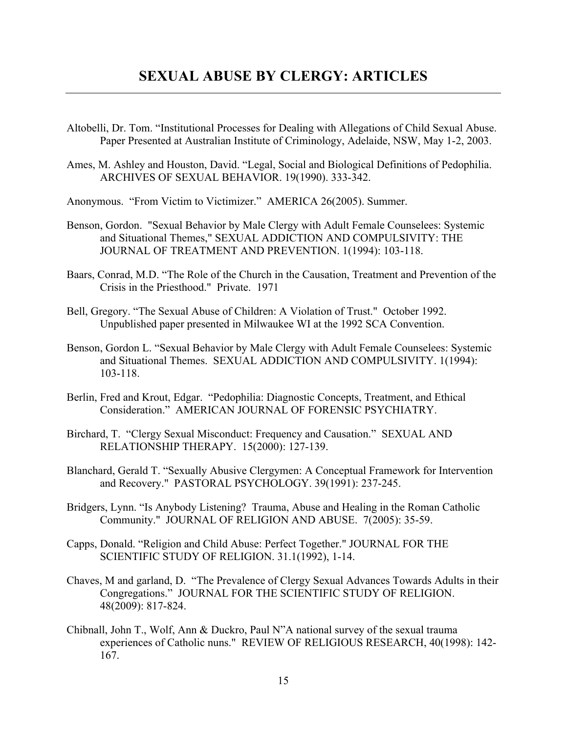- Altobelli, Dr. Tom. "Institutional Processes for Dealing with Allegations of Child Sexual Abuse. Paper Presented at Australian Institute of Criminology, Adelaide, NSW, May 1-2, 2003.
- Ames, M. Ashley and Houston, David. "Legal, Social and Biological Definitions of Pedophilia. ARCHIVES OF SEXUAL BEHAVIOR. 19(1990). 333-342.
- Anonymous. "From Victim to Victimizer." AMERICA 26(2005). Summer.
- Benson, Gordon. "Sexual Behavior by Male Clergy with Adult Female Counselees: Systemic and Situational Themes," SEXUAL ADDICTION AND COMPULSIVITY: THE JOURNAL OF TREATMENT AND PREVENTION. 1(1994): 103-118.
- Baars, Conrad, M.D. "The Role of the Church in the Causation, Treatment and Prevention of the Crisis in the Priesthood." Private. 1971
- Bell, Gregory. "The Sexual Abuse of Children: A Violation of Trust." October 1992. Unpublished paper presented in Milwaukee WI at the 1992 SCA Convention.
- Benson, Gordon L. "Sexual Behavior by Male Clergy with Adult Female Counselees: Systemic and Situational Themes. SEXUAL ADDICTION AND COMPULSIVITY. 1(1994): 103-118.
- Berlin, Fred and Krout, Edgar. "Pedophilia: Diagnostic Concepts, Treatment, and Ethical Consideration." AMERICAN JOURNAL OF FORENSIC PSYCHIATRY.
- Birchard, T. "Clergy Sexual Misconduct: Frequency and Causation." SEXUAL AND RELATIONSHIP THERAPY. 15(2000): 127-139.
- Blanchard, Gerald T. "Sexually Abusive Clergymen: A Conceptual Framework for Intervention and Recovery." PASTORAL PSYCHOLOGY. 39(1991): 237-245.
- Bridgers, Lynn. "Is Anybody Listening? Trauma, Abuse and Healing in the Roman Catholic Community." JOURNAL OF RELIGION AND ABUSE. 7(2005): 35-59.
- Capps, Donald. "Religion and Child Abuse: Perfect Together." JOURNAL FOR THE SCIENTIFIC STUDY OF RELIGION. 31.1(1992), 1-14.
- Chaves, M and garland, D. "The Prevalence of Clergy Sexual Advances Towards Adults in their Congregations." JOURNAL FOR THE SCIENTIFIC STUDY OF RELIGION. 48(2009): 817-824.
- Chibnall, John T., Wolf, Ann & Duckro, Paul N"A national survey of the sexual trauma experiences of Catholic nuns." REVIEW OF RELIGIOUS RESEARCH, 40(1998): 142- 167.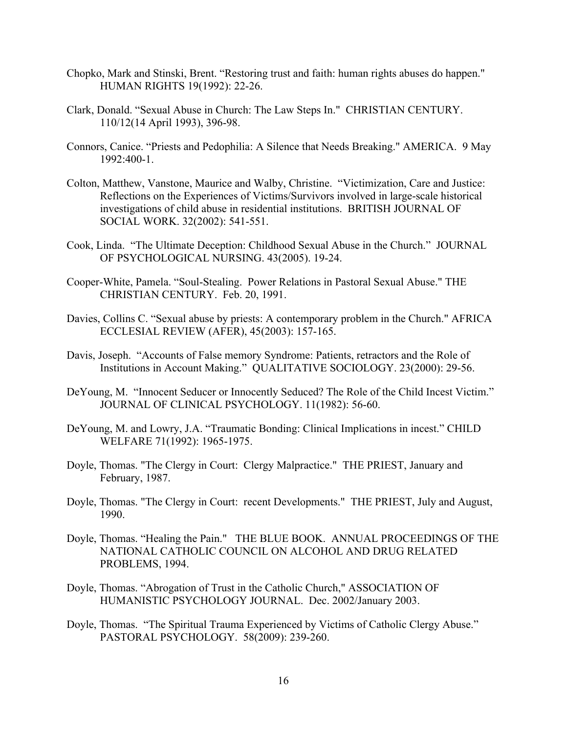- Chopko, Mark and Stinski, Brent. "Restoring trust and faith: human rights abuses do happen." HUMAN RIGHTS 19(1992): 22-26.
- Clark, Donald. "Sexual Abuse in Church: The Law Steps In." CHRISTIAN CENTURY. 110/12(14 April 1993), 396-98.
- Connors, Canice. "Priests and Pedophilia: A Silence that Needs Breaking." AMERICA. 9 May 1992:400-1.
- Colton, Matthew, Vanstone, Maurice and Walby, Christine. "Victimization, Care and Justice: Reflections on the Experiences of Victims/Survivors involved in large-scale historical investigations of child abuse in residential institutions. BRITISH JOURNAL OF SOCIAL WORK. 32(2002): 541-551.
- Cook, Linda. "The Ultimate Deception: Childhood Sexual Abuse in the Church." JOURNAL OF PSYCHOLOGICAL NURSING. 43(2005). 19-24.
- Cooper-White, Pamela. "Soul-Stealing. Power Relations in Pastoral Sexual Abuse." THE CHRISTIAN CENTURY. Feb. 20, 1991.
- Davies, Collins C. "Sexual abuse by priests: A contemporary problem in the Church." AFRICA ECCLESIAL REVIEW (AFER), 45(2003): 157-165.
- Davis, Joseph. "Accounts of False memory Syndrome: Patients, retractors and the Role of Institutions in Account Making." QUALITATIVE SOCIOLOGY. 23(2000): 29-56.
- DeYoung, M. "Innocent Seducer or Innocently Seduced? The Role of the Child Incest Victim." JOURNAL OF CLINICAL PSYCHOLOGY. 11(1982): 56-60.
- DeYoung, M. and Lowry, J.A. "Traumatic Bonding: Clinical Implications in incest." CHILD WELFARE 71(1992): 1965-1975.
- Doyle, Thomas. "The Clergy in Court: Clergy Malpractice." THE PRIEST, January and February, 1987.
- Doyle, Thomas. "The Clergy in Court: recent Developments." THE PRIEST, July and August, 1990.
- Doyle, Thomas. "Healing the Pain." THE BLUE BOOK. ANNUAL PROCEEDINGS OF THE NATIONAL CATHOLIC COUNCIL ON ALCOHOL AND DRUG RELATED PROBLEMS, 1994.
- Doyle, Thomas. "Abrogation of Trust in the Catholic Church," ASSOCIATION OF HUMANISTIC PSYCHOLOGY JOURNAL. Dec. 2002/January 2003.
- Doyle, Thomas. "The Spiritual Trauma Experienced by Victims of Catholic Clergy Abuse." PASTORAL PSYCHOLOGY. 58(2009): 239-260.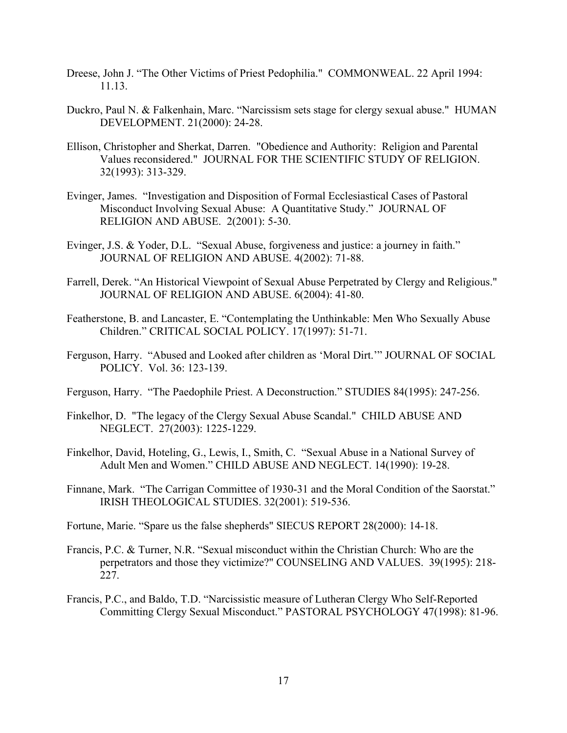- Dreese, John J. "The Other Victims of Priest Pedophilia." COMMONWEAL. 22 April 1994: 11.13.
- Duckro, Paul N. & Falkenhain, Marc. "Narcissism sets stage for clergy sexual abuse." HUMAN DEVELOPMENT. 21(2000): 24-28.
- Ellison, Christopher and Sherkat, Darren. "Obedience and Authority: Religion and Parental Values reconsidered." JOURNAL FOR THE SCIENTIFIC STUDY OF RELIGION. 32(1993): 313-329.
- Evinger, James. "Investigation and Disposition of Formal Ecclesiastical Cases of Pastoral Misconduct Involving Sexual Abuse: A Quantitative Study." JOURNAL OF RELIGION AND ABUSE. 2(2001): 5-30.
- Evinger, J.S. & Yoder, D.L. "Sexual Abuse, forgiveness and justice: a journey in faith." JOURNAL OF RELIGION AND ABUSE. 4(2002): 71-88.
- Farrell, Derek. "An Historical Viewpoint of Sexual Abuse Perpetrated by Clergy and Religious." JOURNAL OF RELIGION AND ABUSE. 6(2004): 41-80.
- Featherstone, B. and Lancaster, E. "Contemplating the Unthinkable: Men Who Sexually Abuse Children." CRITICAL SOCIAL POLICY. 17(1997): 51-71.
- Ferguson, Harry. "Abused and Looked after children as 'Moral Dirt.'" JOURNAL OF SOCIAL POLICY. Vol. 36: 123-139.
- Ferguson, Harry. "The Paedophile Priest. A Deconstruction." STUDIES 84(1995): 247-256.
- Finkelhor, D. "The legacy of the Clergy Sexual Abuse Scandal." CHILD ABUSE AND NEGLECT. 27(2003): 1225-1229.
- Finkelhor, David, Hoteling, G., Lewis, I., Smith, C. "Sexual Abuse in a National Survey of Adult Men and Women." CHILD ABUSE AND NEGLECT. 14(1990): 19-28.
- Finnane, Mark. "The Carrigan Committee of 1930-31 and the Moral Condition of the Saorstat." IRISH THEOLOGICAL STUDIES. 32(2001): 519-536.
- Fortune, Marie. "Spare us the false shepherds" SIECUS REPORT 28(2000): 14-18.
- Francis, P.C. & Turner, N.R. "Sexual misconduct within the Christian Church: Who are the perpetrators and those they victimize?" COUNSELING AND VALUES. 39(1995): 218- 227.
- Francis, P.C., and Baldo, T.D. "Narcissistic measure of Lutheran Clergy Who Self-Reported Committing Clergy Sexual Misconduct." PASTORAL PSYCHOLOGY 47(1998): 81-96.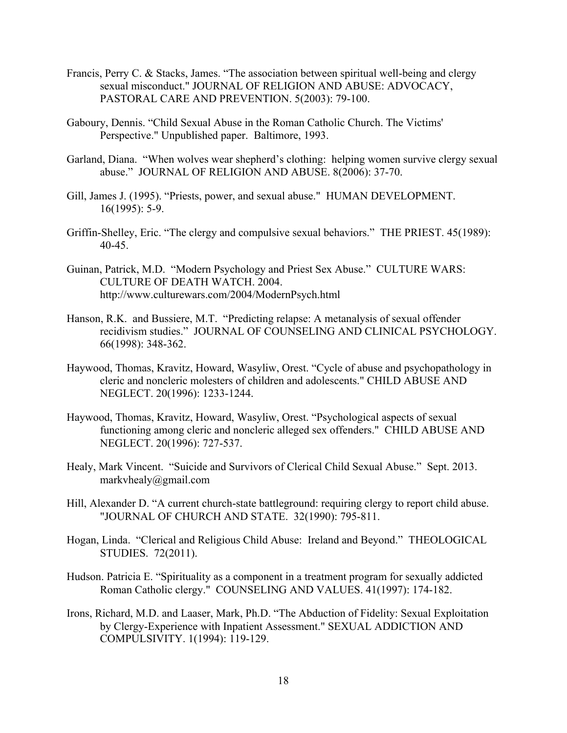- Francis, Perry C. & Stacks, James. "The association between spiritual well-being and clergy sexual misconduct." JOURNAL OF RELIGION AND ABUSE: ADVOCACY, PASTORAL CARE AND PREVENTION. 5(2003): 79-100.
- Gaboury, Dennis. "Child Sexual Abuse in the Roman Catholic Church. The Victims' Perspective." Unpublished paper. Baltimore, 1993.
- Garland, Diana. "When wolves wear shepherd's clothing: helping women survive clergy sexual abuse." JOURNAL OF RELIGION AND ABUSE. 8(2006): 37-70.
- Gill, James J. (1995). "Priests, power, and sexual abuse." HUMAN DEVELOPMENT. 16(1995): 5-9.
- Griffin-Shelley, Eric. "The clergy and compulsive sexual behaviors." THE PRIEST. 45(1989): 40-45.
- Guinan, Patrick, M.D. "Modern Psychology and Priest Sex Abuse." CULTURE WARS: CULTURE OF DEATH WATCH. 2004. http://www.culturewars.com/2004/ModernPsych.html
- Hanson, R.K. and Bussiere, M.T. "Predicting relapse: A metanalysis of sexual offender recidivism studies." JOURNAL OF COUNSELING AND CLINICAL PSYCHOLOGY. 66(1998): 348-362.
- Haywood, Thomas, Kravitz, Howard, Wasyliw, Orest. "Cycle of abuse and psychopathology in cleric and noncleric molesters of children and adolescents." CHILD ABUSE AND NEGLECT. 20(1996): 1233-1244.
- Haywood, Thomas, Kravitz, Howard, Wasyliw, Orest. "Psychological aspects of sexual functioning among cleric and noncleric alleged sex offenders." CHILD ABUSE AND NEGLECT. 20(1996): 727-537.
- Healy, Mark Vincent. "Suicide and Survivors of Clerical Child Sexual Abuse." Sept. 2013. markvhealy@gmail.com
- Hill, Alexander D. "A current church-state battleground: requiring clergy to report child abuse. "JOURNAL OF CHURCH AND STATE. 32(1990): 795-811.
- Hogan, Linda. "Clerical and Religious Child Abuse: Ireland and Beyond." THEOLOGICAL STUDIES. 72(2011).
- Hudson. Patricia E. "Spirituality as a component in a treatment program for sexually addicted Roman Catholic clergy." COUNSELING AND VALUES. 41(1997): 174-182.
- Irons, Richard, M.D. and Laaser, Mark, Ph.D. "The Abduction of Fidelity: Sexual Exploitation by Clergy-Experience with Inpatient Assessment." SEXUAL ADDICTION AND COMPULSIVITY. 1(1994): 119-129.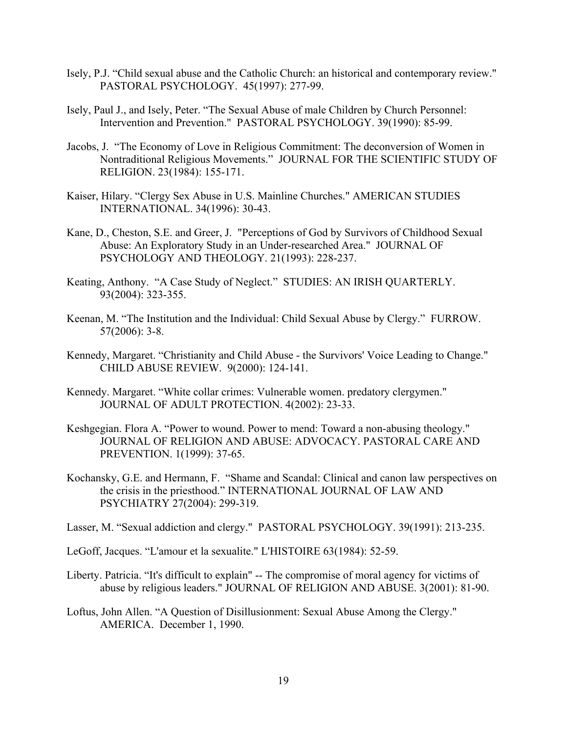- Isely, P.J. "Child sexual abuse and the Catholic Church: an historical and contemporary review." PASTORAL PSYCHOLOGY. 45(1997): 277-99.
- Isely, Paul J., and Isely, Peter. "The Sexual Abuse of male Children by Church Personnel: Intervention and Prevention." PASTORAL PSYCHOLOGY. 39(1990): 85-99.
- Jacobs, J. "The Economy of Love in Religious Commitment: The deconversion of Women in Nontraditional Religious Movements." JOURNAL FOR THE SCIENTIFIC STUDY OF RELIGION. 23(1984): 155-171.
- Kaiser, Hilary. "Clergy Sex Abuse in U.S. Mainline Churches." AMERICAN STUDIES INTERNATIONAL. 34(1996): 30-43.
- Kane, D., Cheston, S.E. and Greer, J. "Perceptions of God by Survivors of Childhood Sexual Abuse: An Exploratory Study in an Under-researched Area." JOURNAL OF PSYCHOLOGY AND THEOLOGY. 21(1993): 228-237.
- Keating, Anthony. "A Case Study of Neglect." STUDIES: AN IRISH QUARTERLY. 93(2004): 323-355.
- Keenan, M. "The Institution and the Individual: Child Sexual Abuse by Clergy." FURROW. 57(2006): 3-8.
- Kennedy, Margaret. "Christianity and Child Abuse the Survivors' Voice Leading to Change." CHILD ABUSE REVIEW. 9(2000): 124-141.
- Kennedy. Margaret. "White collar crimes: Vulnerable women. predatory clergymen." JOURNAL OF ADULT PROTECTION. 4(2002): 23-33.
- Keshgegian. Flora A. "Power to wound. Power to mend: Toward a non-abusing theology." JOURNAL OF RELIGION AND ABUSE: ADVOCACY. PASTORAL CARE AND PREVENTION. 1(1999): 37-65.
- Kochansky, G.E. and Hermann, F. "Shame and Scandal: Clinical and canon law perspectives on the crisis in the priesthood." INTERNATIONAL JOURNAL OF LAW AND PSYCHIATRY 27(2004): 299-319.
- Lasser, M. "Sexual addiction and clergy." PASTORAL PSYCHOLOGY. 39(1991): 213-235.
- LeGoff, Jacques. "L'amour et la sexualite." L'HISTOIRE 63(1984): 52-59.
- Liberty. Patricia. "It's difficult to explain" -- The compromise of moral agency for victims of abuse by religious leaders." JOURNAL OF RELIGION AND ABUSE. 3(2001): 81-90.
- Loftus, John Allen. "A Question of Disillusionment: Sexual Abuse Among the Clergy." AMERICA. December 1, 1990.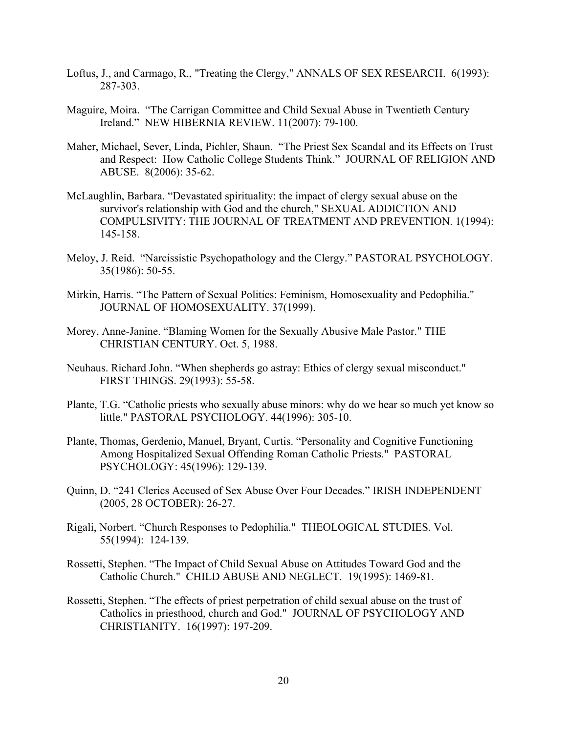- Loftus, J., and Carmago, R., "Treating the Clergy," ANNALS OF SEX RESEARCH. 6(1993): 287-303.
- Maguire, Moira. "The Carrigan Committee and Child Sexual Abuse in Twentieth Century Ireland." NEW HIBERNIA REVIEW. 11(2007): 79-100.
- Maher, Michael, Sever, Linda, Pichler, Shaun. "The Priest Sex Scandal and its Effects on Trust and Respect: How Catholic College Students Think." JOURNAL OF RELIGION AND ABUSE. 8(2006): 35-62.
- McLaughlin, Barbara. "Devastated spirituality: the impact of clergy sexual abuse on the survivor's relationship with God and the church," SEXUAL ADDICTION AND COMPULSIVITY: THE JOURNAL OF TREATMENT AND PREVENTION. 1(1994): 145-158.
- Meloy, J. Reid. "Narcissistic Psychopathology and the Clergy." PASTORAL PSYCHOLOGY. 35(1986): 50-55.
- Mirkin, Harris. "The Pattern of Sexual Politics: Feminism, Homosexuality and Pedophilia." JOURNAL OF HOMOSEXUALITY. 37(1999).
- Morey, Anne-Janine. "Blaming Women for the Sexually Abusive Male Pastor." THE CHRISTIAN CENTURY. Oct. 5, 1988.
- Neuhaus. Richard John. "When shepherds go astray: Ethics of clergy sexual misconduct." FIRST THINGS. 29(1993): 55-58.
- Plante, T.G. "Catholic priests who sexually abuse minors: why do we hear so much yet know so little." PASTORAL PSYCHOLOGY. 44(1996): 305-10.
- Plante, Thomas, Gerdenio, Manuel, Bryant, Curtis. "Personality and Cognitive Functioning Among Hospitalized Sexual Offending Roman Catholic Priests." PASTORAL PSYCHOLOGY: 45(1996): 129-139.
- Quinn, D. "241 Clerics Accused of Sex Abuse Over Four Decades." IRISH INDEPENDENT (2005, 28 OCTOBER): 26-27.
- Rigali, Norbert. "Church Responses to Pedophilia." THEOLOGICAL STUDIES. Vol. 55(1994): 124-139.
- Rossetti, Stephen. "The Impact of Child Sexual Abuse on Attitudes Toward God and the Catholic Church." CHILD ABUSE AND NEGLECT. 19(1995): 1469-81.
- Rossetti, Stephen. "The effects of priest perpetration of child sexual abuse on the trust of Catholics in priesthood, church and God." JOURNAL OF PSYCHOLOGY AND CHRISTIANITY. 16(1997): 197-209.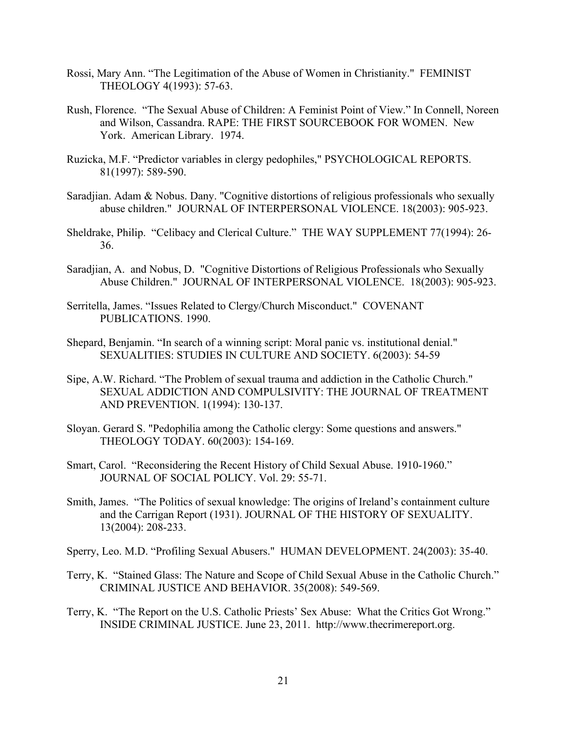- Rossi, Mary Ann. "The Legitimation of the Abuse of Women in Christianity." FEMINIST THEOLOGY 4(1993): 57-63.
- Rush, Florence. "The Sexual Abuse of Children: A Feminist Point of View." In Connell, Noreen and Wilson, Cassandra. RAPE: THE FIRST SOURCEBOOK FOR WOMEN. New York. American Library. 1974.
- Ruzicka, M.F. "Predictor variables in clergy pedophiles," PSYCHOLOGICAL REPORTS. 81(1997): 589-590.
- Saradjian. Adam & Nobus. Dany. "Cognitive distortions of religious professionals who sexually abuse children." JOURNAL OF INTERPERSONAL VIOLENCE. 18(2003): 905-923.
- Sheldrake, Philip. "Celibacy and Clerical Culture." THE WAY SUPPLEMENT 77(1994): 26- 36.
- Saradjian, A. and Nobus, D. "Cognitive Distortions of Religious Professionals who Sexually Abuse Children." JOURNAL OF INTERPERSONAL VIOLENCE. 18(2003): 905-923.
- Serritella, James. "Issues Related to Clergy/Church Misconduct." COVENANT PUBLICATIONS. 1990.
- Shepard, Benjamin. "In search of a winning script: Moral panic vs. institutional denial." SEXUALITIES: STUDIES IN CULTURE AND SOCIETY. 6(2003): 54-59
- Sipe, A.W. Richard. "The Problem of sexual trauma and addiction in the Catholic Church." SEXUAL ADDICTION AND COMPULSIVITY: THE JOURNAL OF TREATMENT AND PREVENTION. 1(1994): 130-137.
- Sloyan. Gerard S. "Pedophilia among the Catholic clergy: Some questions and answers." THEOLOGY TODAY. 60(2003): 154-169.
- Smart, Carol. "Reconsidering the Recent History of Child Sexual Abuse. 1910-1960." JOURNAL OF SOCIAL POLICY. Vol. 29: 55-71.
- Smith, James. "The Politics of sexual knowledge: The origins of Ireland's containment culture and the Carrigan Report (1931). JOURNAL OF THE HISTORY OF SEXUALITY. 13(2004): 208-233.
- Sperry, Leo. M.D. "Profiling Sexual Abusers." HUMAN DEVELOPMENT. 24(2003): 35-40.
- Terry, K. "Stained Glass: The Nature and Scope of Child Sexual Abuse in the Catholic Church." CRIMINAL JUSTICE AND BEHAVIOR. 35(2008): 549-569.
- Terry, K. "The Report on the U.S. Catholic Priests' Sex Abuse: What the Critics Got Wrong." INSIDE CRIMINAL JUSTICE. June 23, 2011. http://www.thecrimereport.org.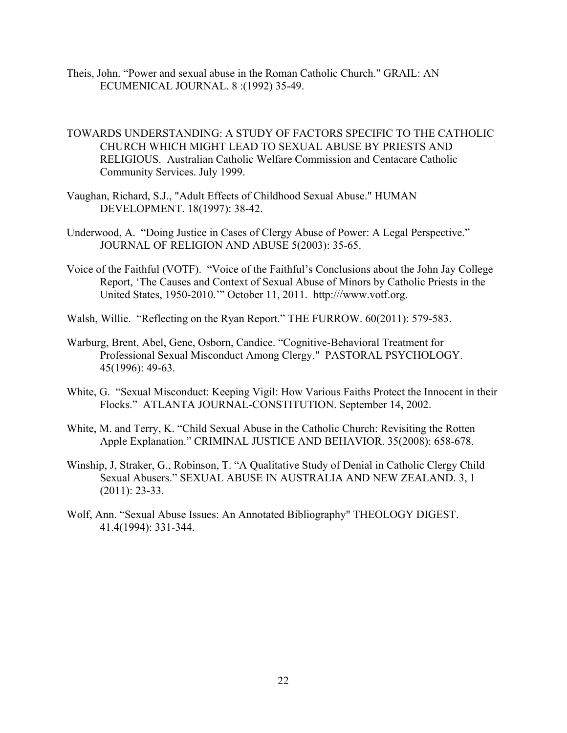- Theis, John. "Power and sexual abuse in the Roman Catholic Church." GRAIL: AN ECUMENICAL JOURNAL. 8 :(1992) 35-49.
- TOWARDS UNDERSTANDING: A STUDY OF FACTORS SPECIFIC TO THE CATHOLIC CHURCH WHICH MIGHT LEAD TO SEXUAL ABUSE BY PRIESTS AND RELIGIOUS. Australian Catholic Welfare Commission and Centacare Catholic Community Services. July 1999.
- Vaughan, Richard, S.J., "Adult Effects of Childhood Sexual Abuse." HUMAN DEVELOPMENT. 18(1997): 38-42.
- Underwood, A. "Doing Justice in Cases of Clergy Abuse of Power: A Legal Perspective." JOURNAL OF RELIGION AND ABUSE 5(2003): 35-65.
- Voice of the Faithful (VOTF). "Voice of the Faithful's Conclusions about the John Jay College Report, 'The Causes and Context of Sexual Abuse of Minors by Catholic Priests in the United States, 1950-2010.'" October 11, 2011. http:///www.votf.org.
- Walsh, Willie. "Reflecting on the Ryan Report." THE FURROW. 60(2011): 579-583.
- Warburg, Brent, Abel, Gene, Osborn, Candice. "Cognitive-Behavioral Treatment for Professional Sexual Misconduct Among Clergy." PASTORAL PSYCHOLOGY. 45(1996): 49-63.
- White, G. "Sexual Misconduct: Keeping Vigil: How Various Faiths Protect the Innocent in their Flocks." ATLANTA JOURNAL-CONSTITUTION. September 14, 2002.
- White, M. and Terry, K. "Child Sexual Abuse in the Catholic Church: Revisiting the Rotten Apple Explanation." CRIMINAL JUSTICE AND BEHAVIOR. 35(2008): 658-678.
- Winship, J, Straker, G., Robinson, T. "A Qualitative Study of Denial in Catholic Clergy Child Sexual Abusers." SEXUAL ABUSE IN AUSTRALIA AND NEW ZEALAND. 3, 1 (2011): 23-33.
- Wolf, Ann. "Sexual Abuse Issues: An Annotated Bibliography" THEOLOGY DIGEST. 41.4(1994): 331-344.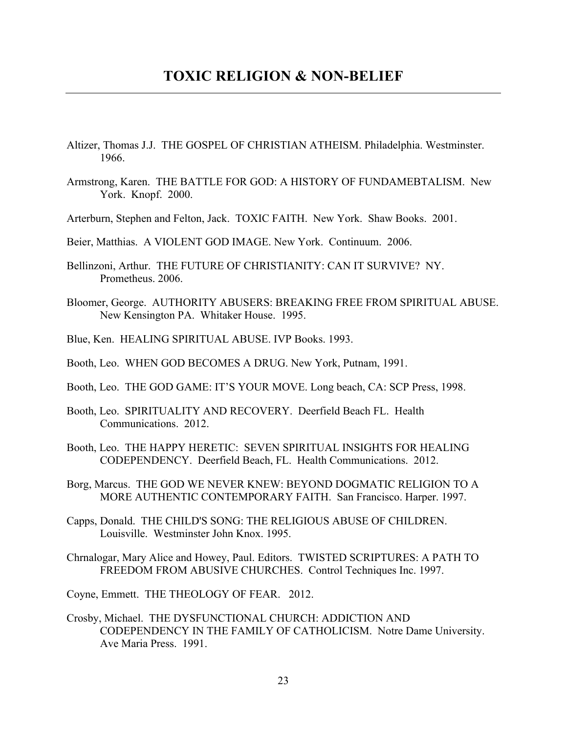- Altizer, Thomas J.J. THE GOSPEL OF CHRISTIAN ATHEISM. Philadelphia. Westminster. 1966.
- Armstrong, Karen. THE BATTLE FOR GOD: A HISTORY OF FUNDAMEBTALISM. New York. Knopf. 2000.
- Arterburn, Stephen and Felton, Jack. TOXIC FAITH. New York. Shaw Books. 2001.
- Beier, Matthias. A VIOLENT GOD IMAGE. New York. Continuum. 2006.
- Bellinzoni, Arthur. THE FUTURE OF CHRISTIANITY: CAN IT SURVIVE? NY. Prometheus. 2006.
- Bloomer, George. AUTHORITY ABUSERS: BREAKING FREE FROM SPIRITUAL ABUSE. New Kensington PA. Whitaker House. 1995.
- Blue, Ken. HEALING SPIRITUAL ABUSE. IVP Books. 1993.
- Booth, Leo. WHEN GOD BECOMES A DRUG. New York, Putnam, 1991.
- Booth, Leo. THE GOD GAME: IT'S YOUR MOVE. Long beach, CA: SCP Press, 1998.
- Booth, Leo. SPIRITUALITY AND RECOVERY. Deerfield Beach FL. Health Communications. 2012.
- Booth, Leo. THE HAPPY HERETIC: SEVEN SPIRITUAL INSIGHTS FOR HEALING CODEPENDENCY. Deerfield Beach, FL. Health Communications. 2012.
- Borg, Marcus. THE GOD WE NEVER KNEW: BEYOND DOGMATIC RELIGION TO A MORE AUTHENTIC CONTEMPORARY FAITH. San Francisco. Harper. 1997.
- Capps, Donald. THE CHILD'S SONG: THE RELIGIOUS ABUSE OF CHILDREN. Louisville. Westminster John Knox. 1995.
- Chrnalogar, Mary Alice and Howey, Paul. Editors. TWISTED SCRIPTURES: A PATH TO FREEDOM FROM ABUSIVE CHURCHES. Control Techniques Inc. 1997.

Coyne, Emmett. THE THEOLOGY OF FEAR. 2012.

Crosby, Michael. THE DYSFUNCTIONAL CHURCH: ADDICTION AND CODEPENDENCY IN THE FAMILY OF CATHOLICISM. Notre Dame University. Ave Maria Press. 1991.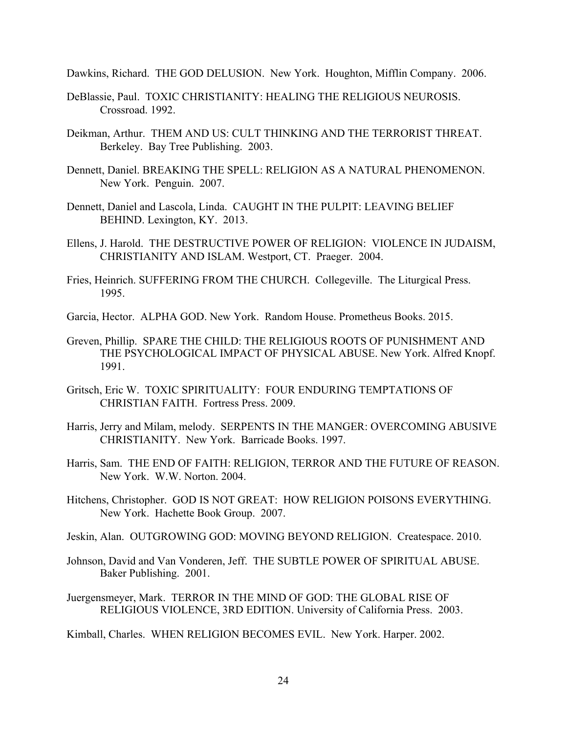Dawkins, Richard. THE GOD DELUSION. New York. Houghton, Mifflin Company. 2006.

- DeBlassie, Paul. TOXIC CHRISTIANITY: HEALING THE RELIGIOUS NEUROSIS. Crossroad. 1992.
- Deikman, Arthur. THEM AND US: CULT THINKING AND THE TERRORIST THREAT. Berkeley. Bay Tree Publishing. 2003.
- Dennett, Daniel. BREAKING THE SPELL: RELIGION AS A NATURAL PHENOMENON. New York. Penguin. 2007.
- Dennett, Daniel and Lascola, Linda. CAUGHT IN THE PULPIT: LEAVING BELIEF BEHIND. Lexington, KY. 2013.
- Ellens, J. Harold. THE DESTRUCTIVE POWER OF RELIGION: VIOLENCE IN JUDAISM, CHRISTIANITY AND ISLAM. Westport, CT. Praeger. 2004.
- Fries, Heinrich. SUFFERING FROM THE CHURCH. Collegeville. The Liturgical Press. 1995.
- Garcia, Hector. ALPHA GOD. New York. Random House. Prometheus Books. 2015.
- Greven, Phillip. SPARE THE CHILD: THE RELIGIOUS ROOTS OF PUNISHMENT AND THE PSYCHOLOGICAL IMPACT OF PHYSICAL ABUSE. New York. Alfred Knopf. 1991.
- Gritsch, Eric W. TOXIC SPIRITUALITY: FOUR ENDURING TEMPTATIONS OF CHRISTIAN FAITH. Fortress Press. 2009.
- Harris, Jerry and Milam, melody. SERPENTS IN THE MANGER: OVERCOMING ABUSIVE CHRISTIANITY. New York. Barricade Books. 1997.
- Harris, Sam. THE END OF FAITH: RELIGION, TERROR AND THE FUTURE OF REASON. New York. W.W. Norton. 2004.
- Hitchens, Christopher. GOD IS NOT GREAT: HOW RELIGION POISONS EVERYTHING. New York. Hachette Book Group. 2007.
- Jeskin, Alan. OUTGROWING GOD: MOVING BEYOND RELIGION. Createspace. 2010.
- Johnson, David and Van Vonderen, Jeff. THE SUBTLE POWER OF SPIRITUAL ABUSE. Baker Publishing. 2001.
- Juergensmeyer, Mark. TERROR IN THE MIND OF GOD: THE GLOBAL RISE OF RELIGIOUS VIOLENCE, 3RD EDITION. University of California Press. 2003.
- Kimball, Charles. WHEN RELIGION BECOMES EVIL. New York. Harper. 2002.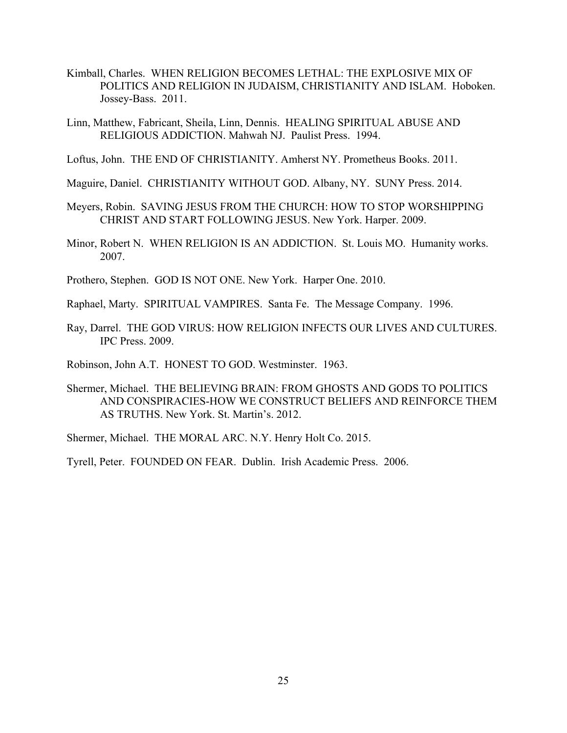- Kimball, Charles. WHEN RELIGION BECOMES LETHAL: THE EXPLOSIVE MIX OF POLITICS AND RELIGION IN JUDAISM, CHRISTIANITY AND ISLAM. Hoboken. Jossey-Bass. 2011.
- Linn, Matthew, Fabricant, Sheila, Linn, Dennis. HEALING SPIRITUAL ABUSE AND RELIGIOUS ADDICTION. Mahwah NJ. Paulist Press. 1994.
- Loftus, John. THE END OF CHRISTIANITY. Amherst NY. Prometheus Books. 2011.
- Maguire, Daniel. CHRISTIANITY WITHOUT GOD. Albany, NY. SUNY Press. 2014.
- Meyers, Robin. SAVING JESUS FROM THE CHURCH: HOW TO STOP WORSHIPPING CHRIST AND START FOLLOWING JESUS. New York. Harper. 2009.
- Minor, Robert N. WHEN RELIGION IS AN ADDICTION. St. Louis MO. Humanity works. 2007.
- Prothero, Stephen. GOD IS NOT ONE. New York. Harper One. 2010.
- Raphael, Marty. SPIRITUAL VAMPIRES. Santa Fe. The Message Company. 1996.
- Ray, Darrel. THE GOD VIRUS: HOW RELIGION INFECTS OUR LIVES AND CULTURES. IPC Press. 2009.

Robinson, John A.T. HONEST TO GOD. Westminster. 1963.

Shermer, Michael. THE BELIEVING BRAIN: FROM GHOSTS AND GODS TO POLITICS AND CONSPIRACIES-HOW WE CONSTRUCT BELIEFS AND REINFORCE THEM AS TRUTHS. New York. St. Martin's. 2012.

Shermer, Michael. THE MORAL ARC. N.Y. Henry Holt Co. 2015.

Tyrell, Peter. FOUNDED ON FEAR. Dublin. Irish Academic Press. 2006.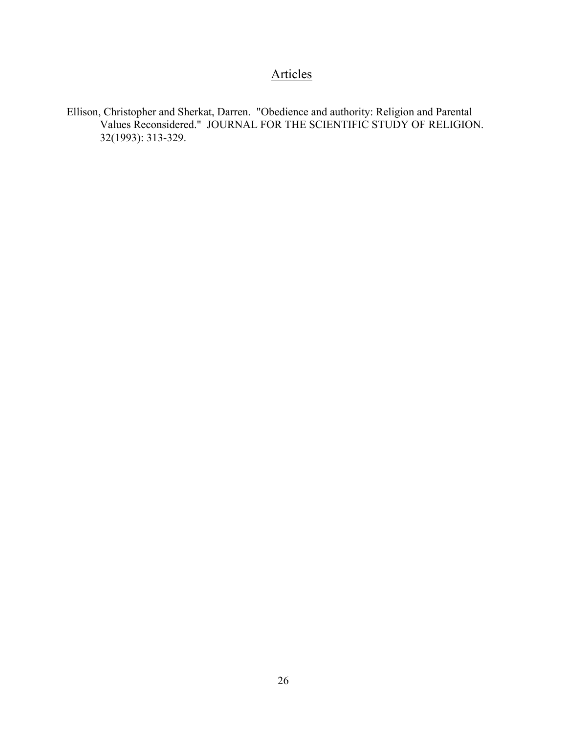## Articles

Ellison, Christopher and Sherkat, Darren. "Obedience and authority: Religion and Parental Values Reconsidered." JOURNAL FOR THE SCIENTIFIC STUDY OF RELIGION. 32(1993): 313-329.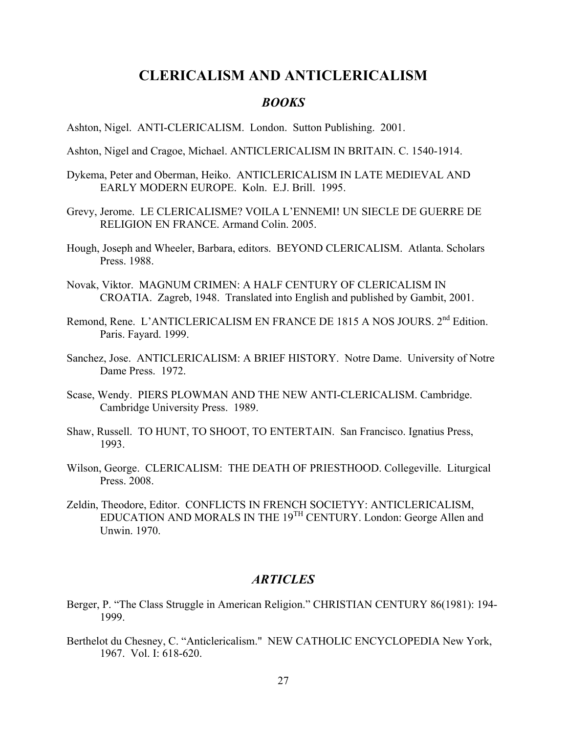#### **CLERICALISM AND ANTICLERICALISM**

#### *BOOKS*

Ashton, Nigel. ANTI-CLERICALISM. London. Sutton Publishing. 2001.

- Ashton, Nigel and Cragoe, Michael. ANTICLERICALISM IN BRITAIN. C. 1540-1914.
- Dykema, Peter and Oberman, Heiko. ANTICLERICALISM IN LATE MEDIEVAL AND EARLY MODERN EUROPE. Koln. E.J. Brill. 1995.
- Grevy, Jerome. LE CLERICALISME? VOILA L'ENNEMI! UN SIECLE DE GUERRE DE RELIGION EN FRANCE. Armand Colin. 2005.
- Hough, Joseph and Wheeler, Barbara, editors. BEYOND CLERICALISM. Atlanta. Scholars Press. 1988.
- Novak, Viktor. MAGNUM CRIMEN: A HALF CENTURY OF CLERICALISM IN CROATIA. Zagreb, 1948. Translated into English and published by Gambit, 2001.
- Remond, Rene. L'ANTICLERICALISM EN FRANCE DE 1815 A NOS JOURS. 2<sup>nd</sup> Edition. Paris. Fayard. 1999.
- Sanchez, Jose. ANTICLERICALISM: A BRIEF HISTORY. Notre Dame. University of Notre Dame Press. 1972.
- Scase, Wendy. PIERS PLOWMAN AND THE NEW ANTI-CLERICALISM. Cambridge. Cambridge University Press. 1989.
- Shaw, Russell. TO HUNT, TO SHOOT, TO ENTERTAIN. San Francisco. Ignatius Press, 1993.
- Wilson, George. CLERICALISM: THE DEATH OF PRIESTHOOD. Collegeville. Liturgical Press. 2008.
- Zeldin, Theodore, Editor. CONFLICTS IN FRENCH SOCIETYY: ANTICLERICALISM, EDUCATION AND MORALS IN THE 19TH CENTURY. London: George Allen and Unwin. 1970.

#### *ARTICLES*

- Berger, P. "The Class Struggle in American Religion." CHRISTIAN CENTURY 86(1981): 194- 1999.
- Berthelot du Chesney, C. "Anticlericalism." NEW CATHOLIC ENCYCLOPEDIA New York, 1967. Vol. I: 618-620.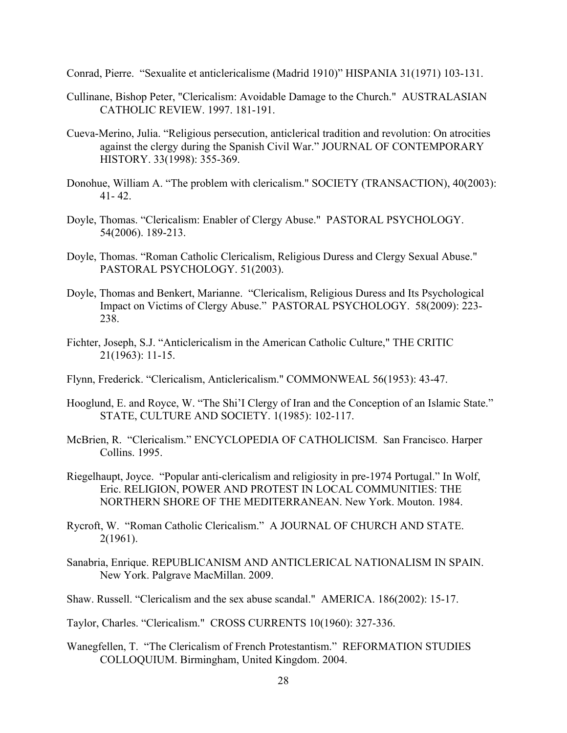Conrad, Pierre. "Sexualite et anticlericalisme (Madrid 1910)" HISPANIA 31(1971) 103-131.

- Cullinane, Bishop Peter, "Clericalism: Avoidable Damage to the Church." AUSTRALASIAN CATHOLIC REVIEW. 1997. 181-191.
- Cueva-Merino, Julia. "Religious persecution, anticlerical tradition and revolution: On atrocities against the clergy during the Spanish Civil War." JOURNAL OF CONTEMPORARY HISTORY. 33(1998): 355-369.
- Donohue, William A. "The problem with clericalism." SOCIETY (TRANSACTION), 40(2003):  $41 - 42$ .
- Doyle, Thomas. "Clericalism: Enabler of Clergy Abuse." PASTORAL PSYCHOLOGY. 54(2006). 189-213.
- Doyle, Thomas. "Roman Catholic Clericalism, Religious Duress and Clergy Sexual Abuse." PASTORAL PSYCHOLOGY. 51(2003).
- Doyle, Thomas and Benkert, Marianne. "Clericalism, Religious Duress and Its Psychological Impact on Victims of Clergy Abuse." PASTORAL PSYCHOLOGY. 58(2009): 223- 238.
- Fichter, Joseph, S.J. "Anticlericalism in the American Catholic Culture," THE CRITIC 21(1963): 11-15.
- Flynn, Frederick. "Clericalism, Anticlericalism." COMMONWEAL 56(1953): 43-47.
- Hooglund, E. and Royce, W. "The Shi'I Clergy of Iran and the Conception of an Islamic State." STATE, CULTURE AND SOCIETY. 1(1985): 102-117.
- McBrien, R. "Clericalism." ENCYCLOPEDIA OF CATHOLICISM. San Francisco. Harper Collins. 1995.
- Riegelhaupt, Joyce. "Popular anti-clericalism and religiosity in pre-1974 Portugal." In Wolf, Eric. RELIGION, POWER AND PROTEST IN LOCAL COMMUNITIES: THE NORTHERN SHORE OF THE MEDITERRANEAN. New York. Mouton. 1984.
- Rycroft, W. "Roman Catholic Clericalism." A JOURNAL OF CHURCH AND STATE. 2(1961).
- Sanabria, Enrique. REPUBLICANISM AND ANTICLERICAL NATIONALISM IN SPAIN. New York. Palgrave MacMillan. 2009.

Shaw. Russell. "Clericalism and the sex abuse scandal." AMERICA. 186(2002): 15-17.

Taylor, Charles. "Clericalism." CROSS CURRENTS 10(1960): 327-336.

Wanegfellen, T. "The Clericalism of French Protestantism." REFORMATION STUDIES COLLOQUIUM. Birmingham, United Kingdom. 2004.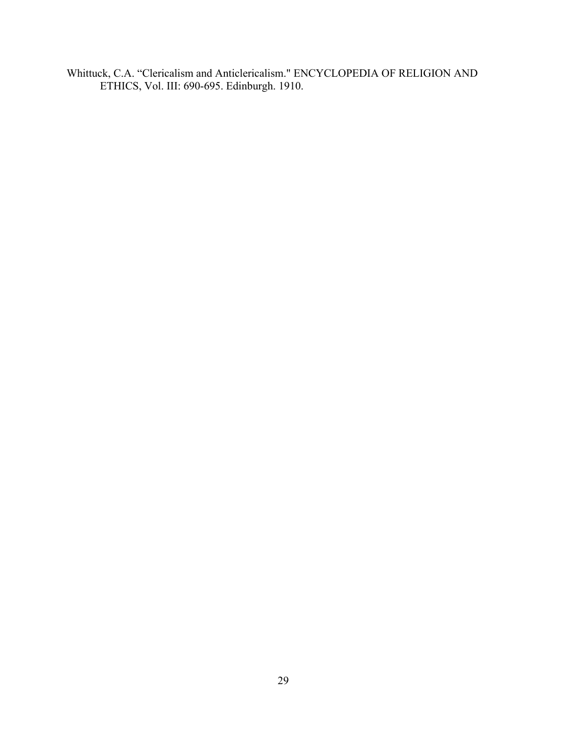Whittuck, C.A. "Clericalism and Anticlericalism." ENCYCLOPEDIA OF RELIGION AND ETHICS, Vol. III: 690-695. Edinburgh. 1910.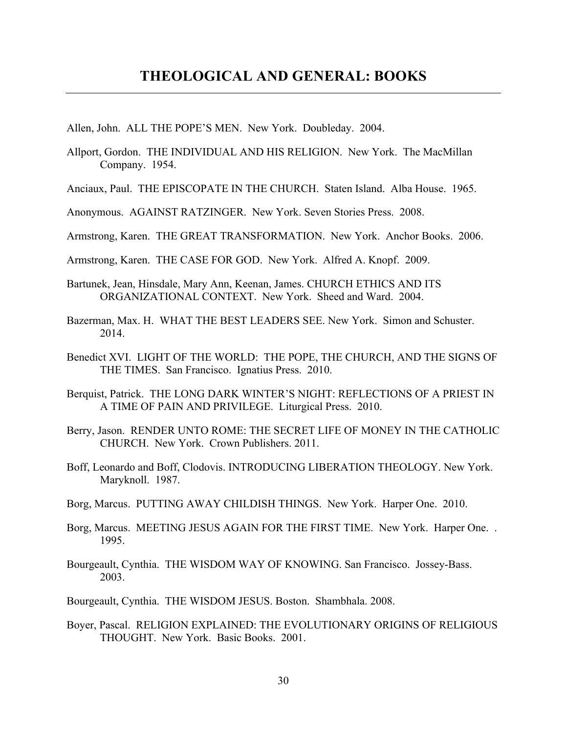- Allen, John. ALL THE POPE'S MEN. New York. Doubleday. 2004.
- Allport, Gordon. THE INDIVIDUAL AND HIS RELIGION. New York. The MacMillan Company. 1954.
- Anciaux, Paul. THE EPISCOPATE IN THE CHURCH. Staten Island. Alba House. 1965.
- Anonymous. AGAINST RATZINGER. New York. Seven Stories Press. 2008.

Armstrong, Karen. THE GREAT TRANSFORMATION. New York. Anchor Books. 2006.

- Armstrong, Karen. THE CASE FOR GOD. New York. Alfred A. Knopf. 2009.
- Bartunek, Jean, Hinsdale, Mary Ann, Keenan, James. CHURCH ETHICS AND ITS ORGANIZATIONAL CONTEXT. New York. Sheed and Ward. 2004.
- Bazerman, Max. H. WHAT THE BEST LEADERS SEE. New York. Simon and Schuster. 2014.
- Benedict XVI. LIGHT OF THE WORLD: THE POPE, THE CHURCH, AND THE SIGNS OF THE TIMES. San Francisco. Ignatius Press. 2010.
- Berquist, Patrick. THE LONG DARK WINTER'S NIGHT: REFLECTIONS OF A PRIEST IN A TIME OF PAIN AND PRIVILEGE. Liturgical Press. 2010.
- Berry, Jason. RENDER UNTO ROME: THE SECRET LIFE OF MONEY IN THE CATHOLIC CHURCH. New York. Crown Publishers. 2011.
- Boff, Leonardo and Boff, Clodovis. INTRODUCING LIBERATION THEOLOGY. New York. Maryknoll. 1987.
- Borg, Marcus. PUTTING AWAY CHILDISH THINGS. New York. Harper One. 2010.
- Borg, Marcus. MEETING JESUS AGAIN FOR THE FIRST TIME. New York. Harper One. . 1995.
- Bourgeault, Cynthia. THE WISDOM WAY OF KNOWING. San Francisco. Jossey-Bass. 2003.

Bourgeault, Cynthia. THE WISDOM JESUS. Boston. Shambhala. 2008.

Boyer, Pascal. RELIGION EXPLAINED: THE EVOLUTIONARY ORIGINS OF RELIGIOUS THOUGHT. New York. Basic Books. 2001.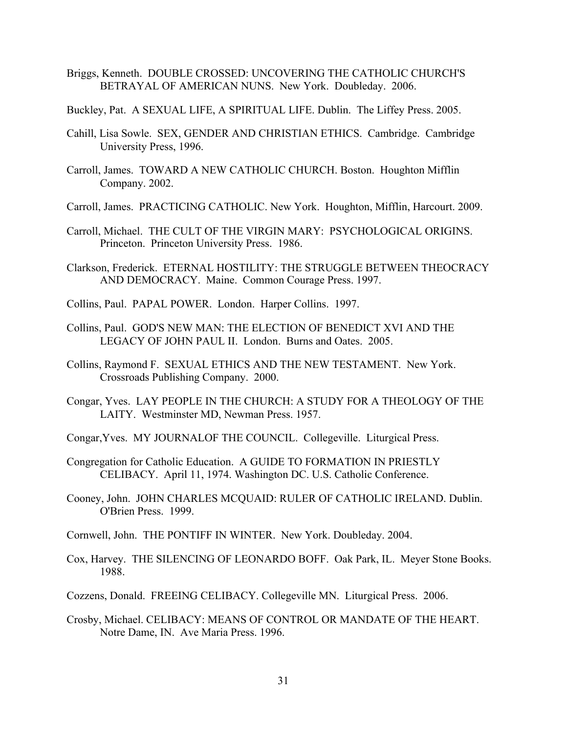- Briggs, Kenneth. DOUBLE CROSSED: UNCOVERING THE CATHOLIC CHURCH'S BETRAYAL OF AMERICAN NUNS. New York. Doubleday. 2006.
- Buckley, Pat. A SEXUAL LIFE, A SPIRITUAL LIFE. Dublin. The Liffey Press. 2005.
- Cahill, Lisa Sowle. SEX, GENDER AND CHRISTIAN ETHICS. Cambridge. Cambridge University Press, 1996.
- Carroll, James. TOWARD A NEW CATHOLIC CHURCH. Boston. Houghton Mifflin Company. 2002.
- Carroll, James. PRACTICING CATHOLIC. New York. Houghton, Mifflin, Harcourt. 2009.
- Carroll, Michael. THE CULT OF THE VIRGIN MARY: PSYCHOLOGICAL ORIGINS. Princeton. Princeton University Press. 1986.
- Clarkson, Frederick. ETERNAL HOSTILITY: THE STRUGGLE BETWEEN THEOCRACY AND DEMOCRACY. Maine. Common Courage Press. 1997.
- Collins, Paul. PAPAL POWER. London. Harper Collins. 1997.
- Collins, Paul. GOD'S NEW MAN: THE ELECTION OF BENEDICT XVI AND THE LEGACY OF JOHN PAUL II. London. Burns and Oates. 2005.
- Collins, Raymond F. SEXUAL ETHICS AND THE NEW TESTAMENT. New York. Crossroads Publishing Company. 2000.
- Congar, Yves. LAY PEOPLE IN THE CHURCH: A STUDY FOR A THEOLOGY OF THE LAITY. Westminster MD, Newman Press. 1957.
- Congar,Yves. MY JOURNALOF THE COUNCIL. Collegeville. Liturgical Press.
- Congregation for Catholic Education. A GUIDE TO FORMATION IN PRIESTLY CELIBACY. April 11, 1974. Washington DC. U.S. Catholic Conference.
- Cooney, John. JOHN CHARLES MCQUAID: RULER OF CATHOLIC IRELAND. Dublin. O'Brien Press. 1999.
- Cornwell, John. THE PONTIFF IN WINTER. New York. Doubleday. 2004.
- Cox, Harvey. THE SILENCING OF LEONARDO BOFF. Oak Park, IL. Meyer Stone Books. 1988.
- Cozzens, Donald. FREEING CELIBACY. Collegeville MN. Liturgical Press. 2006.
- Crosby, Michael. CELIBACY: MEANS OF CONTROL OR MANDATE OF THE HEART. Notre Dame, IN. Ave Maria Press. 1996.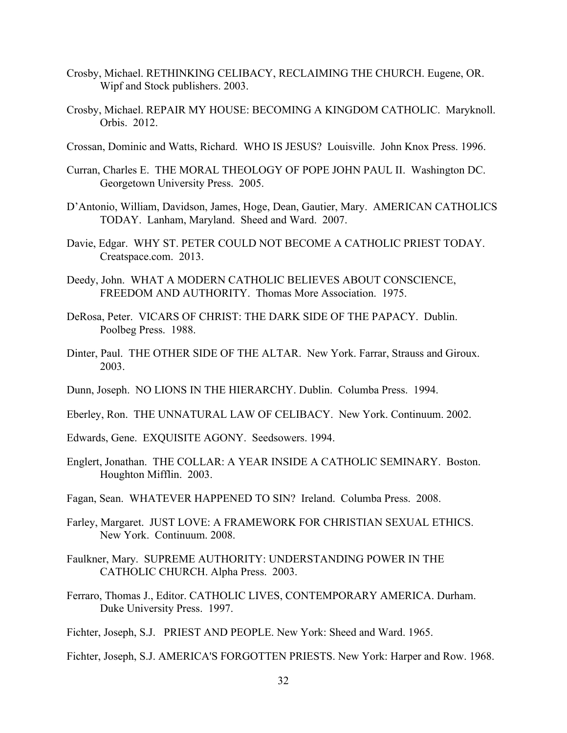- Crosby, Michael. RETHINKING CELIBACY, RECLAIMING THE CHURCH. Eugene, OR. Wipf and Stock publishers. 2003.
- Crosby, Michael. REPAIR MY HOUSE: BECOMING A KINGDOM CATHOLIC. Maryknoll. Orbis. 2012.
- Crossan, Dominic and Watts, Richard. WHO IS JESUS? Louisville. John Knox Press. 1996.
- Curran, Charles E. THE MORAL THEOLOGY OF POPE JOHN PAUL II. Washington DC. Georgetown University Press. 2005.
- D'Antonio, William, Davidson, James, Hoge, Dean, Gautier, Mary. AMERICAN CATHOLICS TODAY. Lanham, Maryland. Sheed and Ward. 2007.
- Davie, Edgar. WHY ST. PETER COULD NOT BECOME A CATHOLIC PRIEST TODAY. Creatspace.com. 2013.
- Deedy, John. WHAT A MODERN CATHOLIC BELIEVES ABOUT CONSCIENCE, FREEDOM AND AUTHORITY. Thomas More Association. 1975.
- DeRosa, Peter. VICARS OF CHRIST: THE DARK SIDE OF THE PAPACY. Dublin. Poolbeg Press. 1988.
- Dinter, Paul. THE OTHER SIDE OF THE ALTAR. New York. Farrar, Strauss and Giroux. 2003.
- Dunn, Joseph. NO LIONS IN THE HIERARCHY. Dublin. Columba Press. 1994.
- Eberley, Ron. THE UNNATURAL LAW OF CELIBACY. New York. Continuum. 2002.
- Edwards, Gene. EXQUISITE AGONY. Seedsowers. 1994.
- Englert, Jonathan. THE COLLAR: A YEAR INSIDE A CATHOLIC SEMINARY. Boston. Houghton Mifflin. 2003.
- Fagan, Sean. WHATEVER HAPPENED TO SIN? Ireland. Columba Press. 2008.
- Farley, Margaret. JUST LOVE: A FRAMEWORK FOR CHRISTIAN SEXUAL ETHICS. New York. Continuum. 2008.
- Faulkner, Mary. SUPREME AUTHORITY: UNDERSTANDING POWER IN THE CATHOLIC CHURCH. Alpha Press. 2003.
- Ferraro, Thomas J., Editor. CATHOLIC LIVES, CONTEMPORARY AMERICA. Durham. Duke University Press. 1997.

Fichter, Joseph, S.J. PRIEST AND PEOPLE. New York: Sheed and Ward. 1965.

Fichter, Joseph, S.J. AMERICA'S FORGOTTEN PRIESTS. New York: Harper and Row. 1968.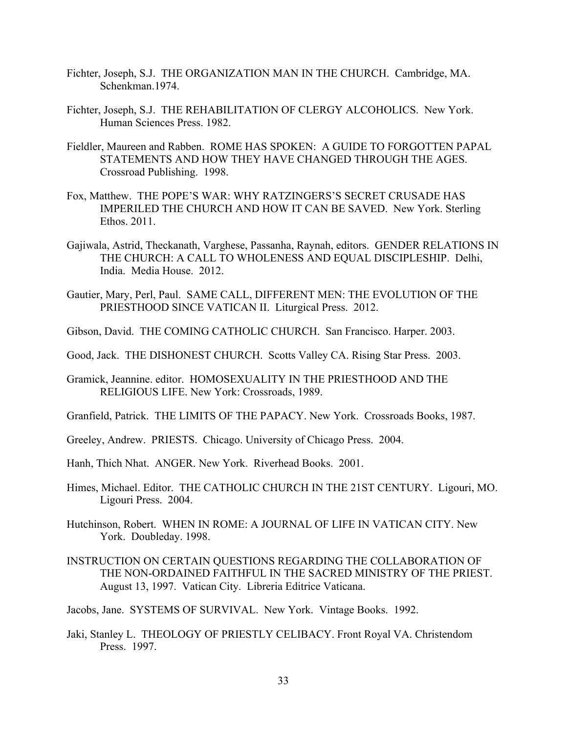- Fichter, Joseph, S.J. THE ORGANIZATION MAN IN THE CHURCH. Cambridge, MA. Schenkman.1974.
- Fichter, Joseph, S.J. THE REHABILITATION OF CLERGY ALCOHOLICS. New York. Human Sciences Press. 1982.
- Fieldler, Maureen and Rabben. ROME HAS SPOKEN: A GUIDE TO FORGOTTEN PAPAL STATEMENTS AND HOW THEY HAVE CHANGED THROUGH THE AGES. Crossroad Publishing. 1998.
- Fox, Matthew. THE POPE'S WAR: WHY RATZINGERS'S SECRET CRUSADE HAS IMPERILED THE CHURCH AND HOW IT CAN BE SAVED. New York. Sterling Ethos. 2011.
- Gajiwala, Astrid, Theckanath, Varghese, Passanha, Raynah, editors. GENDER RELATIONS IN THE CHURCH: A CALL TO WHOLENESS AND EQUAL DISCIPLESHIP. Delhi, India. Media House. 2012.
- Gautier, Mary, Perl, Paul. SAME CALL, DIFFERENT MEN: THE EVOLUTION OF THE PRIESTHOOD SINCE VATICAN II. Liturgical Press. 2012.
- Gibson, David. THE COMING CATHOLIC CHURCH. San Francisco. Harper. 2003.
- Good, Jack. THE DISHONEST CHURCH. Scotts Valley CA. Rising Star Press. 2003.
- Gramick, Jeannine. editor. HOMOSEXUALITY IN THE PRIESTHOOD AND THE RELIGIOUS LIFE. New York: Crossroads, 1989.
- Granfield, Patrick. THE LIMITS OF THE PAPACY. New York. Crossroads Books, 1987.
- Greeley, Andrew. PRIESTS. Chicago. University of Chicago Press. 2004.
- Hanh, Thich Nhat. ANGER. New York. Riverhead Books. 2001.
- Himes, Michael. Editor. THE CATHOLIC CHURCH IN THE 21ST CENTURY. Ligouri, MO. Ligouri Press. 2004.
- Hutchinson, Robert. WHEN IN ROME: A JOURNAL OF LIFE IN VATICAN CITY. New York. Doubleday. 1998.
- INSTRUCTION ON CERTAIN QUESTIONS REGARDING THE COLLABORATION OF THE NON-ORDAINED FAITHFUL IN THE SACRED MINISTRY OF THE PRIEST. August 13, 1997. Vatican City. Libreria Editrice Vaticana.
- Jacobs, Jane. SYSTEMS OF SURVIVAL. New York. Vintage Books. 1992.
- Jaki, Stanley L. THEOLOGY OF PRIESTLY CELIBACY. Front Royal VA. Christendom Press. 1997.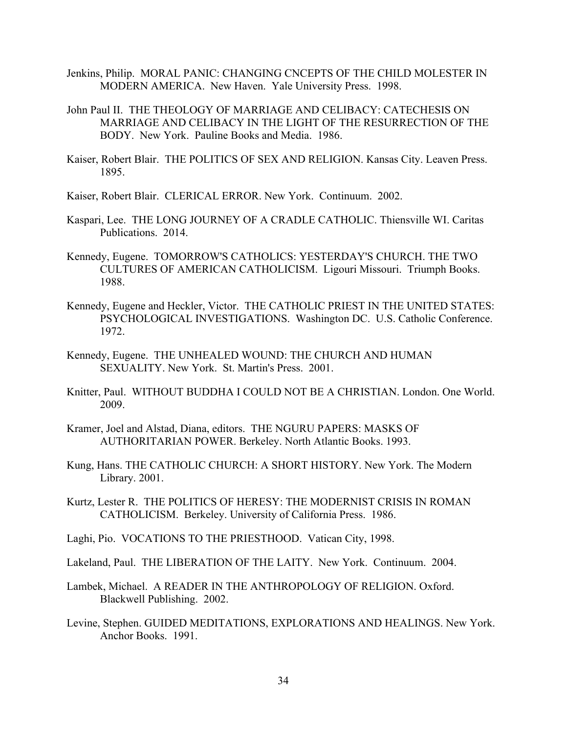- Jenkins, Philip. MORAL PANIC: CHANGING CNCEPTS OF THE CHILD MOLESTER IN MODERN AMERICA. New Haven. Yale University Press. 1998.
- John Paul II. THE THEOLOGY OF MARRIAGE AND CELIBACY: CATECHESIS ON MARRIAGE AND CELIBACY IN THE LIGHT OF THE RESURRECTION OF THE BODY. New York. Pauline Books and Media. 1986.
- Kaiser, Robert Blair. THE POLITICS OF SEX AND RELIGION. Kansas City. Leaven Press. 1895.

Kaiser, Robert Blair. CLERICAL ERROR. New York. Continuum. 2002.

- Kaspari, Lee. THE LONG JOURNEY OF A CRADLE CATHOLIC. Thiensville WI. Caritas Publications. 2014.
- Kennedy, Eugene. TOMORROW'S CATHOLICS: YESTERDAY'S CHURCH. THE TWO CULTURES OF AMERICAN CATHOLICISM. Ligouri Missouri. Triumph Books. 1988.
- Kennedy, Eugene and Heckler, Victor. THE CATHOLIC PRIEST IN THE UNITED STATES: PSYCHOLOGICAL INVESTIGATIONS. Washington DC. U.S. Catholic Conference. 1972.
- Kennedy, Eugene. THE UNHEALED WOUND: THE CHURCH AND HUMAN SEXUALITY. New York. St. Martin's Press. 2001.
- Knitter, Paul. WITHOUT BUDDHA I COULD NOT BE A CHRISTIAN. London. One World. 2009.
- Kramer, Joel and Alstad, Diana, editors. THE NGURU PAPERS: MASKS OF AUTHORITARIAN POWER. Berkeley. North Atlantic Books. 1993.
- Kung, Hans. THE CATHOLIC CHURCH: A SHORT HISTORY. New York. The Modern Library. 2001.
- Kurtz, Lester R. THE POLITICS OF HERESY: THE MODERNIST CRISIS IN ROMAN CATHOLICISM. Berkeley. University of California Press. 1986.
- Laghi, Pio. VOCATIONS TO THE PRIESTHOOD. Vatican City, 1998.
- Lakeland, Paul. THE LIBERATION OF THE LAITY. New York. Continuum. 2004.
- Lambek, Michael. A READER IN THE ANTHROPOLOGY OF RELIGION. Oxford. Blackwell Publishing. 2002.
- Levine, Stephen. GUIDED MEDITATIONS, EXPLORATIONS AND HEALINGS. New York. Anchor Books. 1991.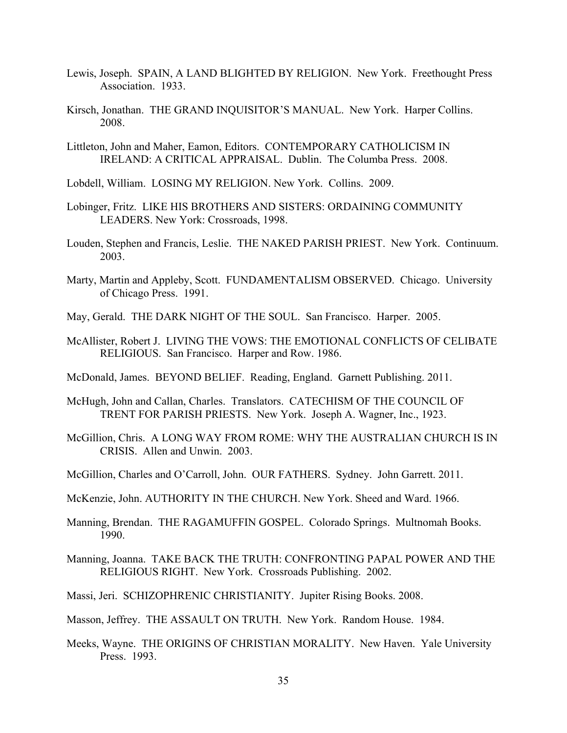- Lewis, Joseph. SPAIN, A LAND BLIGHTED BY RELIGION. New York. Freethought Press Association. 1933.
- Kirsch, Jonathan. THE GRAND INQUISITOR'S MANUAL. New York. Harper Collins. 2008.
- Littleton, John and Maher, Eamon, Editors. CONTEMPORARY CATHOLICISM IN IRELAND: A CRITICAL APPRAISAL. Dublin. The Columba Press. 2008.
- Lobdell, William. LOSING MY RELIGION. New York. Collins. 2009.
- Lobinger, Fritz. LIKE HIS BROTHERS AND SISTERS: ORDAINING COMMUNITY LEADERS. New York: Crossroads, 1998.
- Louden, Stephen and Francis, Leslie. THE NAKED PARISH PRIEST. New York. Continuum. 2003.
- Marty, Martin and Appleby, Scott. FUNDAMENTALISM OBSERVED. Chicago. University of Chicago Press. 1991.
- May, Gerald. THE DARK NIGHT OF THE SOUL. San Francisco. Harper. 2005.
- McAllister, Robert J. LIVING THE VOWS: THE EMOTIONAL CONFLICTS OF CELIBATE RELIGIOUS. San Francisco. Harper and Row. 1986.
- McDonald, James. BEYOND BELIEF. Reading, England. Garnett Publishing. 2011.
- McHugh, John and Callan, Charles. Translators. CATECHISM OF THE COUNCIL OF TRENT FOR PARISH PRIESTS. New York. Joseph A. Wagner, Inc., 1923.
- McGillion, Chris. A LONG WAY FROM ROME: WHY THE AUSTRALIAN CHURCH IS IN CRISIS. Allen and Unwin. 2003.
- McGillion, Charles and O'Carroll, John. OUR FATHERS. Sydney. John Garrett. 2011.
- McKenzie, John. AUTHORITY IN THE CHURCH. New York. Sheed and Ward. 1966.
- Manning, Brendan. THE RAGAMUFFIN GOSPEL. Colorado Springs. Multnomah Books. 1990.
- Manning, Joanna. TAKE BACK THE TRUTH: CONFRONTING PAPAL POWER AND THE RELIGIOUS RIGHT. New York. Crossroads Publishing. 2002.
- Massi, Jeri. SCHIZOPHRENIC CHRISTIANITY. Jupiter Rising Books. 2008.
- Masson, Jeffrey. THE ASSAULT ON TRUTH. New York. Random House. 1984.
- Meeks, Wayne. THE ORIGINS OF CHRISTIAN MORALITY. New Haven. Yale University Press. 1993.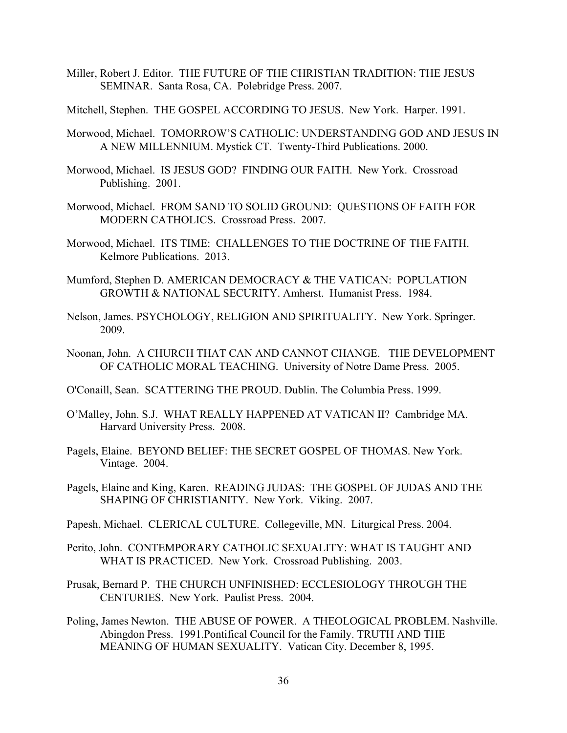Miller, Robert J. Editor. THE FUTURE OF THE CHRISTIAN TRADITION: THE JESUS SEMINAR. Santa Rosa, CA. Polebridge Press. 2007.

Mitchell, Stephen. THE GOSPEL ACCORDING TO JESUS. New York. Harper. 1991.

- Morwood, Michael. TOMORROW'S CATHOLIC: UNDERSTANDING GOD AND JESUS IN A NEW MILLENNIUM. Mystick CT. Twenty-Third Publications. 2000.
- Morwood, Michael. IS JESUS GOD? FINDING OUR FAITH. New York. Crossroad Publishing. 2001.
- Morwood, Michael. FROM SAND TO SOLID GROUND: QUESTIONS OF FAITH FOR MODERN CATHOLICS. Crossroad Press. 2007.
- Morwood, Michael. ITS TIME: CHALLENGES TO THE DOCTRINE OF THE FAITH. Kelmore Publications. 2013.
- Mumford, Stephen D. AMERICAN DEMOCRACY & THE VATICAN: POPULATION GROWTH & NATIONAL SECURITY. Amherst. Humanist Press. 1984.
- Nelson, James. PSYCHOLOGY, RELIGION AND SPIRITUALITY. New York. Springer. 2009.
- Noonan, John. A CHURCH THAT CAN AND CANNOT CHANGE. THE DEVELOPMENT OF CATHOLIC MORAL TEACHING. University of Notre Dame Press. 2005.
- O'Conaill, Sean. SCATTERING THE PROUD. Dublin. The Columbia Press. 1999.
- O'Malley, John. S.J. WHAT REALLY HAPPENED AT VATICAN II? Cambridge MA. Harvard University Press. 2008.
- Pagels, Elaine. BEYOND BELIEF: THE SECRET GOSPEL OF THOMAS. New York. Vintage. 2004.
- Pagels, Elaine and King, Karen. READING JUDAS: THE GOSPEL OF JUDAS AND THE SHAPING OF CHRISTIANITY. New York. Viking. 2007.
- Papesh, Michael. CLERICAL CULTURE. Collegeville, MN. Liturgical Press. 2004.
- Perito, John. CONTEMPORARY CATHOLIC SEXUALITY: WHAT IS TAUGHT AND WHAT IS PRACTICED. New York. Crossroad Publishing. 2003.
- Prusak, Bernard P. THE CHURCH UNFINISHED: ECCLESIOLOGY THROUGH THE CENTURIES. New York. Paulist Press. 2004.
- Poling, James Newton. THE ABUSE OF POWER. A THEOLOGICAL PROBLEM. Nashville. Abingdon Press. 1991.Pontifical Council for the Family. TRUTH AND THE MEANING OF HUMAN SEXUALITY. Vatican City. December 8, 1995.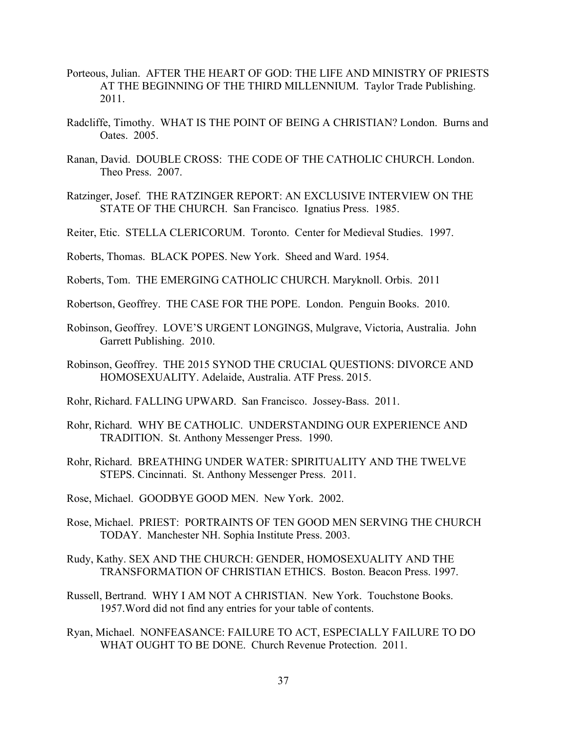- Porteous, Julian. AFTER THE HEART OF GOD: THE LIFE AND MINISTRY OF PRIESTS AT THE BEGINNING OF THE THIRD MILLENNIUM. Taylor Trade Publishing. 2011.
- Radcliffe, Timothy. WHAT IS THE POINT OF BEING A CHRISTIAN? London. Burns and Oates. 2005.
- Ranan, David. DOUBLE CROSS: THE CODE OF THE CATHOLIC CHURCH. London. Theo Press. 2007.
- Ratzinger, Josef. THE RATZINGER REPORT: AN EXCLUSIVE INTERVIEW ON THE STATE OF THE CHURCH. San Francisco. Ignatius Press. 1985.
- Reiter, Etic. STELLA CLERICORUM. Toronto. Center for Medieval Studies. 1997.
- Roberts, Thomas. BLACK POPES. New York. Sheed and Ward. 1954.
- Roberts, Tom. THE EMERGING CATHOLIC CHURCH. Maryknoll. Orbis. 2011
- Robertson, Geoffrey. THE CASE FOR THE POPE. London. Penguin Books. 2010.
- Robinson, Geoffrey. LOVE'S URGENT LONGINGS, Mulgrave, Victoria, Australia. John Garrett Publishing. 2010.
- Robinson, Geoffrey. THE 2015 SYNOD THE CRUCIAL QUESTIONS: DIVORCE AND HOMOSEXUALITY. Adelaide, Australia. ATF Press. 2015.
- Rohr, Richard. FALLING UPWARD. San Francisco. Jossey-Bass. 2011.
- Rohr, Richard. WHY BE CATHOLIC. UNDERSTANDING OUR EXPERIENCE AND TRADITION. St. Anthony Messenger Press. 1990.
- Rohr, Richard. BREATHING UNDER WATER: SPIRITUALITY AND THE TWELVE STEPS. Cincinnati. St. Anthony Messenger Press. 2011.
- Rose, Michael. GOODBYE GOOD MEN. New York. 2002.
- Rose, Michael. PRIEST: PORTRAINTS OF TEN GOOD MEN SERVING THE CHURCH TODAY. Manchester NH. Sophia Institute Press. 2003.
- Rudy, Kathy. SEX AND THE CHURCH: GENDER, HOMOSEXUALITY AND THE TRANSFORMATION OF CHRISTIAN ETHICS. Boston. Beacon Press. 1997.
- Russell, Bertrand. WHY I AM NOT A CHRISTIAN. New York. Touchstone Books. 1957.Word did not find any entries for your table of contents.
- Ryan, Michael. NONFEASANCE: FAILURE TO ACT, ESPECIALLY FAILURE TO DO WHAT OUGHT TO BE DONE. Church Revenue Protection. 2011.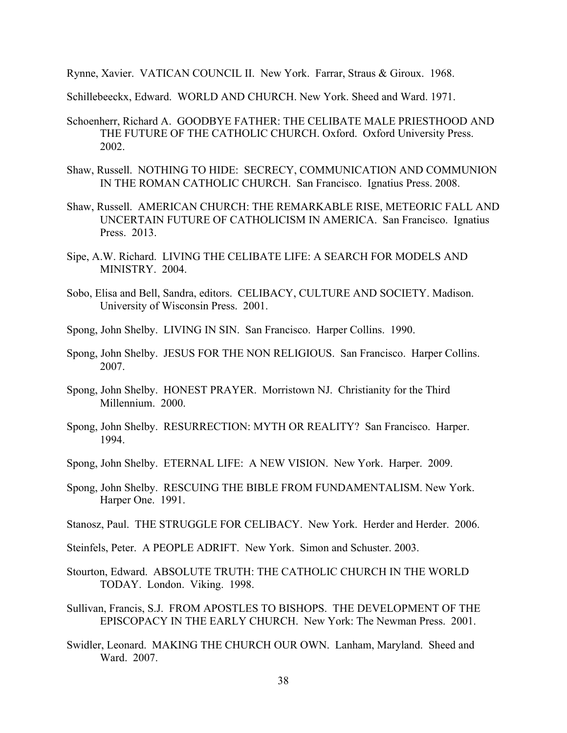Rynne, Xavier. VATICAN COUNCIL II. New York. Farrar, Straus & Giroux. 1968.

Schillebeeckx, Edward. WORLD AND CHURCH. New York. Sheed and Ward. 1971.

- Schoenherr, Richard A. GOODBYE FATHER: THE CELIBATE MALE PRIESTHOOD AND THE FUTURE OF THE CATHOLIC CHURCH. Oxford. Oxford University Press. 2002.
- Shaw, Russell. NOTHING TO HIDE: SECRECY, COMMUNICATION AND COMMUNION IN THE ROMAN CATHOLIC CHURCH. San Francisco. Ignatius Press. 2008.
- Shaw, Russell. AMERICAN CHURCH: THE REMARKABLE RISE, METEORIC FALL AND UNCERTAIN FUTURE OF CATHOLICISM IN AMERICA. San Francisco. Ignatius Press. 2013.
- Sipe, A.W. Richard. LIVING THE CELIBATE LIFE: A SEARCH FOR MODELS AND MINISTRY. 2004.
- Sobo, Elisa and Bell, Sandra, editors. CELIBACY, CULTURE AND SOCIETY. Madison. University of Wisconsin Press. 2001.
- Spong, John Shelby. LIVING IN SIN. San Francisco. Harper Collins. 1990.
- Spong, John Shelby. JESUS FOR THE NON RELIGIOUS. San Francisco. Harper Collins. 2007.
- Spong, John Shelby. HONEST PRAYER. Morristown NJ. Christianity for the Third Millennium. 2000.
- Spong, John Shelby. RESURRECTION: MYTH OR REALITY? San Francisco. Harper. 1994.
- Spong, John Shelby. ETERNAL LIFE: A NEW VISION. New York. Harper. 2009.
- Spong, John Shelby. RESCUING THE BIBLE FROM FUNDAMENTALISM. New York. Harper One. 1991.
- Stanosz, Paul. THE STRUGGLE FOR CELIBACY. New York. Herder and Herder. 2006.
- Steinfels, Peter. A PEOPLE ADRIFT. New York. Simon and Schuster. 2003.
- Stourton, Edward. ABSOLUTE TRUTH: THE CATHOLIC CHURCH IN THE WORLD TODAY. London. Viking. 1998.
- Sullivan, Francis, S.J. FROM APOSTLES TO BISHOPS. THE DEVELOPMENT OF THE EPISCOPACY IN THE EARLY CHURCH. New York: The Newman Press. 2001.
- Swidler, Leonard. MAKING THE CHURCH OUR OWN. Lanham, Maryland. Sheed and Ward. 2007.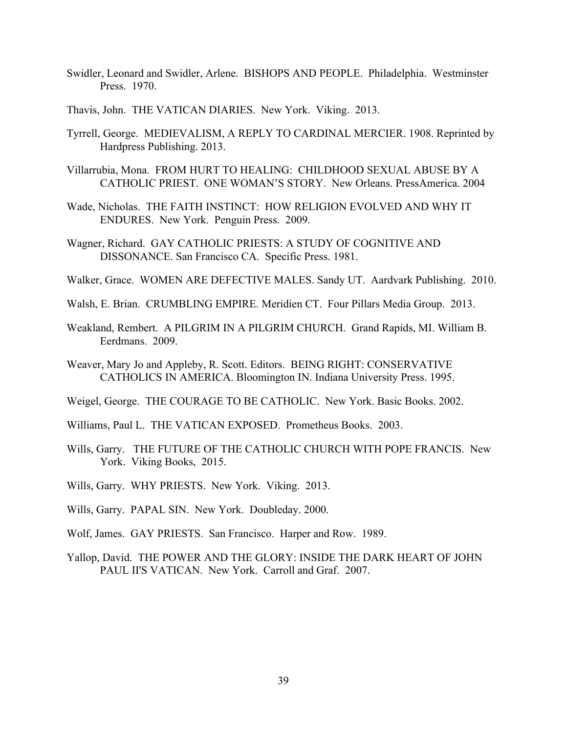- Swidler, Leonard and Swidler, Arlene. BISHOPS AND PEOPLE. Philadelphia. Westminster Press. 1970.
- Thavis, John. THE VATICAN DIARIES. New York. Viking. 2013.
- Tyrrell, George. MEDIEVALISM, A REPLY TO CARDINAL MERCIER. 1908. Reprinted by Hardpress Publishing. 2013.
- Villarrubia, Mona. FROM HURT TO HEALING: CHILDHOOD SEXUAL ABUSE BY A CATHOLIC PRIEST. ONE WOMAN'S STORY. New Orleans. PressAmerica. 2004
- Wade, Nicholas. THE FAITH INSTINCT: HOW RELIGION EVOLVED AND WHY IT ENDURES. New York. Penguin Press. 2009.
- Wagner, Richard. GAY CATHOLIC PRIESTS: A STUDY OF COGNITIVE AND DISSONANCE. San Francisco CA. Specific Press. 1981.
- Walker, Grace. WOMEN ARE DEFECTIVE MALES. Sandy UT. Aardvark Publishing. 2010.
- Walsh, E. Brian. CRUMBLING EMPIRE. Meridien CT. Four Pillars Media Group. 2013.
- Weakland, Rembert. A PILGRIM IN A PILGRIM CHURCH. Grand Rapids, MI. William B. Eerdmans. 2009.
- Weaver, Mary Jo and Appleby, R. Scott. Editors. BEING RIGHT: CONSERVATIVE CATHOLICS IN AMERICA. Bloomington IN. Indiana University Press. 1995.
- Weigel, George. THE COURAGE TO BE CATHOLIC. New York. Basic Books. 2002.
- Williams, Paul L. THE VATICAN EXPOSED. Prometheus Books. 2003.
- Wills, Garry. THE FUTURE OF THE CATHOLIC CHURCH WITH POPE FRANCIS. New York. Viking Books, 2015.
- Wills, Garry. WHY PRIESTS. New York. Viking. 2013.
- Wills, Garry. PAPAL SIN. New York. Doubleday. 2000.
- Wolf, James. GAY PRIESTS. San Francisco. Harper and Row. 1989.
- Yallop, David. THE POWER AND THE GLORY: INSIDE THE DARK HEART OF JOHN PAUL II'S VATICAN. New York. Carroll and Graf. 2007.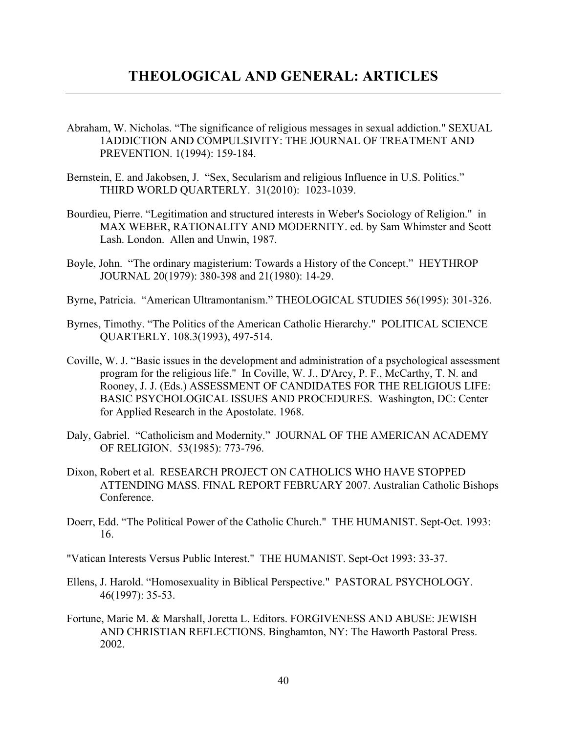- Abraham, W. Nicholas. "The significance of religious messages in sexual addiction." SEXUAL 1ADDICTION AND COMPULSIVITY: THE JOURNAL OF TREATMENT AND PREVENTION. 1(1994): 159-184.
- Bernstein, E. and Jakobsen, J. "Sex, Secularism and religious Influence in U.S. Politics." THIRD WORLD QUARTERLY. 31(2010): 1023-1039.
- Bourdieu, Pierre. "Legitimation and structured interests in Weber's Sociology of Religion." in MAX WEBER, RATIONALITY AND MODERNITY. ed. by Sam Whimster and Scott Lash. London. Allen and Unwin, 1987.
- Boyle, John. "The ordinary magisterium: Towards a History of the Concept." HEYTHROP JOURNAL 20(1979): 380-398 and 21(1980): 14-29.
- Byrne, Patricia. "American Ultramontanism." THEOLOGICAL STUDIES 56(1995): 301-326.
- Byrnes, Timothy. "The Politics of the American Catholic Hierarchy." POLITICAL SCIENCE QUARTERLY. 108.3(1993), 497-514.
- Coville, W. J. "Basic issues in the development and administration of a psychological assessment program for the religious life." In Coville, W. J., D'Arcy, P. F., McCarthy, T. N. and Rooney, J. J. (Eds.) ASSESSMENT OF CANDIDATES FOR THE RELIGIOUS LIFE: BASIC PSYCHOLOGICAL ISSUES AND PROCEDURES. Washington, DC: Center for Applied Research in the Apostolate. 1968.
- Daly, Gabriel. "Catholicism and Modernity." JOURNAL OF THE AMERICAN ACADEMY OF RELIGION. 53(1985): 773-796.
- Dixon, Robert et al. RESEARCH PROJECT ON CATHOLICS WHO HAVE STOPPED ATTENDING MASS. FINAL REPORT FEBRUARY 2007. Australian Catholic Bishops Conference.
- Doerr, Edd. "The Political Power of the Catholic Church." THE HUMANIST. Sept-Oct. 1993: 16.

"Vatican Interests Versus Public Interest." THE HUMANIST. Sept-Oct 1993: 33-37.

- Ellens, J. Harold. "Homosexuality in Biblical Perspective." PASTORAL PSYCHOLOGY. 46(1997): 35-53.
- Fortune, Marie M. & Marshall, Joretta L. Editors. FORGIVENESS AND ABUSE: JEWISH AND CHRISTIAN REFLECTIONS. Binghamton, NY: The Haworth Pastoral Press. 2002.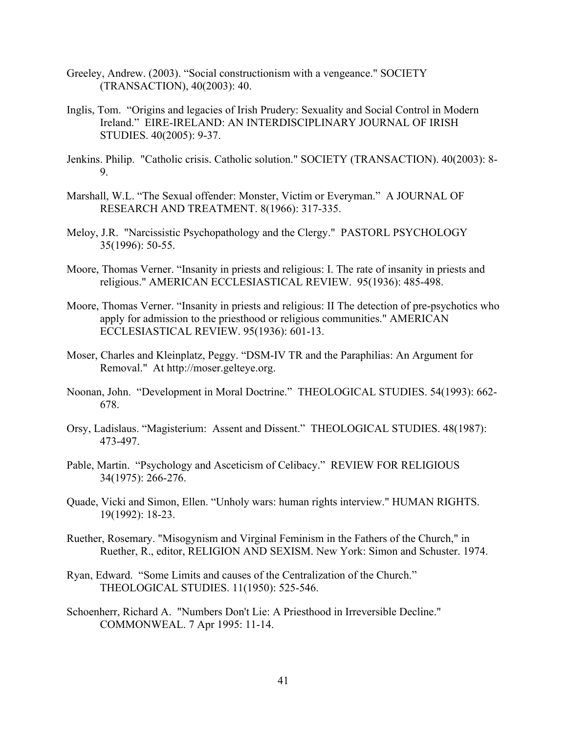- Greeley, Andrew. (2003). "Social constructionism with a vengeance." SOCIETY (TRANSACTION), 40(2003): 40.
- Inglis, Tom. "Origins and legacies of Irish Prudery: Sexuality and Social Control in Modern Ireland." EIRE-IRELAND: AN INTERDISCIPLINARY JOURNAL OF IRISH STUDIES. 40(2005): 9-37.
- Jenkins. Philip. "Catholic crisis. Catholic solution." SOCIETY (TRANSACTION). 40(2003): 8- 9.
- Marshall, W.L. "The Sexual offender: Monster, Victim or Everyman." A JOURNAL OF RESEARCH AND TREATMENT. 8(1966): 317-335.
- Meloy, J.R. "Narcissistic Psychopathology and the Clergy." PASTORL PSYCHOLOGY 35(1996): 50-55.
- Moore, Thomas Verner. "Insanity in priests and religious: I. The rate of insanity in priests and religious." AMERICAN ECCLESIASTICAL REVIEW. 95(1936): 485-498.
- Moore, Thomas Verner. "Insanity in priests and religious: II The detection of pre-psychotics who apply for admission to the priesthood or religious communities." AMERICAN ECCLESIASTICAL REVIEW. 95(1936): 601-13.
- Moser, Charles and Kleinplatz, Peggy. "DSM-IV TR and the Paraphilias: An Argument for Removal." At http://moser.gelteye.org.
- Noonan, John. "Development in Moral Doctrine." THEOLOGICAL STUDIES. 54(1993): 662- 678.
- Orsy, Ladislaus. "Magisterium: Assent and Dissent." THEOLOGICAL STUDIES. 48(1987): 473-497.
- Pable, Martin. "Psychology and Asceticism of Celibacy." REVIEW FOR RELIGIOUS 34(1975): 266-276.
- Quade, Vicki and Simon, Ellen. "Unholy wars: human rights interview." HUMAN RIGHTS. 19(1992): 18-23.
- Ruether, Rosemary. "Misogynism and Virginal Feminism in the Fathers of the Church," in Ruether, R., editor, RELIGION AND SEXISM. New York: Simon and Schuster. 1974.
- Ryan, Edward. "Some Limits and causes of the Centralization of the Church." THEOLOGICAL STUDIES. 11(1950): 525-546.
- Schoenherr, Richard A. "Numbers Don't Lie: A Priesthood in Irreversible Decline." COMMONWEAL. 7 Apr 1995: 11-14.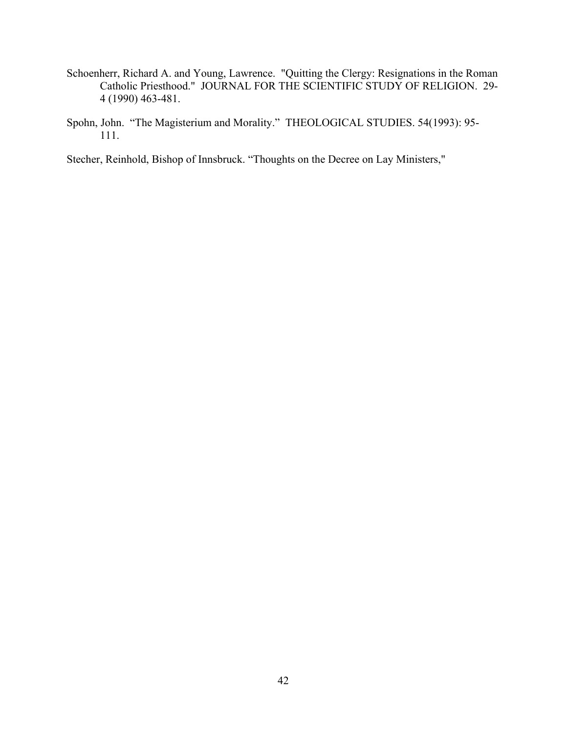- Schoenherr, Richard A. and Young, Lawrence. "Quitting the Clergy: Resignations in the Roman Catholic Priesthood." JOURNAL FOR THE SCIENTIFIC STUDY OF RELIGION. 29- 4 (1990) 463-481.
- Spohn, John. "The Magisterium and Morality." THEOLOGICAL STUDIES. 54(1993): 95- 111.

Stecher, Reinhold, Bishop of Innsbruck. "Thoughts on the Decree on Lay Ministers,"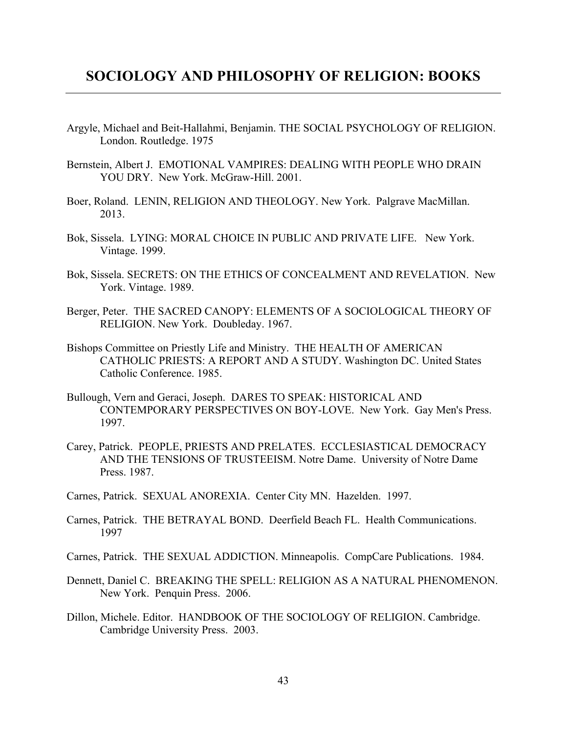## **SOCIOLOGY AND PHILOSOPHY OF RELIGION: BOOKS**

- Argyle, Michael and Beit-Hallahmi, Benjamin. THE SOCIAL PSYCHOLOGY OF RELIGION. London. Routledge. 1975
- Bernstein, Albert J. EMOTIONAL VAMPIRES: DEALING WITH PEOPLE WHO DRAIN YOU DRY. New York. McGraw-Hill. 2001.
- Boer, Roland. LENIN, RELIGION AND THEOLOGY. New York. Palgrave MacMillan. 2013.
- Bok, Sissela. LYING: MORAL CHOICE IN PUBLIC AND PRIVATE LIFE. New York. Vintage. 1999.
- Bok, Sissela. SECRETS: ON THE ETHICS OF CONCEALMENT AND REVELATION. New York. Vintage. 1989.
- Berger, Peter. THE SACRED CANOPY: ELEMENTS OF A SOCIOLOGICAL THEORY OF RELIGION. New York. Doubleday. 1967.
- Bishops Committee on Priestly Life and Ministry. THE HEALTH OF AMERICAN CATHOLIC PRIESTS: A REPORT AND A STUDY. Washington DC. United States Catholic Conference. 1985.
- Bullough, Vern and Geraci, Joseph. DARES TO SPEAK: HISTORICAL AND CONTEMPORARY PERSPECTIVES ON BOY-LOVE. New York. Gay Men's Press. 1997.
- Carey, Patrick. PEOPLE, PRIESTS AND PRELATES. ECCLESIASTICAL DEMOCRACY AND THE TENSIONS OF TRUSTEEISM. Notre Dame. University of Notre Dame Press. 1987.
- Carnes, Patrick. SEXUAL ANOREXIA. Center City MN. Hazelden. 1997.
- Carnes, Patrick. THE BETRAYAL BOND. Deerfield Beach FL. Health Communications. 1997
- Carnes, Patrick. THE SEXUAL ADDICTION. Minneapolis. CompCare Publications. 1984.
- Dennett, Daniel C. BREAKING THE SPELL: RELIGION AS A NATURAL PHENOMENON. New York. Penquin Press. 2006.
- Dillon, Michele. Editor. HANDBOOK OF THE SOCIOLOGY OF RELIGION. Cambridge. Cambridge University Press. 2003.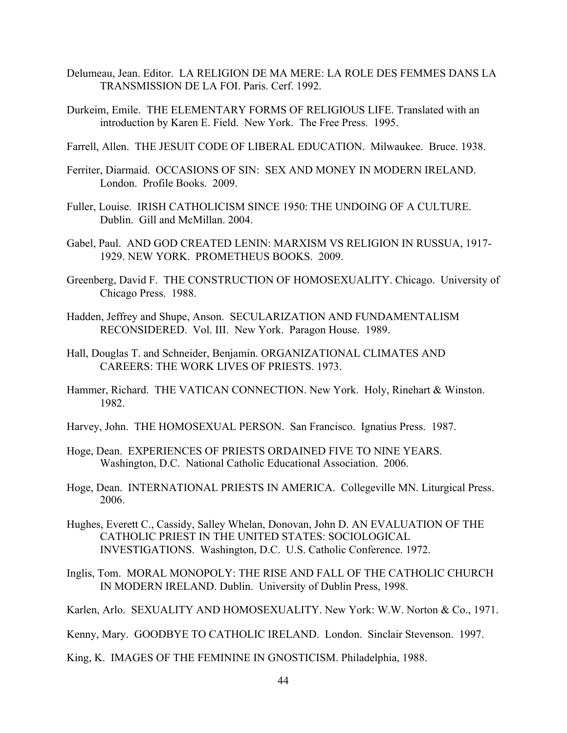- Delumeau, Jean. Editor. LA RELIGION DE MA MERE: LA ROLE DES FEMMES DANS LA TRANSMISSION DE LA FOI. Paris. Cerf. 1992.
- Durkeim, Emile. THE ELEMENTARY FORMS OF RELIGIOUS LIFE. Translated with an introduction by Karen E. Field. New York. The Free Press. 1995.
- Farrell, Allen. THE JESUIT CODE OF LIBERAL EDUCATION. Milwaukee. Bruce. 1938.
- Ferriter, Diarmaid. OCCASIONS OF SIN: SEX AND MONEY IN MODERN IRELAND. London. Profile Books. 2009.
- Fuller, Louise. IRISH CATHOLICISM SINCE 1950: THE UNDOING OF A CULTURE. Dublin. Gill and McMillan. 2004.
- Gabel, Paul. AND GOD CREATED LENIN: MARXISM VS RELIGION IN RUSSUA, 1917- 1929. NEW YORK. PROMETHEUS BOOKS. 2009.
- Greenberg, David F. THE CONSTRUCTION OF HOMOSEXUALITY. Chicago. University of Chicago Press. 1988.
- Hadden, Jeffrey and Shupe, Anson. SECULARIZATION AND FUNDAMENTALISM RECONSIDERED. Vol. III. New York. Paragon House. 1989.
- Hall, Douglas T. and Schneider, Benjamin. ORGANIZATIONAL CLIMATES AND CAREERS: THE WORK LIVES OF PRIESTS. 1973.
- Hammer, Richard. THE VATICAN CONNECTION. New York. Holy, Rinehart & Winston. 1982.
- Harvey, John. THE HOMOSEXUAL PERSON. San Francisco. Ignatius Press. 1987.
- Hoge, Dean. EXPERIENCES OF PRIESTS ORDAINED FIVE TO NINE YEARS. Washington, D.C. National Catholic Educational Association. 2006.
- Hoge, Dean. INTERNATIONAL PRIESTS IN AMERICA. Collegeville MN. Liturgical Press. 2006.
- Hughes, Everett C., Cassidy, Salley Whelan, Donovan, John D. AN EVALUATION OF THE CATHOLIC PRIEST IN THE UNITED STATES: SOCIOLOGICAL INVESTIGATIONS. Washington, D.C. U.S. Catholic Conference. 1972.
- Inglis, Tom. MORAL MONOPOLY: THE RISE AND FALL OF THE CATHOLIC CHURCH IN MODERN IRELAND. Dublin. University of Dublin Press, 1998.
- Karlen, Arlo. SEXUALITY AND HOMOSEXUALITY. New York: W.W. Norton & Co., 1971.

Kenny, Mary. GOODBYE TO CATHOLIC IRELAND. London. Sinclair Stevenson. 1997.

King, K. IMAGES OF THE FEMININE IN GNOSTICISM. Philadelphia, 1988.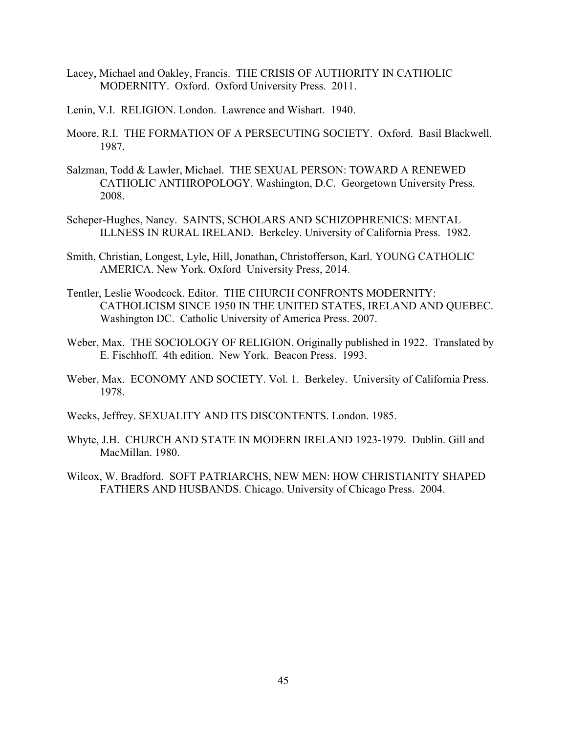- Lacey, Michael and Oakley, Francis. THE CRISIS OF AUTHORITY IN CATHOLIC MODERNITY. Oxford. Oxford University Press. 2011.
- Lenin, V.I. RELIGION. London. Lawrence and Wishart. 1940.
- Moore, R.I. THE FORMATION OF A PERSECUTING SOCIETY. Oxford. Basil Blackwell. 1987.
- Salzman, Todd & Lawler, Michael. THE SEXUAL PERSON: TOWARD A RENEWED CATHOLIC ANTHROPOLOGY. Washington, D.C. Georgetown University Press. 2008.
- Scheper-Hughes, Nancy. SAINTS, SCHOLARS AND SCHIZOPHRENICS: MENTAL ILLNESS IN RURAL IRELAND. Berkeley. University of California Press. 1982.
- Smith, Christian, Longest, Lyle, Hill, Jonathan, Christofferson, Karl. YOUNG CATHOLIC AMERICA. New York. Oxford University Press, 2014.
- Tentler, Leslie Woodcock. Editor. THE CHURCH CONFRONTS MODERNITY: CATHOLICISM SINCE 1950 IN THE UNITED STATES, IRELAND AND QUEBEC. Washington DC. Catholic University of America Press. 2007.
- Weber, Max. THE SOCIOLOGY OF RELIGION. Originally published in 1922. Translated by E. Fischhoff. 4th edition. New York. Beacon Press. 1993.
- Weber, Max. ECONOMY AND SOCIETY. Vol. 1. Berkeley. University of California Press. 1978.
- Weeks, Jeffrey. SEXUALITY AND ITS DISCONTENTS. London. 1985.
- Whyte, J.H. CHURCH AND STATE IN MODERN IRELAND 1923-1979. Dublin. Gill and MacMillan. 1980.
- Wilcox, W. Bradford. SOFT PATRIARCHS, NEW MEN: HOW CHRISTIANITY SHAPED FATHERS AND HUSBANDS. Chicago. University of Chicago Press. 2004.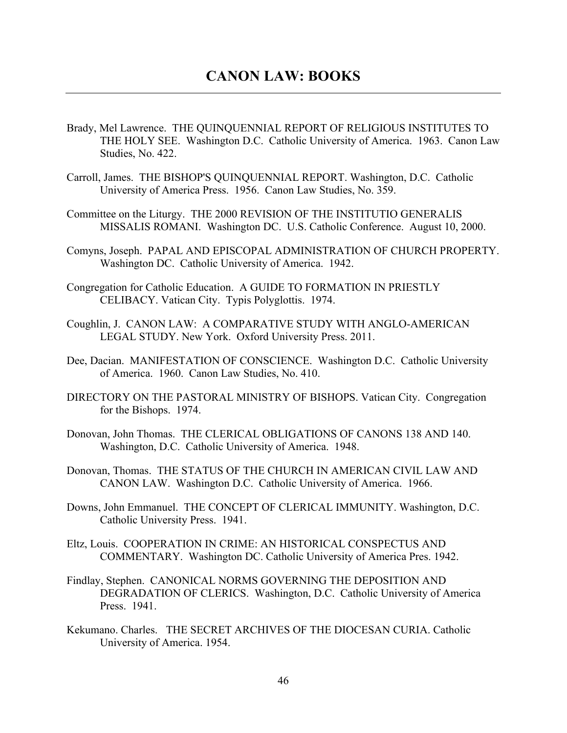- Brady, Mel Lawrence. THE QUINQUENNIAL REPORT OF RELIGIOUS INSTITUTES TO THE HOLY SEE. Washington D.C. Catholic University of America. 1963. Canon Law Studies, No. 422.
- Carroll, James. THE BISHOP'S QUINQUENNIAL REPORT. Washington, D.C. Catholic University of America Press. 1956. Canon Law Studies, No. 359.
- Committee on the Liturgy. THE 2000 REVISION OF THE INSTITUTIO GENERALIS MISSALIS ROMANI. Washington DC. U.S. Catholic Conference. August 10, 2000.
- Comyns, Joseph. PAPAL AND EPISCOPAL ADMINISTRATION OF CHURCH PROPERTY. Washington DC. Catholic University of America. 1942.
- Congregation for Catholic Education. A GUIDE TO FORMATION IN PRIESTLY CELIBACY. Vatican City. Typis Polyglottis. 1974.
- Coughlin, J. CANON LAW: A COMPARATIVE STUDY WITH ANGLO-AMERICAN LEGAL STUDY. New York. Oxford University Press. 2011.
- Dee, Dacian. MANIFESTATION OF CONSCIENCE. Washington D.C. Catholic University of America. 1960. Canon Law Studies, No. 410.
- DIRECTORY ON THE PASTORAL MINISTRY OF BISHOPS. Vatican City. Congregation for the Bishops. 1974.
- Donovan, John Thomas. THE CLERICAL OBLIGATIONS OF CANONS 138 AND 140. Washington, D.C. Catholic University of America. 1948.
- Donovan, Thomas. THE STATUS OF THE CHURCH IN AMERICAN CIVIL LAW AND CANON LAW. Washington D.C. Catholic University of America. 1966.
- Downs, John Emmanuel. THE CONCEPT OF CLERICAL IMMUNITY. Washington, D.C. Catholic University Press. 1941.
- Eltz, Louis. COOPERATION IN CRIME: AN HISTORICAL CONSPECTUS AND COMMENTARY. Washington DC. Catholic University of America Pres. 1942.
- Findlay, Stephen. CANONICAL NORMS GOVERNING THE DEPOSITION AND DEGRADATION OF CLERICS. Washington, D.C. Catholic University of America Press. 1941.
- Kekumano. Charles. THE SECRET ARCHIVES OF THE DIOCESAN CURIA. Catholic University of America. 1954.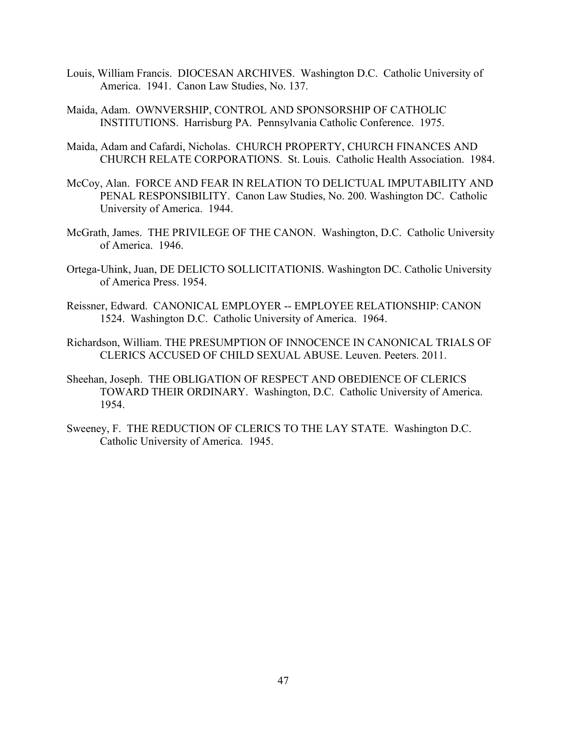- Louis, William Francis. DIOCESAN ARCHIVES. Washington D.C. Catholic University of America. 1941. Canon Law Studies, No. 137.
- Maida, Adam. OWNVERSHIP, CONTROL AND SPONSORSHIP OF CATHOLIC INSTITUTIONS. Harrisburg PA. Pennsylvania Catholic Conference. 1975.
- Maida, Adam and Cafardi, Nicholas. CHURCH PROPERTY, CHURCH FINANCES AND CHURCH RELATE CORPORATIONS. St. Louis. Catholic Health Association. 1984.
- McCoy, Alan. FORCE AND FEAR IN RELATION TO DELICTUAL IMPUTABILITY AND PENAL RESPONSIBILITY. Canon Law Studies, No. 200. Washington DC. Catholic University of America. 1944.
- McGrath, James. THE PRIVILEGE OF THE CANON. Washington, D.C. Catholic University of America. 1946.
- Ortega-Uhink, Juan, DE DELICTO SOLLICITATIONIS. Washington DC. Catholic University of America Press. 1954.
- Reissner, Edward. CANONICAL EMPLOYER -- EMPLOYEE RELATIONSHIP: CANON 1524. Washington D.C. Catholic University of America. 1964.
- Richardson, William. THE PRESUMPTION OF INNOCENCE IN CANONICAL TRIALS OF CLERICS ACCUSED OF CHILD SEXUAL ABUSE. Leuven. Peeters. 2011.
- Sheehan, Joseph. THE OBLIGATION OF RESPECT AND OBEDIENCE OF CLERICS TOWARD THEIR ORDINARY. Washington, D.C. Catholic University of America. 1954.
- Sweeney, F. THE REDUCTION OF CLERICS TO THE LAY STATE. Washington D.C. Catholic University of America. 1945.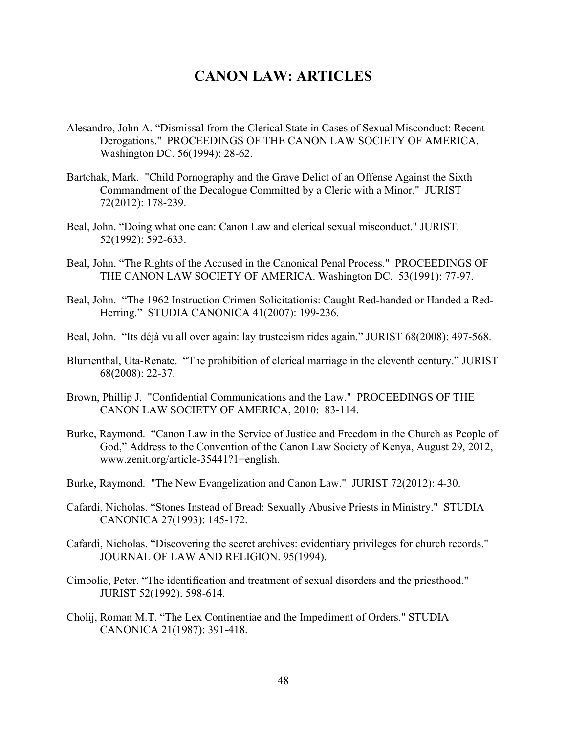- Alesandro, John A. "Dismissal from the Clerical State in Cases of Sexual Misconduct: Recent Derogations." PROCEEDINGS OF THE CANON LAW SOCIETY OF AMERICA. Washington DC. 56(1994): 28-62.
- Bartchak, Mark. "Child Pornography and the Grave Delict of an Offense Against the Sixth Commandment of the Decalogue Committed by a Cleric with a Minor." JURIST 72(2012): 178-239.
- Beal, John. "Doing what one can: Canon Law and clerical sexual misconduct." JURIST. 52(1992): 592-633.
- Beal, John. "The Rights of the Accused in the Canonical Penal Process." PROCEEDINGS OF THE CANON LAW SOCIETY OF AMERICA. Washington DC. 53(1991): 77-97.
- Beal, John. "The 1962 Instruction Crimen Solicitationis: Caught Red-handed or Handed a Red-Herring." STUDIA CANONICA 41(2007): 199-236.
- Beal, John. "Its déjà vu all over again: lay trusteeism rides again." JURIST 68(2008): 497-568.
- Blumenthal, Uta-Renate. "The prohibition of clerical marriage in the eleventh century." JURIST 68(2008): 22-37.
- Brown, Phillip J. "Confidential Communications and the Law." PROCEEDINGS OF THE CANON LAW SOCIETY OF AMERICA, 2010: 83-114.
- Burke, Raymond. "Canon Law in the Service of Justice and Freedom in the Church as People of God," Address to the Convention of the Canon Law Society of Kenya, August 29, 2012, www.zenit.org/article-35441?1=english.
- Burke, Raymond. "The New Evangelization and Canon Law." JURIST 72(2012): 4-30.
- Cafardi, Nicholas. "Stones Instead of Bread: Sexually Abusive Priests in Ministry." STUDIA CANONICA 27(1993): 145-172.
- Cafardi, Nicholas. "Discovering the secret archives: evidentiary privileges for church records." JOURNAL OF LAW AND RELIGION. 95(1994).
- Cimbolic, Peter. "The identification and treatment of sexual disorders and the priesthood." JURIST 52(1992). 598-614.
- Cholij, Roman M.T. "The Lex Continentiae and the Impediment of Orders." STUDIA CANONICA 21(1987): 391-418.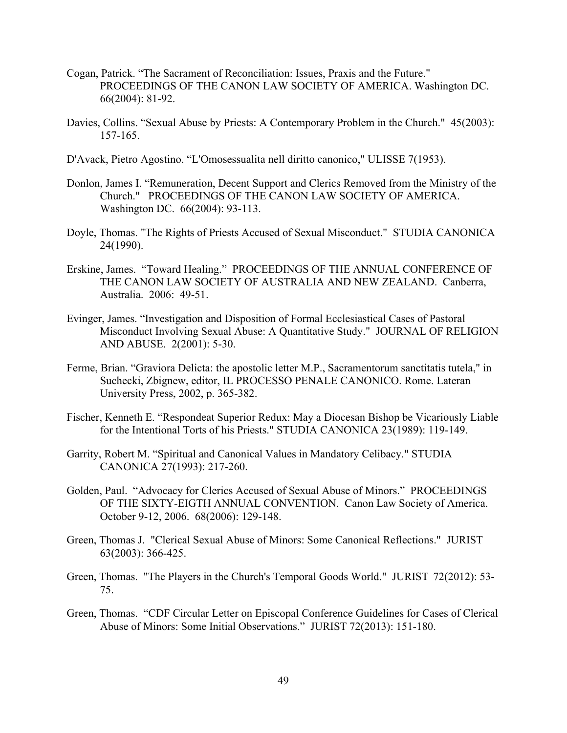- Cogan, Patrick. "The Sacrament of Reconciliation: Issues, Praxis and the Future." PROCEEDINGS OF THE CANON LAW SOCIETY OF AMERICA. Washington DC. 66(2004): 81-92.
- Davies, Collins. "Sexual Abuse by Priests: A Contemporary Problem in the Church." 45(2003): 157-165.
- D'Avack, Pietro Agostino. "L'Omosessualita nell diritto canonico," ULISSE 7(1953).
- Donlon, James I. "Remuneration, Decent Support and Clerics Removed from the Ministry of the Church." PROCEEDINGS OF THE CANON LAW SOCIETY OF AMERICA. Washington DC. 66(2004): 93-113.
- Doyle, Thomas. "The Rights of Priests Accused of Sexual Misconduct." STUDIA CANONICA 24(1990).
- Erskine, James. "Toward Healing." PROCEEDINGS OF THE ANNUAL CONFERENCE OF THE CANON LAW SOCIETY OF AUSTRALIA AND NEW ZEALAND. Canberra, Australia. 2006: 49-51.
- Evinger, James. "Investigation and Disposition of Formal Ecclesiastical Cases of Pastoral Misconduct Involving Sexual Abuse: A Quantitative Study." JOURNAL OF RELIGION AND ABUSE. 2(2001): 5-30.
- Ferme, Brian. "Graviora Delicta: the apostolic letter M.P., Sacramentorum sanctitatis tutela," in Suchecki, Zbignew, editor, IL PROCESSO PENALE CANONICO. Rome. Lateran University Press, 2002, p. 365-382.
- Fischer, Kenneth E. "Respondeat Superior Redux: May a Diocesan Bishop be Vicariously Liable for the Intentional Torts of his Priests." STUDIA CANONICA 23(1989): 119-149.
- Garrity, Robert M. "Spiritual and Canonical Values in Mandatory Celibacy." STUDIA CANONICA 27(1993): 217-260.
- Golden, Paul. "Advocacy for Clerics Accused of Sexual Abuse of Minors." PROCEEDINGS OF THE SIXTY-EIGTH ANNUAL CONVENTION. Canon Law Society of America. October 9-12, 2006. 68(2006): 129-148.
- Green, Thomas J. "Clerical Sexual Abuse of Minors: Some Canonical Reflections." JURIST 63(2003): 366-425.
- Green, Thomas. "The Players in the Church's Temporal Goods World." JURIST 72(2012): 53- 75.
- Green, Thomas. "CDF Circular Letter on Episcopal Conference Guidelines for Cases of Clerical Abuse of Minors: Some Initial Observations." JURIST 72(2013): 151-180.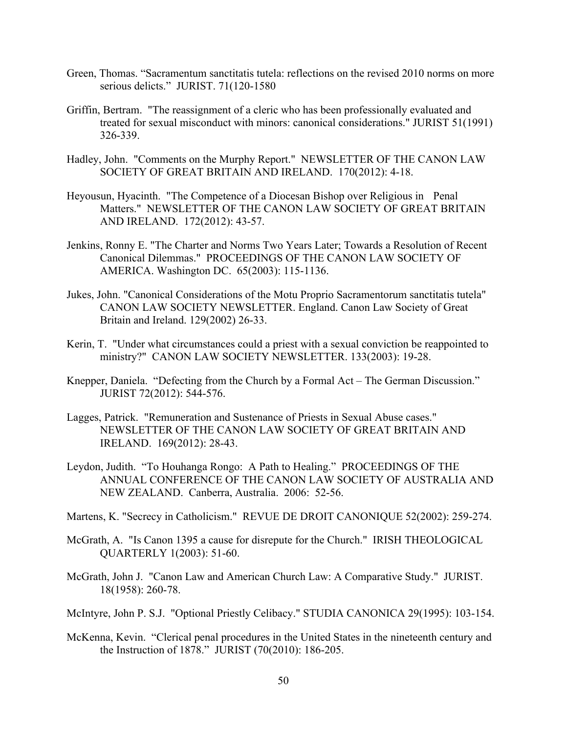- Green, Thomas. "Sacramentum sanctitatis tutela: reflections on the revised 2010 norms on more serious delicts." JURIST. 71(120-1580
- Griffin, Bertram. "The reassignment of a cleric who has been professionally evaluated and treated for sexual misconduct with minors: canonical considerations." JURIST 51(1991) 326-339.
- Hadley, John. "Comments on the Murphy Report." NEWSLETTER OF THE CANON LAW SOCIETY OF GREAT BRITAIN AND IRELAND. 170(2012): 4-18.
- Heyousun, Hyacinth. "The Competence of a Diocesan Bishop over Religious in Penal Matters." NEWSLETTER OF THE CANON LAW SOCIETY OF GREAT BRITAIN AND IRELAND. 172(2012): 43-57.
- Jenkins, Ronny E. "The Charter and Norms Two Years Later; Towards a Resolution of Recent Canonical Dilemmas." PROCEEDINGS OF THE CANON LAW SOCIETY OF AMERICA. Washington DC. 65(2003): 115-1136.
- Jukes, John. "Canonical Considerations of the Motu Proprio Sacramentorum sanctitatis tutela" CANON LAW SOCIETY NEWSLETTER. England. Canon Law Society of Great Britain and Ireland. 129(2002) 26-33.
- Kerin, T. "Under what circumstances could a priest with a sexual conviction be reappointed to ministry?" CANON LAW SOCIETY NEWSLETTER. 133(2003): 19-28.
- Knepper, Daniela. "Defecting from the Church by a Formal Act The German Discussion." JURIST 72(2012): 544-576.
- Lagges, Patrick. "Remuneration and Sustenance of Priests in Sexual Abuse cases." NEWSLETTER OF THE CANON LAW SOCIETY OF GREAT BRITAIN AND IRELAND. 169(2012): 28-43.
- Leydon, Judith. "To Houhanga Rongo: A Path to Healing." PROCEEDINGS OF THE ANNUAL CONFERENCE OF THE CANON LAW SOCIETY OF AUSTRALIA AND NEW ZEALAND. Canberra, Australia. 2006: 52-56.
- Martens, K. "Secrecy in Catholicism." REVUE DE DROIT CANONIQUE 52(2002): 259-274.
- McGrath, A. "Is Canon 1395 a cause for disrepute for the Church." IRISH THEOLOGICAL QUARTERLY 1(2003): 51-60.
- McGrath, John J. "Canon Law and American Church Law: A Comparative Study." JURIST. 18(1958): 260-78.
- McIntyre, John P. S.J. "Optional Priestly Celibacy." STUDIA CANONICA 29(1995): 103-154.
- McKenna, Kevin. "Clerical penal procedures in the United States in the nineteenth century and the Instruction of 1878." JURIST (70(2010): 186-205.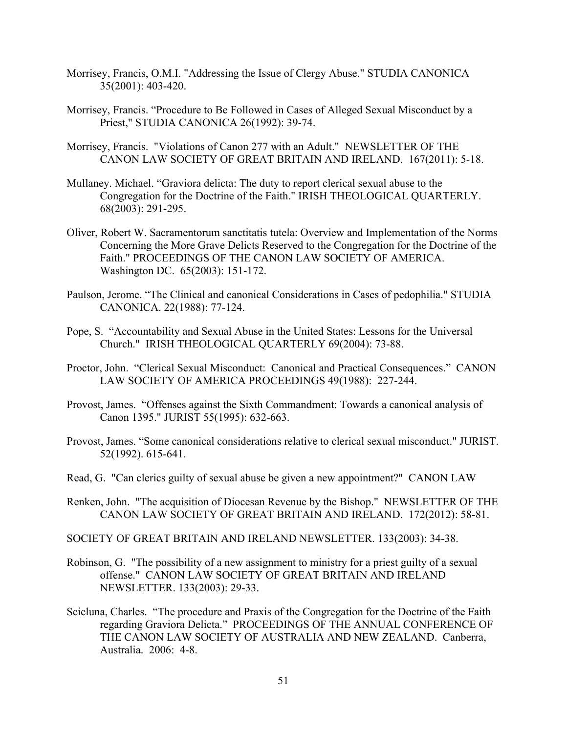- Morrisey, Francis, O.M.I. "Addressing the Issue of Clergy Abuse." STUDIA CANONICA 35(2001): 403-420.
- Morrisey, Francis. "Procedure to Be Followed in Cases of Alleged Sexual Misconduct by a Priest," STUDIA CANONICA 26(1992): 39-74.
- Morrisey, Francis. "Violations of Canon 277 with an Adult." NEWSLETTER OF THE CANON LAW SOCIETY OF GREAT BRITAIN AND IRELAND. 167(2011): 5-18.
- Mullaney. Michael. "Graviora delicta: The duty to report clerical sexual abuse to the Congregation for the Doctrine of the Faith." IRISH THEOLOGICAL QUARTERLY. 68(2003): 291-295.
- Oliver, Robert W. Sacramentorum sanctitatis tutela: Overview and Implementation of the Norms Concerning the More Grave Delicts Reserved to the Congregation for the Doctrine of the Faith." PROCEEDINGS OF THE CANON LAW SOCIETY OF AMERICA. Washington DC. 65(2003): 151-172.
- Paulson, Jerome. "The Clinical and canonical Considerations in Cases of pedophilia." STUDIA CANONICA. 22(1988): 77-124.
- Pope, S. "Accountability and Sexual Abuse in the United States: Lessons for the Universal Church." IRISH THEOLOGICAL QUARTERLY 69(2004): 73-88.
- Proctor, John. "Clerical Sexual Misconduct: Canonical and Practical Consequences." CANON LAW SOCIETY OF AMERICA PROCEEDINGS 49(1988): 227-244.
- Provost, James. "Offenses against the Sixth Commandment: Towards a canonical analysis of Canon 1395." JURIST 55(1995): 632-663.
- Provost, James. "Some canonical considerations relative to clerical sexual misconduct." JURIST. 52(1992). 615-641.
- Read, G. "Can clerics guilty of sexual abuse be given a new appointment?" CANON LAW
- Renken, John. "The acquisition of Diocesan Revenue by the Bishop." NEWSLETTER OF THE CANON LAW SOCIETY OF GREAT BRITAIN AND IRELAND. 172(2012): 58-81.
- SOCIETY OF GREAT BRITAIN AND IRELAND NEWSLETTER. 133(2003): 34-38.
- Robinson, G. "The possibility of a new assignment to ministry for a priest guilty of a sexual offense." CANON LAW SOCIETY OF GREAT BRITAIN AND IRELAND NEWSLETTER. 133(2003): 29-33.
- Scicluna, Charles. "The procedure and Praxis of the Congregation for the Doctrine of the Faith regarding Graviora Delicta." PROCEEDINGS OF THE ANNUAL CONFERENCE OF THE CANON LAW SOCIETY OF AUSTRALIA AND NEW ZEALAND. Canberra, Australia. 2006: 4-8.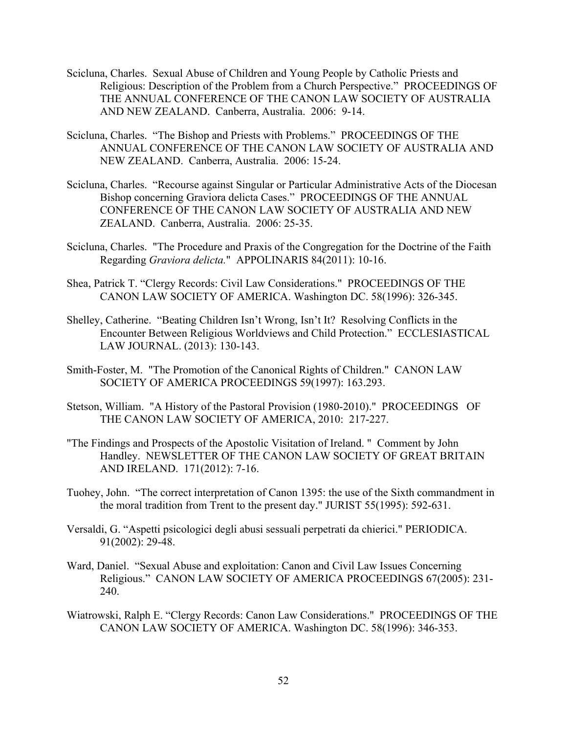- Scicluna, Charles. Sexual Abuse of Children and Young People by Catholic Priests and Religious: Description of the Problem from a Church Perspective." PROCEEDINGS OF THE ANNUAL CONFERENCE OF THE CANON LAW SOCIETY OF AUSTRALIA AND NEW ZEALAND. Canberra, Australia. 2006: 9-14.
- Scicluna, Charles. "The Bishop and Priests with Problems." PROCEEDINGS OF THE ANNUAL CONFERENCE OF THE CANON LAW SOCIETY OF AUSTRALIA AND NEW ZEALAND. Canberra, Australia. 2006: 15-24.
- Scicluna, Charles. "Recourse against Singular or Particular Administrative Acts of the Diocesan Bishop concerning Graviora delicta Cases." PROCEEDINGS OF THE ANNUAL CONFERENCE OF THE CANON LAW SOCIETY OF AUSTRALIA AND NEW ZEALAND. Canberra, Australia. 2006: 25-35.
- Scicluna, Charles. "The Procedure and Praxis of the Congregation for the Doctrine of the Faith Regarding *Graviora delicta.*" APPOLINARIS 84(2011): 10-16.
- Shea, Patrick T. "Clergy Records: Civil Law Considerations." PROCEEDINGS OF THE CANON LAW SOCIETY OF AMERICA. Washington DC. 58(1996): 326-345.
- Shelley, Catherine. "Beating Children Isn't Wrong, Isn't It? Resolving Conflicts in the Encounter Between Religious Worldviews and Child Protection." ECCLESIASTICAL LAW JOURNAL. (2013): 130-143.
- Smith-Foster, M. "The Promotion of the Canonical Rights of Children." CANON LAW SOCIETY OF AMERICA PROCEEDINGS 59(1997): 163.293.
- Stetson, William. "A History of the Pastoral Provision (1980-2010)." PROCEEDINGS OF THE CANON LAW SOCIETY OF AMERICA, 2010: 217-227.
- "The Findings and Prospects of the Apostolic Visitation of Ireland. " Comment by John Handley. NEWSLETTER OF THE CANON LAW SOCIETY OF GREAT BRITAIN AND IRELAND. 171(2012): 7-16.
- Tuohey, John. "The correct interpretation of Canon 1395: the use of the Sixth commandment in the moral tradition from Trent to the present day." JURIST 55(1995): 592-631.
- Versaldi, G. "Aspetti psicologici degli abusi sessuali perpetrati da chierici." PERIODICA. 91(2002): 29-48.
- Ward, Daniel. "Sexual Abuse and exploitation: Canon and Civil Law Issues Concerning Religious." CANON LAW SOCIETY OF AMERICA PROCEEDINGS 67(2005): 231- 240.
- Wiatrowski, Ralph E. "Clergy Records: Canon Law Considerations." PROCEEDINGS OF THE CANON LAW SOCIETY OF AMERICA. Washington DC. 58(1996): 346-353.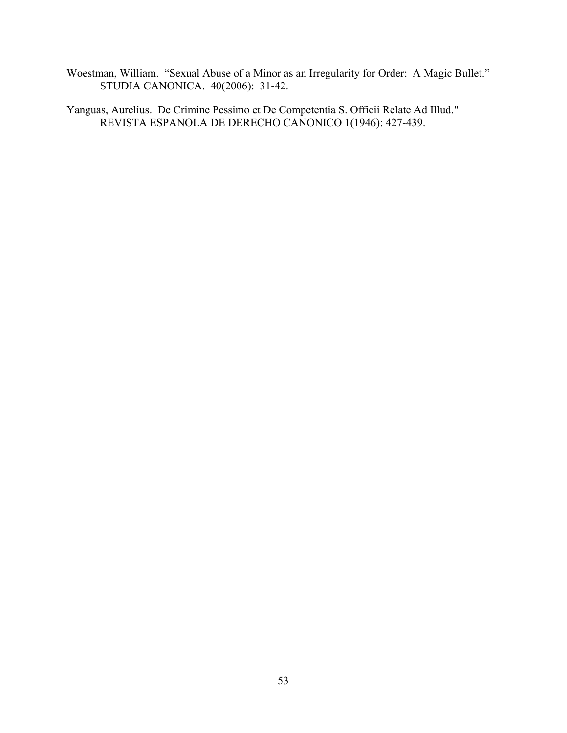Woestman, William. "Sexual Abuse of a Minor as an Irregularity for Order: A Magic Bullet." STUDIA CANONICA. 40(2006): 31-42.

Yanguas, Aurelius. De Crimine Pessimo et De Competentia S. Officii Relate Ad Illud." REVISTA ESPANOLA DE DERECHO CANONICO 1(1946): 427-439.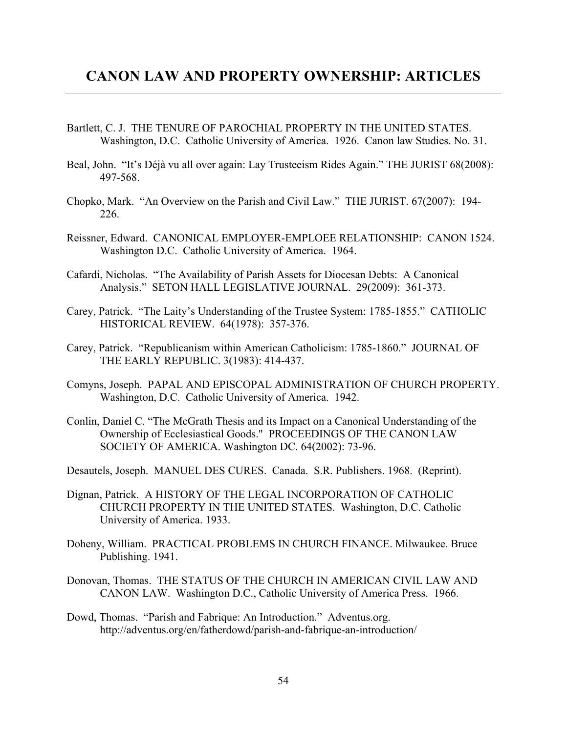- Bartlett, C. J. THE TENURE OF PAROCHIAL PROPERTY IN THE UNITED STATES. Washington, D.C. Catholic University of America. 1926. Canon law Studies. No. 31.
- Beal, John. "It's Déjà vu all over again: Lay Trusteeism Rides Again." THE JURIST 68(2008): 497-568.
- Chopko, Mark. "An Overview on the Parish and Civil Law." THE JURIST. 67(2007): 194- 226.
- Reissner, Edward. CANONICAL EMPLOYER-EMPLOEE RELATIONSHIP: CANON 1524. Washington D.C. Catholic University of America. 1964.
- Cafardi, Nicholas. "The Availability of Parish Assets for Diocesan Debts: A Canonical Analysis." SETON HALL LEGISLATIVE JOURNAL. 29(2009): 361-373.
- Carey, Patrick. "The Laity's Understanding of the Trustee System: 1785-1855." CATHOLIC HISTORICAL REVIEW. 64(1978): 357-376.
- Carey, Patrick. "Republicanism within American Catholicism: 1785-1860." JOURNAL OF THE EARLY REPUBLIC. 3(1983): 414-437.
- Comyns, Joseph. PAPAL AND EPISCOPAL ADMINISTRATION OF CHURCH PROPERTY. Washington, D.C. Catholic University of America. 1942.
- Conlin, Daniel C. "The McGrath Thesis and its Impact on a Canonical Understanding of the Ownership of Ecclesiastical Goods." PROCEEDINGS OF THE CANON LAW SOCIETY OF AMERICA. Washington DC. 64(2002): 73-96.
- Desautels, Joseph. MANUEL DES CURES. Canada. S.R. Publishers. 1968. (Reprint).
- Dignan, Patrick. A HISTORY OF THE LEGAL INCORPORATION OF CATHOLIC CHURCH PROPERTY IN THE UNITED STATES. Washington, D.C. Catholic University of America. 1933.
- Doheny, William. PRACTICAL PROBLEMS IN CHURCH FINANCE. Milwaukee. Bruce Publishing. 1941.
- Donovan, Thomas. THE STATUS OF THE CHURCH IN AMERICAN CIVIL LAW AND CANON LAW. Washington D.C., Catholic University of America Press. 1966.
- Dowd, Thomas. "Parish and Fabrique: An Introduction." Adventus.org. http://adventus.org/en/fatherdowd/parish-and-fabrique-an-introduction/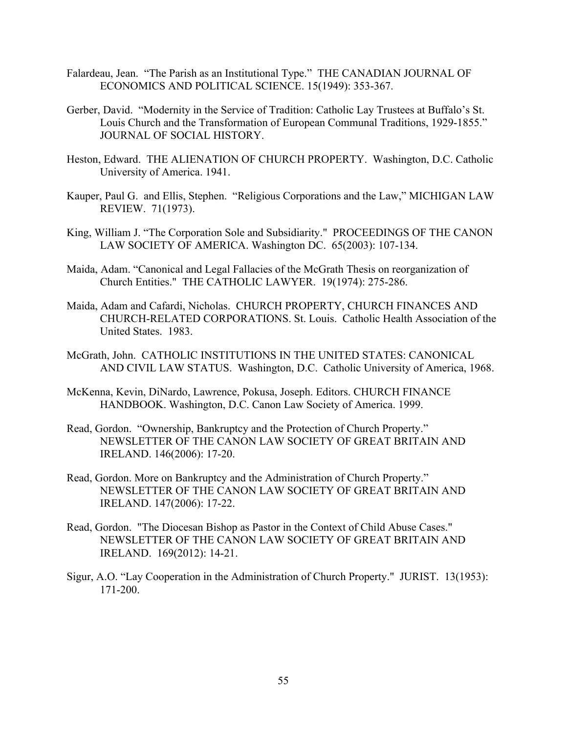- Falardeau, Jean. "The Parish as an Institutional Type." THE CANADIAN JOURNAL OF ECONOMICS AND POLITICAL SCIENCE. 15(1949): 353-367.
- Gerber, David. "Modernity in the Service of Tradition: Catholic Lay Trustees at Buffalo's St. Louis Church and the Transformation of European Communal Traditions, 1929-1855." JOURNAL OF SOCIAL HISTORY.
- Heston, Edward. THE ALIENATION OF CHURCH PROPERTY. Washington, D.C. Catholic University of America. 1941.
- Kauper, Paul G. and Ellis, Stephen. "Religious Corporations and the Law," MICHIGAN LAW REVIEW. 71(1973).
- King, William J. "The Corporation Sole and Subsidiarity." PROCEEDINGS OF THE CANON LAW SOCIETY OF AMERICA. Washington DC. 65(2003): 107-134.
- Maida, Adam. "Canonical and Legal Fallacies of the McGrath Thesis on reorganization of Church Entities." THE CATHOLIC LAWYER. 19(1974): 275-286.
- Maida, Adam and Cafardi, Nicholas. CHURCH PROPERTY, CHURCH FINANCES AND CHURCH-RELATED CORPORATIONS. St. Louis. Catholic Health Association of the United States. 1983.
- McGrath, John. CATHOLIC INSTITUTIONS IN THE UNITED STATES: CANONICAL AND CIVIL LAW STATUS. Washington, D.C. Catholic University of America, 1968.
- McKenna, Kevin, DiNardo, Lawrence, Pokusa, Joseph. Editors. CHURCH FINANCE HANDBOOK. Washington, D.C. Canon Law Society of America. 1999.
- Read, Gordon. "Ownership, Bankruptcy and the Protection of Church Property." NEWSLETTER OF THE CANON LAW SOCIETY OF GREAT BRITAIN AND IRELAND. 146(2006): 17-20.
- Read, Gordon. More on Bankruptcy and the Administration of Church Property." NEWSLETTER OF THE CANON LAW SOCIETY OF GREAT BRITAIN AND IRELAND. 147(2006): 17-22.
- Read, Gordon. "The Diocesan Bishop as Pastor in the Context of Child Abuse Cases." NEWSLETTER OF THE CANON LAW SOCIETY OF GREAT BRITAIN AND IRELAND. 169(2012): 14-21.
- Sigur, A.O. "Lay Cooperation in the Administration of Church Property." JURIST. 13(1953): 171-200.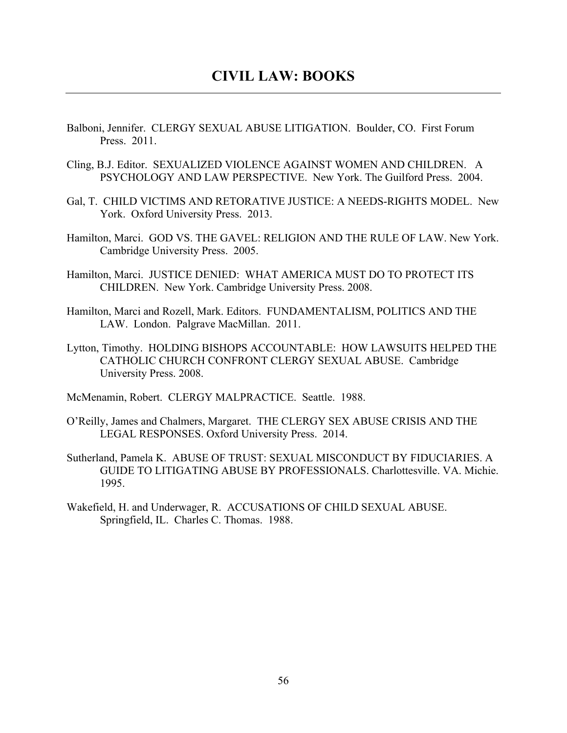- Balboni, Jennifer. CLERGY SEXUAL ABUSE LITIGATION. Boulder, CO. First Forum Press. 2011.
- Cling, B.J. Editor. SEXUALIZED VIOLENCE AGAINST WOMEN AND CHILDREN. A PSYCHOLOGY AND LAW PERSPECTIVE. New York. The Guilford Press. 2004.
- Gal, T. CHILD VICTIMS AND RETORATIVE JUSTICE: A NEEDS-RIGHTS MODEL. New York. Oxford University Press. 2013.
- Hamilton, Marci. GOD VS. THE GAVEL: RELIGION AND THE RULE OF LAW. New York. Cambridge University Press. 2005.
- Hamilton, Marci. JUSTICE DENIED: WHAT AMERICA MUST DO TO PROTECT ITS CHILDREN. New York. Cambridge University Press. 2008.
- Hamilton, Marci and Rozell, Mark. Editors. FUNDAMENTALISM, POLITICS AND THE LAW. London. Palgrave MacMillan. 2011.
- Lytton, Timothy. HOLDING BISHOPS ACCOUNTABLE: HOW LAWSUITS HELPED THE CATHOLIC CHURCH CONFRONT CLERGY SEXUAL ABUSE. Cambridge University Press. 2008.

McMenamin, Robert. CLERGY MALPRACTICE. Seattle. 1988.

- O'Reilly, James and Chalmers, Margaret. THE CLERGY SEX ABUSE CRISIS AND THE LEGAL RESPONSES. Oxford University Press. 2014.
- Sutherland, Pamela K. ABUSE OF TRUST: SEXUAL MISCONDUCT BY FIDUCIARIES. A GUIDE TO LITIGATING ABUSE BY PROFESSIONALS. Charlottesville. VA. Michie. 1995.
- Wakefield, H. and Underwager, R. ACCUSATIONS OF CHILD SEXUAL ABUSE. Springfield, IL. Charles C. Thomas. 1988.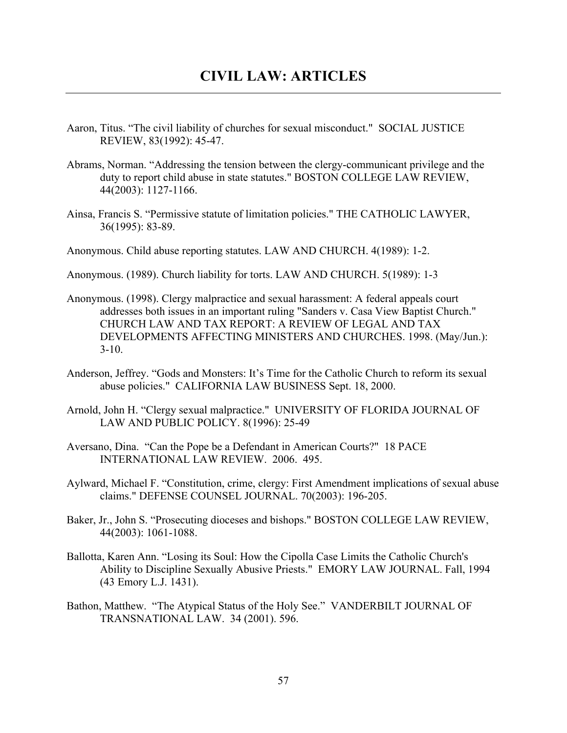- Aaron, Titus. "The civil liability of churches for sexual misconduct." SOCIAL JUSTICE REVIEW, 83(1992): 45-47.
- Abrams, Norman. "Addressing the tension between the clergy-communicant privilege and the duty to report child abuse in state statutes." BOSTON COLLEGE LAW REVIEW, 44(2003): 1127-1166.
- Ainsa, Francis S. "Permissive statute of limitation policies." THE CATHOLIC LAWYER, 36(1995): 83-89.
- Anonymous. Child abuse reporting statutes. LAW AND CHURCH. 4(1989): 1-2.

Anonymous. (1989). Church liability for torts. LAW AND CHURCH. 5(1989): 1-3

- Anonymous. (1998). Clergy malpractice and sexual harassment: A federal appeals court addresses both issues in an important ruling "Sanders v. Casa View Baptist Church." CHURCH LAW AND TAX REPORT: A REVIEW OF LEGAL AND TAX DEVELOPMENTS AFFECTING MINISTERS AND CHURCHES. 1998. (May/Jun.):  $3-10.$
- Anderson, Jeffrey. "Gods and Monsters: It's Time for the Catholic Church to reform its sexual abuse policies." CALIFORNIA LAW BUSINESS Sept. 18, 2000.
- Arnold, John H. "Clergy sexual malpractice." UNIVERSITY OF FLORIDA JOURNAL OF LAW AND PUBLIC POLICY. 8(1996): 25-49
- Aversano, Dina. "Can the Pope be a Defendant in American Courts?" 18 PACE INTERNATIONAL LAW REVIEW. 2006. 495.
- Aylward, Michael F. "Constitution, crime, clergy: First Amendment implications of sexual abuse claims." DEFENSE COUNSEL JOURNAL. 70(2003): 196-205.
- Baker, Jr., John S. "Prosecuting dioceses and bishops." BOSTON COLLEGE LAW REVIEW, 44(2003): 1061-1088.
- Ballotta, Karen Ann. "Losing its Soul: How the Cipolla Case Limits the Catholic Church's Ability to Discipline Sexually Abusive Priests." EMORY LAW JOURNAL. Fall, 1994 (43 Emory L.J. 1431).
- Bathon, Matthew. "The Atypical Status of the Holy See." VANDERBILT JOURNAL OF TRANSNATIONAL LAW. 34 (2001). 596.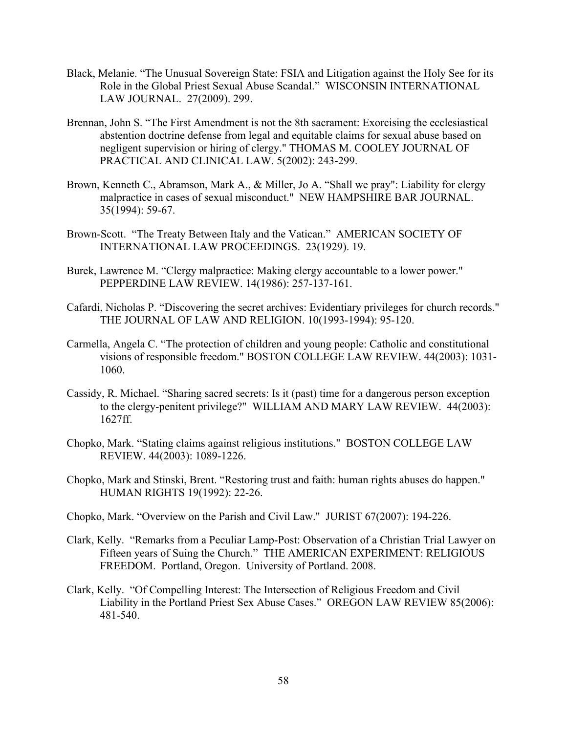- Black, Melanie. "The Unusual Sovereign State: FSIA and Litigation against the Holy See for its Role in the Global Priest Sexual Abuse Scandal." WISCONSIN INTERNATIONAL LAW JOURNAL. 27(2009). 299.
- Brennan, John S. "The First Amendment is not the 8th sacrament: Exorcising the ecclesiastical abstention doctrine defense from legal and equitable claims for sexual abuse based on negligent supervision or hiring of clergy." THOMAS M. COOLEY JOURNAL OF PRACTICAL AND CLINICAL LAW. 5(2002): 243-299.
- Brown, Kenneth C., Abramson, Mark A., & Miller, Jo A. "Shall we pray": Liability for clergy malpractice in cases of sexual misconduct." NEW HAMPSHIRE BAR JOURNAL. 35(1994): 59-67.
- Brown-Scott. "The Treaty Between Italy and the Vatican." AMERICAN SOCIETY OF INTERNATIONAL LAW PROCEEDINGS. 23(1929). 19.
- Burek, Lawrence M. "Clergy malpractice: Making clergy accountable to a lower power." PEPPERDINE LAW REVIEW. 14(1986): 257-137-161.
- Cafardi, Nicholas P. "Discovering the secret archives: Evidentiary privileges for church records." THE JOURNAL OF LAW AND RELIGION. 10(1993-1994): 95-120.
- Carmella, Angela C. "The protection of children and young people: Catholic and constitutional visions of responsible freedom." BOSTON COLLEGE LAW REVIEW. 44(2003): 1031- 1060.
- Cassidy, R. Michael. "Sharing sacred secrets: Is it (past) time for a dangerous person exception to the clergy-penitent privilege?" WILLIAM AND MARY LAW REVIEW. 44(2003): 1627ff.
- Chopko, Mark. "Stating claims against religious institutions." BOSTON COLLEGE LAW REVIEW. 44(2003): 1089-1226.
- Chopko, Mark and Stinski, Brent. "Restoring trust and faith: human rights abuses do happen." HUMAN RIGHTS 19(1992): 22-26.
- Chopko, Mark. "Overview on the Parish and Civil Law." JURIST 67(2007): 194-226.
- Clark, Kelly. "Remarks from a Peculiar Lamp-Post: Observation of a Christian Trial Lawyer on Fifteen years of Suing the Church." THE AMERICAN EXPERIMENT: RELIGIOUS FREEDOM. Portland, Oregon. University of Portland. 2008.
- Clark, Kelly. "Of Compelling Interest: The Intersection of Religious Freedom and Civil Liability in the Portland Priest Sex Abuse Cases." OREGON LAW REVIEW 85(2006): 481-540.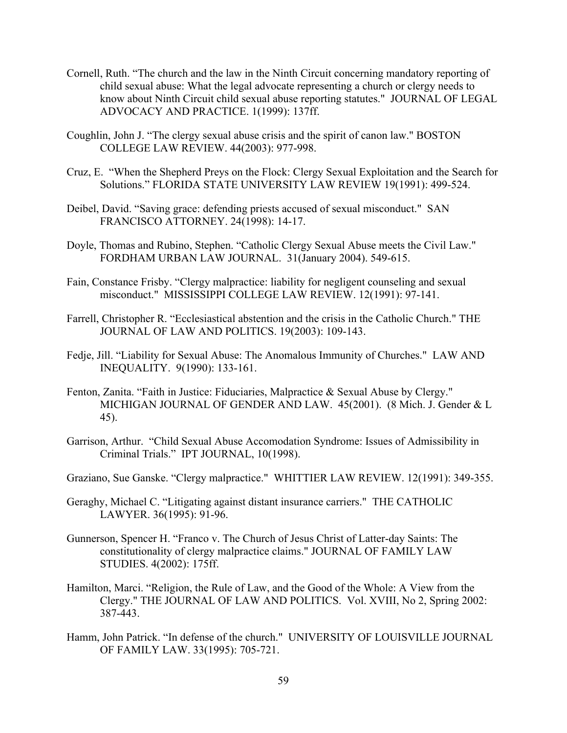- Cornell, Ruth. "The church and the law in the Ninth Circuit concerning mandatory reporting of child sexual abuse: What the legal advocate representing a church or clergy needs to know about Ninth Circuit child sexual abuse reporting statutes." JOURNAL OF LEGAL ADVOCACY AND PRACTICE. 1(1999): 137ff.
- Coughlin, John J. "The clergy sexual abuse crisis and the spirit of canon law." BOSTON COLLEGE LAW REVIEW. 44(2003): 977-998.
- Cruz, E. "When the Shepherd Preys on the Flock: Clergy Sexual Exploitation and the Search for Solutions." FLORIDA STATE UNIVERSITY LAW REVIEW 19(1991): 499-524.
- Deibel, David. "Saving grace: defending priests accused of sexual misconduct." SAN FRANCISCO ATTORNEY. 24(1998): 14-17.
- Doyle, Thomas and Rubino, Stephen. "Catholic Clergy Sexual Abuse meets the Civil Law." FORDHAM URBAN LAW JOURNAL. 31(January 2004). 549-615.
- Fain, Constance Frisby. "Clergy malpractice: liability for negligent counseling and sexual misconduct." MISSISSIPPI COLLEGE LAW REVIEW. 12(1991): 97-141.
- Farrell, Christopher R. "Ecclesiastical abstention and the crisis in the Catholic Church." THE JOURNAL OF LAW AND POLITICS. 19(2003): 109-143.
- Fedje, Jill. "Liability for Sexual Abuse: The Anomalous Immunity of Churches." LAW AND INEQUALITY. 9(1990): 133-161.
- Fenton, Zanita. "Faith in Justice: Fiduciaries, Malpractice & Sexual Abuse by Clergy." MICHIGAN JOURNAL OF GENDER AND LAW. 45(2001). (8 Mich. J. Gender & L 45).
- Garrison, Arthur. "Child Sexual Abuse Accomodation Syndrome: Issues of Admissibility in Criminal Trials." IPT JOURNAL, 10(1998).
- Graziano, Sue Ganske. "Clergy malpractice." WHITTIER LAW REVIEW. 12(1991): 349-355.
- Geraghy, Michael C. "Litigating against distant insurance carriers." THE CATHOLIC LAWYER. 36(1995): 91-96.
- Gunnerson, Spencer H. "Franco v. The Church of Jesus Christ of Latter-day Saints: The constitutionality of clergy malpractice claims." JOURNAL OF FAMILY LAW STUDIES. 4(2002): 175ff.
- Hamilton, Marci. "Religion, the Rule of Law, and the Good of the Whole: A View from the Clergy." THE JOURNAL OF LAW AND POLITICS. Vol. XVIII, No 2, Spring 2002: 387-443.
- Hamm, John Patrick. "In defense of the church." UNIVERSITY OF LOUISVILLE JOURNAL OF FAMILY LAW. 33(1995): 705-721.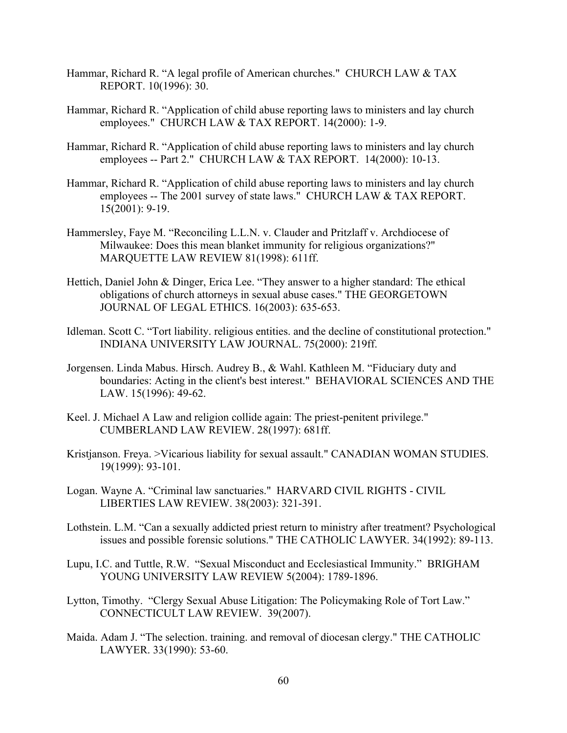- Hammar, Richard R. "A legal profile of American churches." CHURCH LAW & TAX REPORT. 10(1996): 30.
- Hammar, Richard R. "Application of child abuse reporting laws to ministers and lay church employees." CHURCH LAW & TAX REPORT. 14(2000): 1-9.
- Hammar, Richard R. "Application of child abuse reporting laws to ministers and lay church employees -- Part 2." CHURCH LAW & TAX REPORT. 14(2000): 10-13.
- Hammar, Richard R. "Application of child abuse reporting laws to ministers and lay church employees -- The 2001 survey of state laws." CHURCH LAW & TAX REPORT. 15(2001): 9-19.
- Hammersley, Faye M. "Reconciling L.L.N. v. Clauder and Pritzlaff v. Archdiocese of Milwaukee: Does this mean blanket immunity for religious organizations?" MARQUETTE LAW REVIEW 81(1998): 611ff.
- Hettich, Daniel John & Dinger, Erica Lee. "They answer to a higher standard: The ethical obligations of church attorneys in sexual abuse cases." THE GEORGETOWN JOURNAL OF LEGAL ETHICS. 16(2003): 635-653.
- Idleman. Scott C. "Tort liability. religious entities. and the decline of constitutional protection." INDIANA UNIVERSITY LAW JOURNAL. 75(2000): 219ff.
- Jorgensen. Linda Mabus. Hirsch. Audrey B., & Wahl. Kathleen M. "Fiduciary duty and boundaries: Acting in the client's best interest." BEHAVIORAL SCIENCES AND THE LAW. 15(1996): 49-62.
- Keel. J. Michael A Law and religion collide again: The priest-penitent privilege." CUMBERLAND LAW REVIEW. 28(1997): 681ff.
- Kristjanson. Freya. >Vicarious liability for sexual assault." CANADIAN WOMAN STUDIES. 19(1999): 93-101.
- Logan. Wayne A. "Criminal law sanctuaries." HARVARD CIVIL RIGHTS CIVIL LIBERTIES LAW REVIEW. 38(2003): 321-391.
- Lothstein. L.M. "Can a sexually addicted priest return to ministry after treatment? Psychological issues and possible forensic solutions." THE CATHOLIC LAWYER. 34(1992): 89-113.
- Lupu, I.C. and Tuttle, R.W. "Sexual Misconduct and Ecclesiastical Immunity." BRIGHAM YOUNG UNIVERSITY LAW REVIEW 5(2004): 1789-1896.
- Lytton, Timothy. "Clergy Sexual Abuse Litigation: The Policymaking Role of Tort Law." CONNECTICULT LAW REVIEW. 39(2007).
- Maida. Adam J. "The selection. training. and removal of diocesan clergy." THE CATHOLIC LAWYER. 33(1990): 53-60.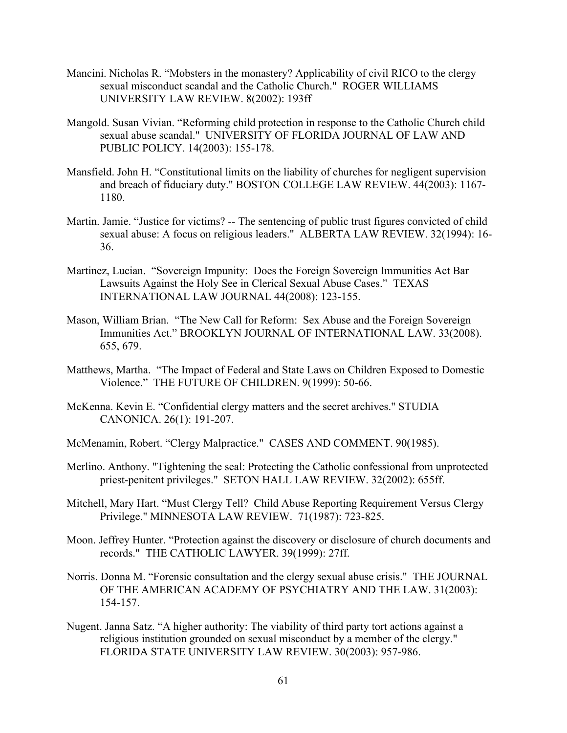- Mancini. Nicholas R. "Mobsters in the monastery? Applicability of civil RICO to the clergy sexual misconduct scandal and the Catholic Church." ROGER WILLIAMS UNIVERSITY LAW REVIEW. 8(2002): 193ff
- Mangold. Susan Vivian. "Reforming child protection in response to the Catholic Church child sexual abuse scandal." UNIVERSITY OF FLORIDA JOURNAL OF LAW AND PUBLIC POLICY. 14(2003): 155-178.
- Mansfield. John H. "Constitutional limits on the liability of churches for negligent supervision and breach of fiduciary duty." BOSTON COLLEGE LAW REVIEW. 44(2003): 1167- 1180.
- Martin. Jamie. "Justice for victims? -- The sentencing of public trust figures convicted of child sexual abuse: A focus on religious leaders." ALBERTA LAW REVIEW. 32(1994): 16- 36.
- Martinez, Lucian. "Sovereign Impunity: Does the Foreign Sovereign Immunities Act Bar Lawsuits Against the Holy See in Clerical Sexual Abuse Cases." TEXAS INTERNATIONAL LAW JOURNAL 44(2008): 123-155.
- Mason, William Brian. "The New Call for Reform: Sex Abuse and the Foreign Sovereign Immunities Act." BROOKLYN JOURNAL OF INTERNATIONAL LAW. 33(2008). 655, 679.
- Matthews, Martha. "The Impact of Federal and State Laws on Children Exposed to Domestic Violence." THE FUTURE OF CHILDREN. 9(1999): 50-66.
- McKenna. Kevin E. "Confidential clergy matters and the secret archives." STUDIA CANONICA. 26(1): 191-207.
- McMenamin, Robert. "Clergy Malpractice." CASES AND COMMENT. 90(1985).
- Merlino. Anthony. "Tightening the seal: Protecting the Catholic confessional from unprotected priest-penitent privileges." SETON HALL LAW REVIEW. 32(2002): 655ff.
- Mitchell, Mary Hart. "Must Clergy Tell? Child Abuse Reporting Requirement Versus Clergy Privilege." MINNESOTA LAW REVIEW. 71(1987): 723-825.
- Moon. Jeffrey Hunter. "Protection against the discovery or disclosure of church documents and records." THE CATHOLIC LAWYER. 39(1999): 27ff.
- Norris. Donna M. "Forensic consultation and the clergy sexual abuse crisis." THE JOURNAL OF THE AMERICAN ACADEMY OF PSYCHIATRY AND THE LAW. 31(2003): 154-157.
- Nugent. Janna Satz. "A higher authority: The viability of third party tort actions against a religious institution grounded on sexual misconduct by a member of the clergy." FLORIDA STATE UNIVERSITY LAW REVIEW. 30(2003): 957-986.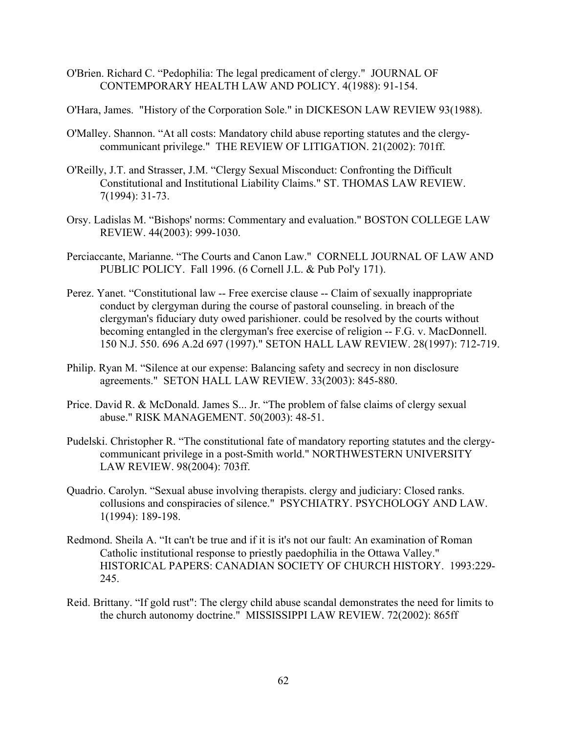- O'Brien. Richard C. "Pedophilia: The legal predicament of clergy." JOURNAL OF CONTEMPORARY HEALTH LAW AND POLICY. 4(1988): 91-154.
- O'Hara, James. "History of the Corporation Sole." in DICKESON LAW REVIEW 93(1988).
- O'Malley. Shannon. "At all costs: Mandatory child abuse reporting statutes and the clergycommunicant privilege." THE REVIEW OF LITIGATION. 21(2002): 701ff.
- O'Reilly, J.T. and Strasser, J.M. "Clergy Sexual Misconduct: Confronting the Difficult Constitutional and Institutional Liability Claims." ST. THOMAS LAW REVIEW. 7(1994): 31-73.
- Orsy. Ladislas M. "Bishops' norms: Commentary and evaluation." BOSTON COLLEGE LAW REVIEW. 44(2003): 999-1030.
- Perciaccante, Marianne. "The Courts and Canon Law." CORNELL JOURNAL OF LAW AND PUBLIC POLICY. Fall 1996. (6 Cornell J.L. & Pub Pol'y 171).
- Perez. Yanet. "Constitutional law -- Free exercise clause -- Claim of sexually inappropriate conduct by clergyman during the course of pastoral counseling. in breach of the clergyman's fiduciary duty owed parishioner. could be resolved by the courts without becoming entangled in the clergyman's free exercise of religion -- F.G. v. MacDonnell. 150 N.J. 550. 696 A.2d 697 (1997)." SETON HALL LAW REVIEW. 28(1997): 712-719.
- Philip. Ryan M. "Silence at our expense: Balancing safety and secrecy in non disclosure agreements." SETON HALL LAW REVIEW. 33(2003): 845-880.
- Price. David R. & McDonald. James S... Jr. "The problem of false claims of clergy sexual abuse." RISK MANAGEMENT. 50(2003): 48-51.
- Pudelski. Christopher R. "The constitutional fate of mandatory reporting statutes and the clergycommunicant privilege in a post-Smith world." NORTHWESTERN UNIVERSITY LAW REVIEW. 98(2004): 703ff.
- Quadrio. Carolyn. "Sexual abuse involving therapists. clergy and judiciary: Closed ranks. collusions and conspiracies of silence." PSYCHIATRY. PSYCHOLOGY AND LAW. 1(1994): 189-198.
- Redmond. Sheila A. "It can't be true and if it is it's not our fault: An examination of Roman Catholic institutional response to priestly paedophilia in the Ottawa Valley." HISTORICAL PAPERS: CANADIAN SOCIETY OF CHURCH HISTORY. 1993:229- 245.
- Reid. Brittany. "If gold rust": The clergy child abuse scandal demonstrates the need for limits to the church autonomy doctrine." MISSISSIPPI LAW REVIEW. 72(2002): 865ff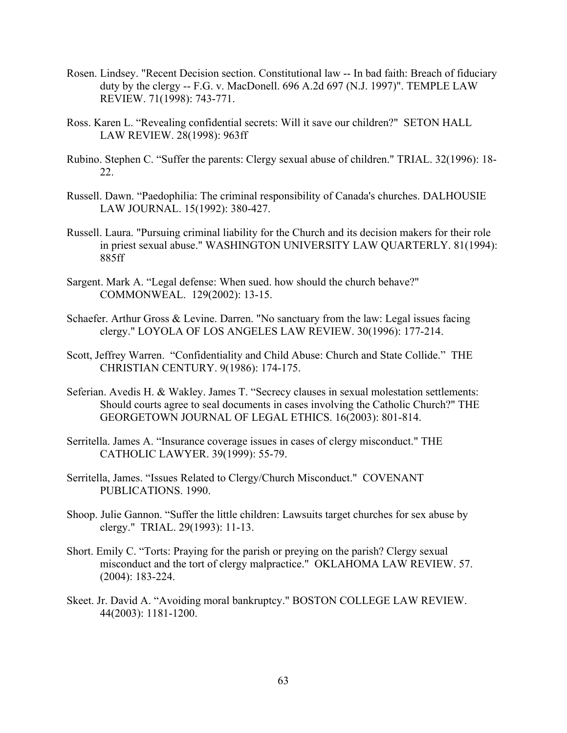- Rosen. Lindsey. "Recent Decision section. Constitutional law -- In bad faith: Breach of fiduciary duty by the clergy -- F.G. v. MacDonell. 696 A.2d 697 (N.J. 1997)". TEMPLE LAW REVIEW. 71(1998): 743-771.
- Ross. Karen L. "Revealing confidential secrets: Will it save our children?" SETON HALL LAW REVIEW. 28(1998): 963ff
- Rubino. Stephen C. "Suffer the parents: Clergy sexual abuse of children." TRIAL. 32(1996): 18- 22.
- Russell. Dawn. "Paedophilia: The criminal responsibility of Canada's churches. DALHOUSIE LAW JOURNAL. 15(1992): 380-427.
- Russell. Laura. "Pursuing criminal liability for the Church and its decision makers for their role in priest sexual abuse." WASHINGTON UNIVERSITY LAW QUARTERLY. 81(1994): 885ff
- Sargent. Mark A. "Legal defense: When sued. how should the church behave?" COMMONWEAL. 129(2002): 13-15.
- Schaefer. Arthur Gross & Levine. Darren. "No sanctuary from the law: Legal issues facing clergy." LOYOLA OF LOS ANGELES LAW REVIEW. 30(1996): 177-214.
- Scott, Jeffrey Warren. "Confidentiality and Child Abuse: Church and State Collide." THE CHRISTIAN CENTURY. 9(1986): 174-175.
- Seferian. Avedis H. & Wakley. James T. "Secrecy clauses in sexual molestation settlements: Should courts agree to seal documents in cases involving the Catholic Church?" THE GEORGETOWN JOURNAL OF LEGAL ETHICS. 16(2003): 801-814.
- Serritella. James A. "Insurance coverage issues in cases of clergy misconduct." THE CATHOLIC LAWYER. 39(1999): 55-79.
- Serritella, James. "Issues Related to Clergy/Church Misconduct." COVENANT PUBLICATIONS. 1990.
- Shoop. Julie Gannon. "Suffer the little children: Lawsuits target churches for sex abuse by clergy." TRIAL. 29(1993): 11-13.
- Short. Emily C. "Torts: Praying for the parish or preying on the parish? Clergy sexual misconduct and the tort of clergy malpractice." OKLAHOMA LAW REVIEW. 57. (2004): 183-224.
- Skeet. Jr. David A. "Avoiding moral bankruptcy." BOSTON COLLEGE LAW REVIEW. 44(2003): 1181-1200.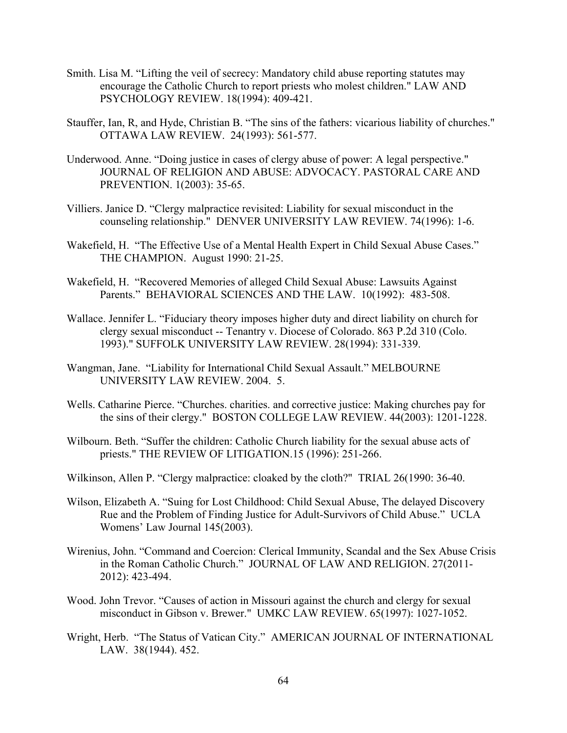- Smith. Lisa M. "Lifting the veil of secrecy: Mandatory child abuse reporting statutes may encourage the Catholic Church to report priests who molest children." LAW AND PSYCHOLOGY REVIEW. 18(1994): 409-421.
- Stauffer, Ian, R, and Hyde, Christian B. "The sins of the fathers: vicarious liability of churches." OTTAWA LAW REVIEW. 24(1993): 561-577.
- Underwood. Anne. "Doing justice in cases of clergy abuse of power: A legal perspective." JOURNAL OF RELIGION AND ABUSE: ADVOCACY. PASTORAL CARE AND PREVENTION. 1(2003): 35-65.
- Villiers. Janice D. "Clergy malpractice revisited: Liability for sexual misconduct in the counseling relationship." DENVER UNIVERSITY LAW REVIEW. 74(1996): 1-6.
- Wakefield, H. "The Effective Use of a Mental Health Expert in Child Sexual Abuse Cases." THE CHAMPION. August 1990: 21-25.
- Wakefield, H. "Recovered Memories of alleged Child Sexual Abuse: Lawsuits Against Parents." BEHAVIORAL SCIENCES AND THE LAW. 10(1992): 483-508.
- Wallace. Jennifer L. "Fiduciary theory imposes higher duty and direct liability on church for clergy sexual misconduct -- Tenantry v. Diocese of Colorado. 863 P.2d 310 (Colo. 1993)." SUFFOLK UNIVERSITY LAW REVIEW. 28(1994): 331-339.
- Wangman, Jane. "Liability for International Child Sexual Assault." MELBOURNE UNIVERSITY LAW REVIEW. 2004. 5.
- Wells. Catharine Pierce. "Churches. charities. and corrective justice: Making churches pay for the sins of their clergy." BOSTON COLLEGE LAW REVIEW. 44(2003): 1201-1228.
- Wilbourn. Beth. "Suffer the children: Catholic Church liability for the sexual abuse acts of priests." THE REVIEW OF LITIGATION.15 (1996): 251-266.
- Wilkinson, Allen P. "Clergy malpractice: cloaked by the cloth?" TRIAL 26(1990: 36-40.
- Wilson, Elizabeth A. "Suing for Lost Childhood: Child Sexual Abuse, The delayed Discovery Rue and the Problem of Finding Justice for Adult-Survivors of Child Abuse." UCLA Womens' Law Journal 145(2003).
- Wirenius, John. "Command and Coercion: Clerical Immunity, Scandal and the Sex Abuse Crisis in the Roman Catholic Church." JOURNAL OF LAW AND RELIGION. 27(2011- 2012): 423-494.
- Wood. John Trevor. "Causes of action in Missouri against the church and clergy for sexual misconduct in Gibson v. Brewer." UMKC LAW REVIEW. 65(1997): 1027-1052.
- Wright, Herb. "The Status of Vatican City." AMERICAN JOURNAL OF INTERNATIONAL LAW. 38(1944). 452.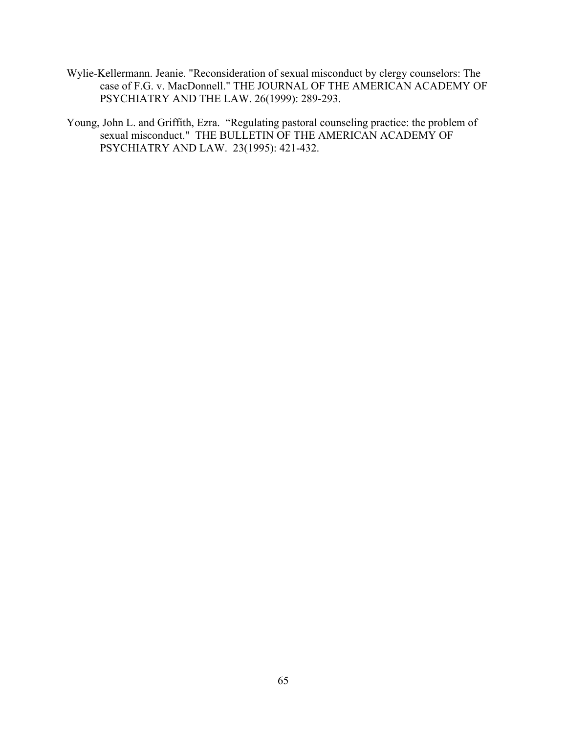- Wylie-Kellermann. Jeanie. "Reconsideration of sexual misconduct by clergy counselors: The case of F.G. v. MacDonnell." THE JOURNAL OF THE AMERICAN ACADEMY OF PSYCHIATRY AND THE LAW. 26(1999): 289-293.
- Young, John L. and Griffith, Ezra. "Regulating pastoral counseling practice: the problem of sexual misconduct." THE BULLETIN OF THE AMERICAN ACADEMY OF PSYCHIATRY AND LAW. 23(1995): 421-432.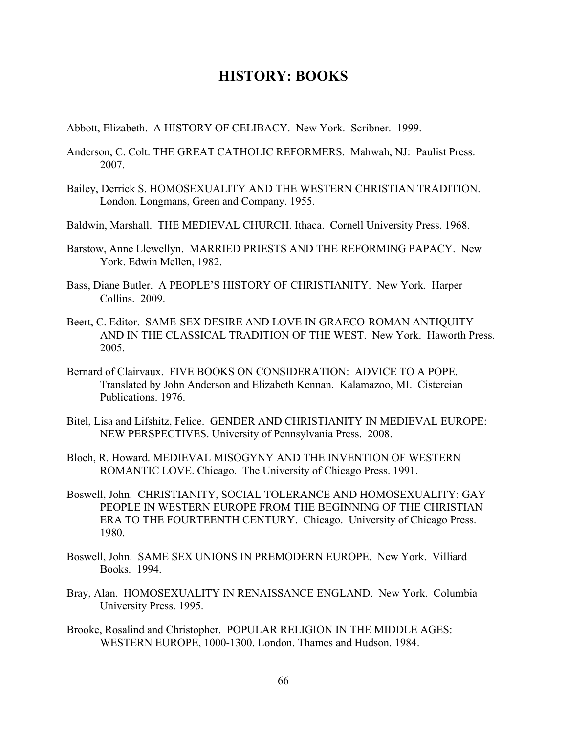Abbott, Elizabeth. A HISTORY OF CELIBACY. New York. Scribner. 1999.

- Anderson, C. Colt. THE GREAT CATHOLIC REFORMERS. Mahwah, NJ: Paulist Press. 2007.
- Bailey, Derrick S. HOMOSEXUALITY AND THE WESTERN CHRISTIAN TRADITION. London. Longmans, Green and Company. 1955.
- Baldwin, Marshall. THE MEDIEVAL CHURCH. Ithaca. Cornell University Press. 1968.
- Barstow, Anne Llewellyn. MARRIED PRIESTS AND THE REFORMING PAPACY. New York. Edwin Mellen, 1982.
- Bass, Diane Butler. A PEOPLE'S HISTORY OF CHRISTIANITY. New York. Harper Collins. 2009.
- Beert, C. Editor. SAME-SEX DESIRE AND LOVE IN GRAECO-ROMAN ANTIQUITY AND IN THE CLASSICAL TRADITION OF THE WEST. New York. Haworth Press. 2005.
- Bernard of Clairvaux. FIVE BOOKS ON CONSIDERATION: ADVICE TO A POPE. Translated by John Anderson and Elizabeth Kennan. Kalamazoo, MI. Cistercian Publications. 1976.
- Bitel, Lisa and Lifshitz, Felice. GENDER AND CHRISTIANITY IN MEDIEVAL EUROPE: NEW PERSPECTIVES. University of Pennsylvania Press. 2008.
- Bloch, R. Howard. MEDIEVAL MISOGYNY AND THE INVENTION OF WESTERN ROMANTIC LOVE. Chicago. The University of Chicago Press. 1991.
- Boswell, John. CHRISTIANITY, SOCIAL TOLERANCE AND HOMOSEXUALITY: GAY PEOPLE IN WESTERN EUROPE FROM THE BEGINNING OF THE CHRISTIAN ERA TO THE FOURTEENTH CENTURY. Chicago. University of Chicago Press. 1980.
- Boswell, John. SAME SEX UNIONS IN PREMODERN EUROPE. New York. Villiard Books. 1994.
- Bray, Alan. HOMOSEXUALITY IN RENAISSANCE ENGLAND. New York. Columbia University Press. 1995.
- Brooke, Rosalind and Christopher. POPULAR RELIGION IN THE MIDDLE AGES: WESTERN EUROPE, 1000-1300. London. Thames and Hudson. 1984.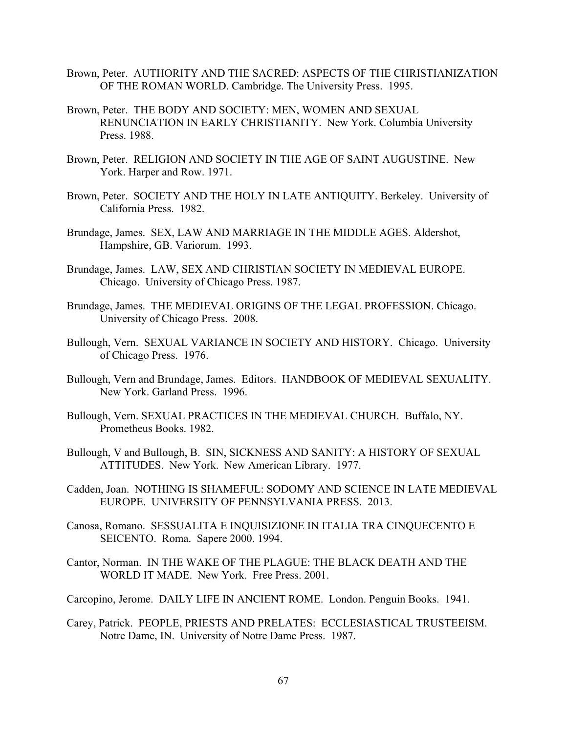- Brown, Peter. AUTHORITY AND THE SACRED: ASPECTS OF THE CHRISTIANIZATION OF THE ROMAN WORLD. Cambridge. The University Press. 1995.
- Brown, Peter. THE BODY AND SOCIETY: MEN, WOMEN AND SEXUAL RENUNCIATION IN EARLY CHRISTIANITY. New York. Columbia University Press. 1988.
- Brown, Peter. RELIGION AND SOCIETY IN THE AGE OF SAINT AUGUSTINE. New York. Harper and Row. 1971.
- Brown, Peter. SOCIETY AND THE HOLY IN LATE ANTIQUITY. Berkeley. University of California Press. 1982.
- Brundage, James. SEX, LAW AND MARRIAGE IN THE MIDDLE AGES. Aldershot, Hampshire, GB. Variorum. 1993.
- Brundage, James. LAW, SEX AND CHRISTIAN SOCIETY IN MEDIEVAL EUROPE. Chicago. University of Chicago Press. 1987.
- Brundage, James. THE MEDIEVAL ORIGINS OF THE LEGAL PROFESSION. Chicago. University of Chicago Press. 2008.
- Bullough, Vern. SEXUAL VARIANCE IN SOCIETY AND HISTORY. Chicago. University of Chicago Press. 1976.
- Bullough, Vern and Brundage, James. Editors. HANDBOOK OF MEDIEVAL SEXUALITY. New York. Garland Press. 1996.
- Bullough, Vern. SEXUAL PRACTICES IN THE MEDIEVAL CHURCH. Buffalo, NY. Prometheus Books. 1982.
- Bullough, V and Bullough, B. SIN, SICKNESS AND SANITY: A HISTORY OF SEXUAL ATTITUDES. New York. New American Library. 1977.
- Cadden, Joan. NOTHING IS SHAMEFUL: SODOMY AND SCIENCE IN LATE MEDIEVAL EUROPE. UNIVERSITY OF PENNSYLVANIA PRESS. 2013.
- Canosa, Romano. SESSUALITA E INQUISIZIONE IN ITALIA TRA CINQUECENTO E SEICENTO. Roma. Sapere 2000. 1994.
- Cantor, Norman. IN THE WAKE OF THE PLAGUE: THE BLACK DEATH AND THE WORLD IT MADE. New York. Free Press. 2001.
- Carcopino, Jerome. DAILY LIFE IN ANCIENT ROME. London. Penguin Books. 1941.
- Carey, Patrick. PEOPLE, PRIESTS AND PRELATES: ECCLESIASTICAL TRUSTEEISM. Notre Dame, IN. University of Notre Dame Press. 1987.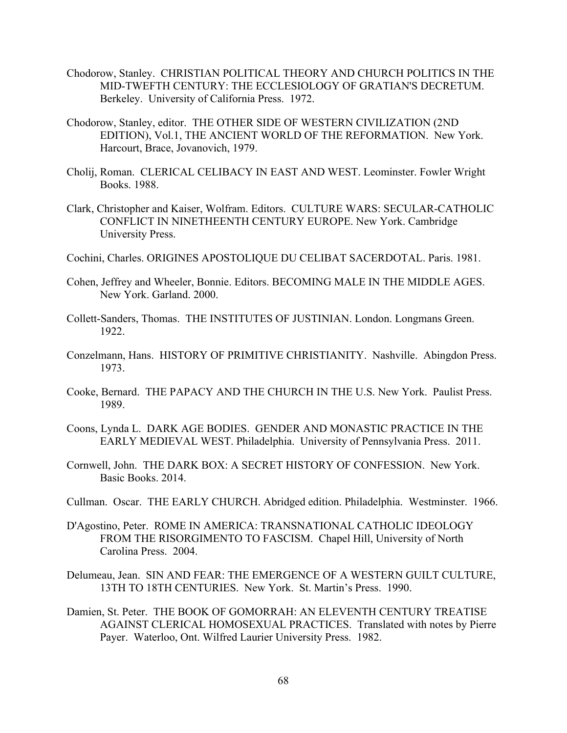- Chodorow, Stanley. CHRISTIAN POLITICAL THEORY AND CHURCH POLITICS IN THE MID-TWEFTH CENTURY: THE ECCLESIOLOGY OF GRATIAN'S DECRETUM. Berkeley. University of California Press. 1972.
- Chodorow, Stanley, editor. THE OTHER SIDE OF WESTERN CIVILIZATION (2ND EDITION), Vol.1, THE ANCIENT WORLD OF THE REFORMATION. New York. Harcourt, Brace, Jovanovich, 1979.
- Cholij, Roman. CLERICAL CELIBACY IN EAST AND WEST. Leominster. Fowler Wright Books. 1988.
- Clark, Christopher and Kaiser, Wolfram. Editors. CULTURE WARS: SECULAR-CATHOLIC CONFLICT IN NINETHEENTH CENTURY EUROPE. New York. Cambridge University Press.
- Cochini, Charles. ORIGINES APOSTOLIQUE DU CELIBAT SACERDOTAL. Paris. 1981.
- Cohen, Jeffrey and Wheeler, Bonnie. Editors. BECOMING MALE IN THE MIDDLE AGES. New York. Garland. 2000.
- Collett-Sanders, Thomas. THE INSTITUTES OF JUSTINIAN. London. Longmans Green. 1922.
- Conzelmann, Hans. HISTORY OF PRIMITIVE CHRISTIANITY. Nashville. Abingdon Press. 1973.
- Cooke, Bernard. THE PAPACY AND THE CHURCH IN THE U.S. New York. Paulist Press. 1989.
- Coons, Lynda L. DARK AGE BODIES. GENDER AND MONASTIC PRACTICE IN THE EARLY MEDIEVAL WEST. Philadelphia. University of Pennsylvania Press. 2011.
- Cornwell, John. THE DARK BOX: A SECRET HISTORY OF CONFESSION. New York. Basic Books. 2014.
- Cullman. Oscar. THE EARLY CHURCH. Abridged edition. Philadelphia. Westminster. 1966.
- D'Agostino, Peter. ROME IN AMERICA: TRANSNATIONAL CATHOLIC IDEOLOGY FROM THE RISORGIMENTO TO FASCISM. Chapel Hill, University of North Carolina Press. 2004.
- Delumeau, Jean. SIN AND FEAR: THE EMERGENCE OF A WESTERN GUILT CULTURE, 13TH TO 18TH CENTURIES. New York. St. Martin's Press. 1990.
- Damien, St. Peter. THE BOOK OF GOMORRAH: AN ELEVENTH CENTURY TREATISE AGAINST CLERICAL HOMOSEXUAL PRACTICES. Translated with notes by Pierre Payer. Waterloo, Ont. Wilfred Laurier University Press. 1982.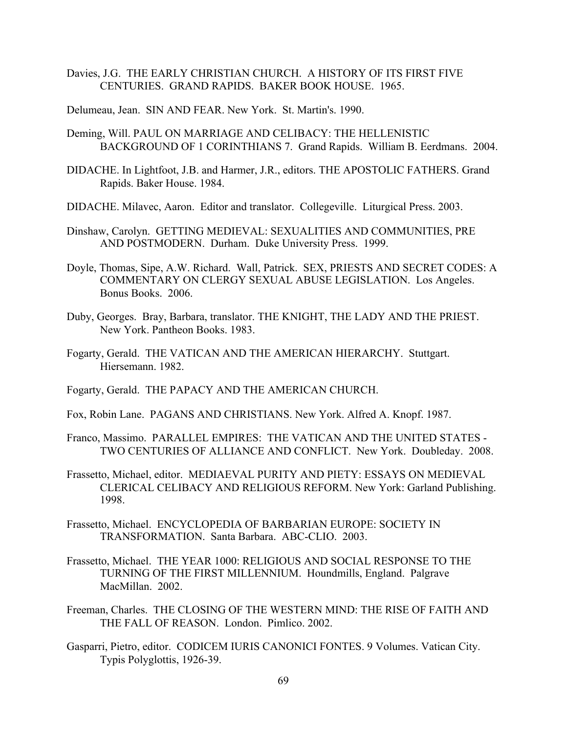Davies, J.G. THE EARLY CHRISTIAN CHURCH. A HISTORY OF ITS FIRST FIVE CENTURIES. GRAND RAPIDS. BAKER BOOK HOUSE. 1965.

Delumeau, Jean. SIN AND FEAR. New York. St. Martin's. 1990.

- Deming, Will. PAUL ON MARRIAGE AND CELIBACY: THE HELLENISTIC BACKGROUND OF 1 CORINTHIANS 7. Grand Rapids. William B. Eerdmans. 2004.
- DIDACHE. In Lightfoot, J.B. and Harmer, J.R., editors. THE APOSTOLIC FATHERS. Grand Rapids. Baker House. 1984.
- DIDACHE. Milavec, Aaron. Editor and translator. Collegeville. Liturgical Press. 2003.
- Dinshaw, Carolyn. GETTING MEDIEVAL: SEXUALITIES AND COMMUNITIES, PRE AND POSTMODERN. Durham. Duke University Press. 1999.
- Doyle, Thomas, Sipe, A.W. Richard. Wall, Patrick. SEX, PRIESTS AND SECRET CODES: A COMMENTARY ON CLERGY SEXUAL ABUSE LEGISLATION. Los Angeles. Bonus Books. 2006.
- Duby, Georges. Bray, Barbara, translator. THE KNIGHT, THE LADY AND THE PRIEST. New York. Pantheon Books. 1983.
- Fogarty, Gerald. THE VATICAN AND THE AMERICAN HIERARCHY. Stuttgart. Hiersemann. 1982.
- Fogarty, Gerald. THE PAPACY AND THE AMERICAN CHURCH.
- Fox, Robin Lane. PAGANS AND CHRISTIANS. New York. Alfred A. Knopf. 1987.
- Franco, Massimo. PARALLEL EMPIRES: THE VATICAN AND THE UNITED STATES TWO CENTURIES OF ALLIANCE AND CONFLICT. New York. Doubleday. 2008.
- Frassetto, Michael, editor. MEDIAEVAL PURITY AND PIETY: ESSAYS ON MEDIEVAL CLERICAL CELIBACY AND RELIGIOUS REFORM. New York: Garland Publishing. 1998.
- Frassetto, Michael. ENCYCLOPEDIA OF BARBARIAN EUROPE: SOCIETY IN TRANSFORMATION. Santa Barbara. ABC-CLIO. 2003.
- Frassetto, Michael. THE YEAR 1000: RELIGIOUS AND SOCIAL RESPONSE TO THE TURNING OF THE FIRST MILLENNIUM. Houndmills, England. Palgrave MacMillan. 2002.
- Freeman, Charles. THE CLOSING OF THE WESTERN MIND: THE RISE OF FAITH AND THE FALL OF REASON. London. Pimlico. 2002.
- Gasparri, Pietro, editor. CODICEM IURIS CANONICI FONTES. 9 Volumes. Vatican City. Typis Polyglottis, 1926-39.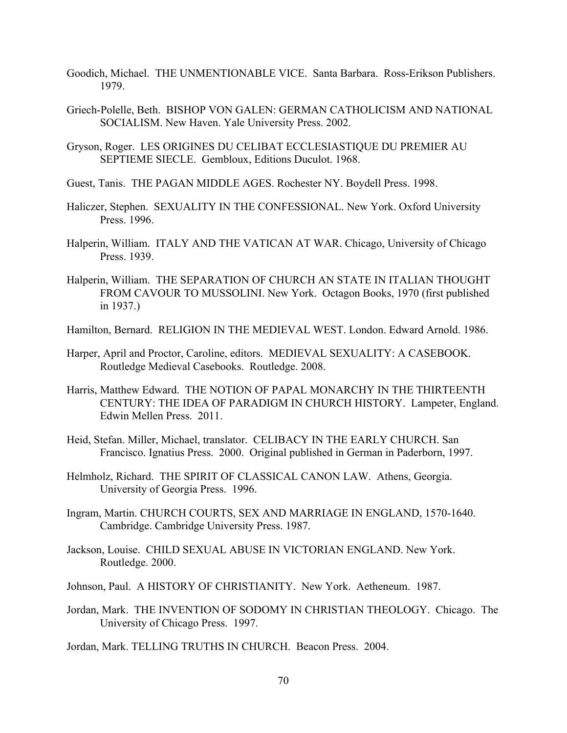- Goodich, Michael. THE UNMENTIONABLE VICE. Santa Barbara. Ross-Erikson Publishers. 1979.
- Griech-Polelle, Beth. BISHOP VON GALEN: GERMAN CATHOLICISM AND NATIONAL SOCIALISM. New Haven. Yale University Press. 2002.
- Gryson, Roger. LES ORIGINES DU CELIBAT ECCLESIASTIQUE DU PREMIER AU SEPTIEME SIECLE. Gembloux, Editions Duculot. 1968.
- Guest, Tanis. THE PAGAN MIDDLE AGES. Rochester NY. Boydell Press. 1998.
- Haliczer, Stephen. SEXUALITY IN THE CONFESSIONAL. New York. Oxford University Press. 1996.
- Halperin, William. ITALY AND THE VATICAN AT WAR. Chicago, University of Chicago Press. 1939.
- Halperin, William. THE SEPARATION OF CHURCH AN STATE IN ITALIAN THOUGHT FROM CAVOUR TO MUSSOLINI. New York. Octagon Books, 1970 (first published in 1937.)
- Hamilton, Bernard. RELIGION IN THE MEDIEVAL WEST. London. Edward Arnold. 1986.
- Harper, April and Proctor, Caroline, editors. MEDIEVAL SEXUALITY: A CASEBOOK. Routledge Medieval Casebooks. Routledge. 2008.
- Harris, Matthew Edward. THE NOTION OF PAPAL MONARCHY IN THE THIRTEENTH CENTURY: THE IDEA OF PARADIGM IN CHURCH HISTORY. Lampeter, England. Edwin Mellen Press. 2011.
- Heid, Stefan. Miller, Michael, translator. CELIBACY IN THE EARLY CHURCH. San Francisco. Ignatius Press. 2000. Original published in German in Paderborn, 1997.
- Helmholz, Richard. THE SPIRIT OF CLASSICAL CANON LAW. Athens, Georgia. University of Georgia Press. 1996.
- Ingram, Martin. CHURCH COURTS, SEX AND MARRIAGE IN ENGLAND, 1570-1640. Cambridge. Cambridge University Press. 1987.
- Jackson, Louise. CHILD SEXUAL ABUSE IN VICTORIAN ENGLAND. New York. Routledge. 2000.
- Johnson, Paul. A HISTORY OF CHRISTIANITY. New York. Aetheneum. 1987.
- Jordan, Mark. THE INVENTION OF SODOMY IN CHRISTIAN THEOLOGY. Chicago. The University of Chicago Press. 1997.

Jordan, Mark. TELLING TRUTHS IN CHURCH. Beacon Press. 2004.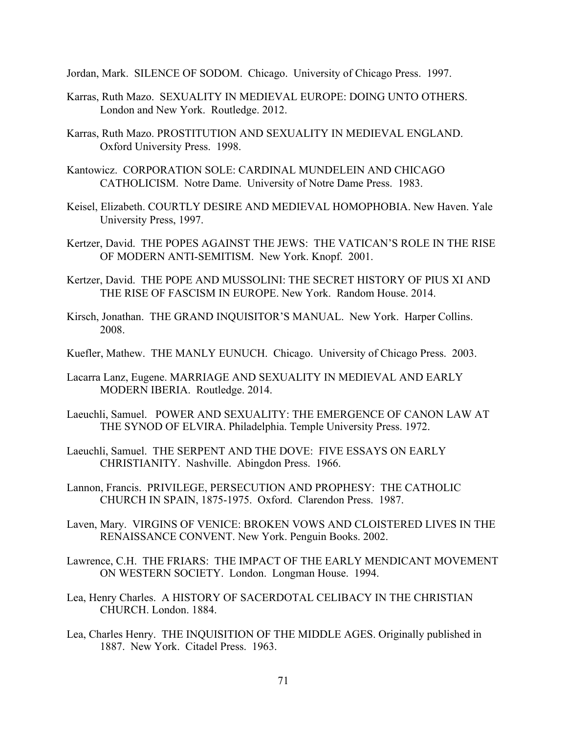Jordan, Mark. SILENCE OF SODOM. Chicago. University of Chicago Press. 1997.

- Karras, Ruth Mazo. SEXUALITY IN MEDIEVAL EUROPE: DOING UNTO OTHERS. London and New York. Routledge. 2012.
- Karras, Ruth Mazo. PROSTITUTION AND SEXUALITY IN MEDIEVAL ENGLAND. Oxford University Press. 1998.
- Kantowicz. CORPORATION SOLE: CARDINAL MUNDELEIN AND CHICAGO CATHOLICISM. Notre Dame. University of Notre Dame Press. 1983.
- Keisel, Elizabeth. COURTLY DESIRE AND MEDIEVAL HOMOPHOBIA. New Haven. Yale University Press, 1997.
- Kertzer, David. THE POPES AGAINST THE JEWS: THE VATICAN'S ROLE IN THE RISE OF MODERN ANTI-SEMITISM. New York. Knopf. 2001.
- Kertzer, David. THE POPE AND MUSSOLINI: THE SECRET HISTORY OF PIUS XI AND THE RISE OF FASCISM IN EUROPE. New York. Random House. 2014.
- Kirsch, Jonathan. THE GRAND INQUISITOR'S MANUAL. New York. Harper Collins. 2008.
- Kuefler, Mathew. THE MANLY EUNUCH. Chicago. University of Chicago Press. 2003.
- Lacarra Lanz, Eugene. MARRIAGE AND SEXUALITY IN MEDIEVAL AND EARLY MODERN IBERIA. Routledge. 2014.
- Laeuchli, Samuel. POWER AND SEXUALITY: THE EMERGENCE OF CANON LAW AT THE SYNOD OF ELVIRA. Philadelphia. Temple University Press. 1972.
- Laeuchli, Samuel. THE SERPENT AND THE DOVE: FIVE ESSAYS ON EARLY CHRISTIANITY. Nashville. Abingdon Press. 1966.
- Lannon, Francis. PRIVILEGE, PERSECUTION AND PROPHESY: THE CATHOLIC CHURCH IN SPAIN, 1875-1975. Oxford. Clarendon Press. 1987.
- Laven, Mary. VIRGINS OF VENICE: BROKEN VOWS AND CLOISTERED LIVES IN THE RENAISSANCE CONVENT. New York. Penguin Books. 2002.
- Lawrence, C.H. THE FRIARS: THE IMPACT OF THE EARLY MENDICANT MOVEMENT ON WESTERN SOCIETY. London. Longman House. 1994.
- Lea, Henry Charles. A HISTORY OF SACERDOTAL CELIBACY IN THE CHRISTIAN CHURCH. London. 1884.
- Lea, Charles Henry. THE INQUISITION OF THE MIDDLE AGES. Originally published in 1887. New York. Citadel Press. 1963.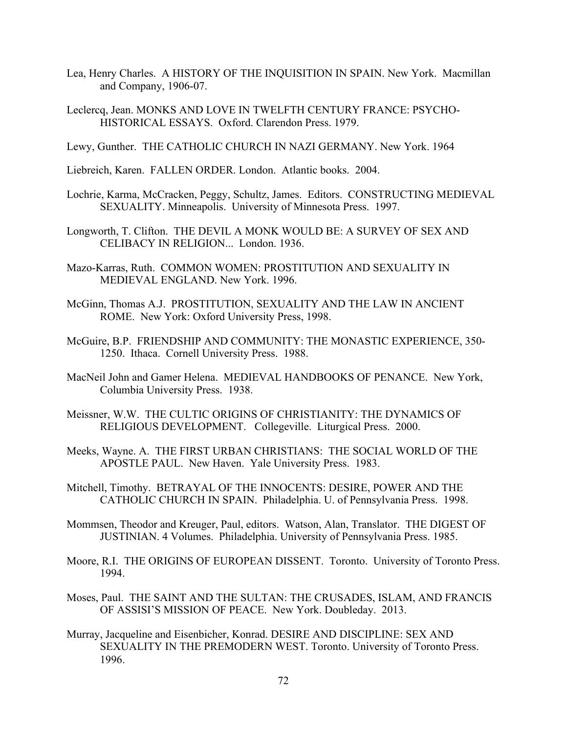- Lea, Henry Charles. A HISTORY OF THE INQUISITION IN SPAIN. New York. Macmillan and Company, 1906-07.
- Leclercq, Jean. MONKS AND LOVE IN TWELFTH CENTURY FRANCE: PSYCHO-HISTORICAL ESSAYS. Oxford. Clarendon Press. 1979.

Lewy, Gunther. THE CATHOLIC CHURCH IN NAZI GERMANY. New York. 1964

Liebreich, Karen. FALLEN ORDER. London. Atlantic books. 2004.

- Lochrie, Karma, McCracken, Peggy, Schultz, James. Editors. CONSTRUCTING MEDIEVAL SEXUALITY. Minneapolis. University of Minnesota Press. 1997.
- Longworth, T. Clifton. THE DEVIL A MONK WOULD BE: A SURVEY OF SEX AND CELIBACY IN RELIGION... London. 1936.
- Mazo-Karras, Ruth. COMMON WOMEN: PROSTITUTION AND SEXUALITY IN MEDIEVAL ENGLAND. New York. 1996.
- McGinn, Thomas A.J. PROSTITUTION, SEXUALITY AND THE LAW IN ANCIENT ROME. New York: Oxford University Press, 1998.
- McGuire, B.P. FRIENDSHIP AND COMMUNITY: THE MONASTIC EXPERIENCE, 350- 1250. Ithaca. Cornell University Press. 1988.
- MacNeil John and Gamer Helena. MEDIEVAL HANDBOOKS OF PENANCE. New York, Columbia University Press. 1938.
- Meissner, W.W. THE CULTIC ORIGINS OF CHRISTIANITY: THE DYNAMICS OF RELIGIOUS DEVELOPMENT. Collegeville. Liturgical Press. 2000.
- Meeks, Wayne. A. THE FIRST URBAN CHRISTIANS: THE SOCIAL WORLD OF THE APOSTLE PAUL. New Haven. Yale University Press. 1983.
- Mitchell, Timothy. BETRAYAL OF THE INNOCENTS: DESIRE, POWER AND THE CATHOLIC CHURCH IN SPAIN. Philadelphia. U. of Pennsylvania Press. 1998.
- Mommsen, Theodor and Kreuger, Paul, editors. Watson, Alan, Translator. THE DIGEST OF JUSTINIAN. 4 Volumes. Philadelphia. University of Pennsylvania Press. 1985.
- Moore, R.I. THE ORIGINS OF EUROPEAN DISSENT. Toronto. University of Toronto Press. 1994.
- Moses, Paul. THE SAINT AND THE SULTAN: THE CRUSADES, ISLAM, AND FRANCIS OF ASSISI'S MISSION OF PEACE. New York. Doubleday. 2013.
- Murray, Jacqueline and Eisenbicher, Konrad. DESIRE AND DISCIPLINE: SEX AND SEXUALITY IN THE PREMODERN WEST. Toronto. University of Toronto Press. 1996.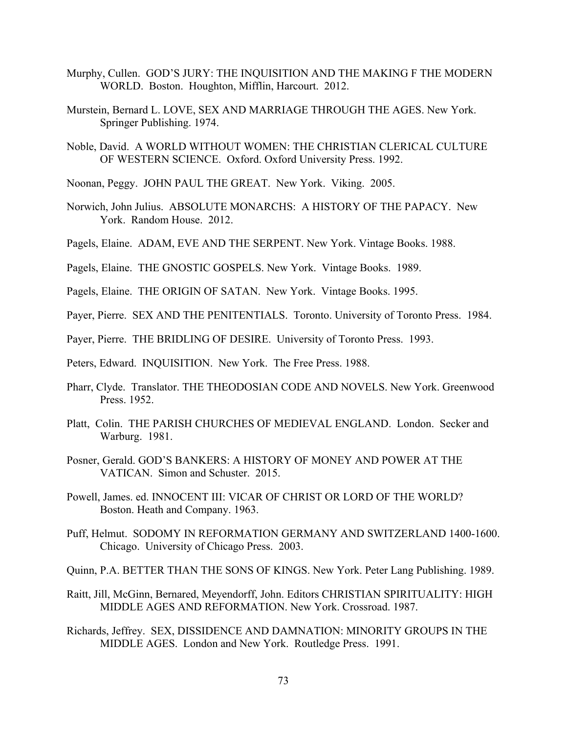- Murphy, Cullen. GOD'S JURY: THE INQUISITION AND THE MAKING F THE MODERN WORLD. Boston. Houghton, Mifflin, Harcourt. 2012.
- Murstein, Bernard L. LOVE, SEX AND MARRIAGE THROUGH THE AGES. New York. Springer Publishing. 1974.
- Noble, David. A WORLD WITHOUT WOMEN: THE CHRISTIAN CLERICAL CULTURE OF WESTERN SCIENCE. Oxford. Oxford University Press. 1992.
- Noonan, Peggy. JOHN PAUL THE GREAT. New York. Viking. 2005.
- Norwich, John Julius. ABSOLUTE MONARCHS: A HISTORY OF THE PAPACY. New York. Random House. 2012.
- Pagels, Elaine. ADAM, EVE AND THE SERPENT. New York. Vintage Books. 1988.
- Pagels, Elaine. THE GNOSTIC GOSPELS. New York. Vintage Books. 1989.
- Pagels, Elaine. THE ORIGIN OF SATAN. New York. Vintage Books. 1995.
- Payer, Pierre. SEX AND THE PENITENTIALS. Toronto. University of Toronto Press. 1984.
- Payer, Pierre. THE BRIDLING OF DESIRE. University of Toronto Press. 1993.
- Peters, Edward. INQUISITION. New York. The Free Press. 1988.
- Pharr, Clyde. Translator. THE THEODOSIAN CODE AND NOVELS. New York. Greenwood Press. 1952.
- Platt, Colin. THE PARISH CHURCHES OF MEDIEVAL ENGLAND. London. Secker and Warburg. 1981.
- Posner, Gerald. GOD'S BANKERS: A HISTORY OF MONEY AND POWER AT THE VATICAN. Simon and Schuster. 2015.
- Powell, James. ed. INNOCENT III: VICAR OF CHRIST OR LORD OF THE WORLD? Boston. Heath and Company. 1963.
- Puff, Helmut. SODOMY IN REFORMATION GERMANY AND SWITZERLAND 1400-1600. Chicago. University of Chicago Press. 2003.
- Quinn, P.A. BETTER THAN THE SONS OF KINGS. New York. Peter Lang Publishing. 1989.
- Raitt, Jill, McGinn, Bernared, Meyendorff, John. Editors CHRISTIAN SPIRITUALITY: HIGH MIDDLE AGES AND REFORMATION. New York. Crossroad. 1987.
- Richards, Jeffrey. SEX, DISSIDENCE AND DAMNATION: MINORITY GROUPS IN THE MIDDLE AGES. London and New York. Routledge Press. 1991.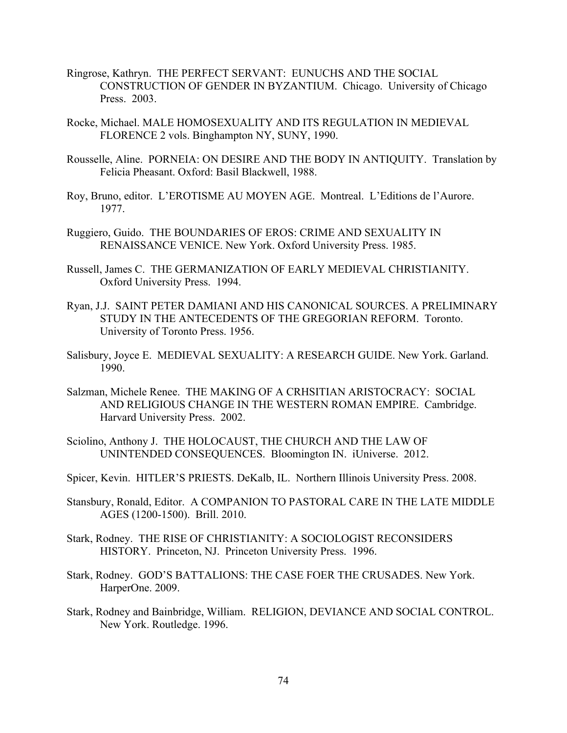- Ringrose, Kathryn. THE PERFECT SERVANT: EUNUCHS AND THE SOCIAL CONSTRUCTION OF GENDER IN BYZANTIUM. Chicago. University of Chicago Press. 2003.
- Rocke, Michael. MALE HOMOSEXUALITY AND ITS REGULATION IN MEDIEVAL FLORENCE 2 vols. Binghampton NY, SUNY, 1990.
- Rousselle, Aline. PORNEIA: ON DESIRE AND THE BODY IN ANTIQUITY. Translation by Felicia Pheasant. Oxford: Basil Blackwell, 1988.
- Roy, Bruno, editor. L'EROTISME AU MOYEN AGE. Montreal. L'Editions de l'Aurore. 1977.
- Ruggiero, Guido. THE BOUNDARIES OF EROS: CRIME AND SEXUALITY IN RENAISSANCE VENICE. New York. Oxford University Press. 1985.
- Russell, James C. THE GERMANIZATION OF EARLY MEDIEVAL CHRISTIANITY. Oxford University Press. 1994.
- Ryan, J.J. SAINT PETER DAMIANI AND HIS CANONICAL SOURCES. A PRELIMINARY STUDY IN THE ANTECEDENTS OF THE GREGORIAN REFORM. Toronto. University of Toronto Press. 1956.
- Salisbury, Joyce E. MEDIEVAL SEXUALITY: A RESEARCH GUIDE. New York. Garland. 1990.
- Salzman, Michele Renee. THE MAKING OF A CRHSITIAN ARISTOCRACY: SOCIAL AND RELIGIOUS CHANGE IN THE WESTERN ROMAN EMPIRE. Cambridge. Harvard University Press. 2002.
- Sciolino, Anthony J. THE HOLOCAUST, THE CHURCH AND THE LAW OF UNINTENDED CONSEQUENCES. Bloomington IN. iUniverse. 2012.
- Spicer, Kevin. HITLER'S PRIESTS. DeKalb, IL. Northern Illinois University Press. 2008.
- Stansbury, Ronald, Editor. A COMPANION TO PASTORAL CARE IN THE LATE MIDDLE AGES (1200-1500). Brill. 2010.
- Stark, Rodney. THE RISE OF CHRISTIANITY: A SOCIOLOGIST RECONSIDERS HISTORY. Princeton, NJ. Princeton University Press. 1996.
- Stark, Rodney. GOD'S BATTALIONS: THE CASE FOER THE CRUSADES. New York. HarperOne. 2009.
- Stark, Rodney and Bainbridge, William. RELIGION, DEVIANCE AND SOCIAL CONTROL. New York. Routledge. 1996.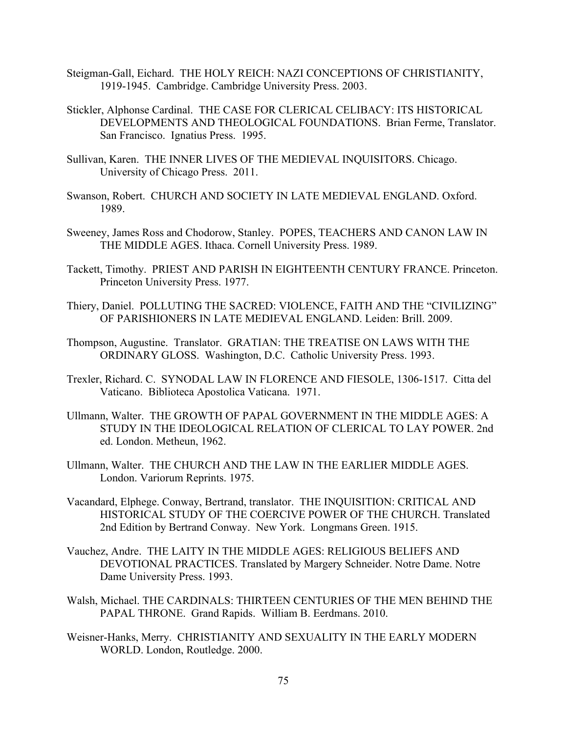- Steigman-Gall, Eichard. THE HOLY REICH: NAZI CONCEPTIONS OF CHRISTIANITY, 1919-1945. Cambridge. Cambridge University Press. 2003.
- Stickler, Alphonse Cardinal. THE CASE FOR CLERICAL CELIBACY: ITS HISTORICAL DEVELOPMENTS AND THEOLOGICAL FOUNDATIONS. Brian Ferme, Translator. San Francisco. Ignatius Press. 1995.
- Sullivan, Karen. THE INNER LIVES OF THE MEDIEVAL INQUISITORS. Chicago. University of Chicago Press. 2011.
- Swanson, Robert. CHURCH AND SOCIETY IN LATE MEDIEVAL ENGLAND. Oxford. 1989.
- Sweeney, James Ross and Chodorow, Stanley. POPES, TEACHERS AND CANON LAW IN THE MIDDLE AGES. Ithaca. Cornell University Press. 1989.
- Tackett, Timothy. PRIEST AND PARISH IN EIGHTEENTH CENTURY FRANCE. Princeton. Princeton University Press. 1977.
- Thiery, Daniel. POLLUTING THE SACRED: VIOLENCE, FAITH AND THE "CIVILIZING" OF PARISHIONERS IN LATE MEDIEVAL ENGLAND. Leiden: Brill. 2009.
- Thompson, Augustine. Translator. GRATIAN: THE TREATISE ON LAWS WITH THE ORDINARY GLOSS. Washington, D.C. Catholic University Press. 1993.
- Trexler, Richard. C. SYNODAL LAW IN FLORENCE AND FIESOLE, 1306-1517. Citta del Vaticano. Biblioteca Apostolica Vaticana. 1971.
- Ullmann, Walter. THE GROWTH OF PAPAL GOVERNMENT IN THE MIDDLE AGES: A STUDY IN THE IDEOLOGICAL RELATION OF CLERICAL TO LAY POWER. 2nd ed. London. Metheun, 1962.
- Ullmann, Walter. THE CHURCH AND THE LAW IN THE EARLIER MIDDLE AGES. London. Variorum Reprints. 1975.
- Vacandard, Elphege. Conway, Bertrand, translator. THE INQUISITION: CRITICAL AND HISTORICAL STUDY OF THE COERCIVE POWER OF THE CHURCH. Translated 2nd Edition by Bertrand Conway. New York. Longmans Green. 1915.
- Vauchez, Andre. THE LAITY IN THE MIDDLE AGES: RELIGIOUS BELIEFS AND DEVOTIONAL PRACTICES. Translated by Margery Schneider. Notre Dame. Notre Dame University Press. 1993.
- Walsh, Michael. THE CARDINALS: THIRTEEN CENTURIES OF THE MEN BEHIND THE PAPAL THRONE. Grand Rapids. William B. Eerdmans. 2010.
- Weisner-Hanks, Merry. CHRISTIANITY AND SEXUALITY IN THE EARLY MODERN WORLD. London, Routledge. 2000.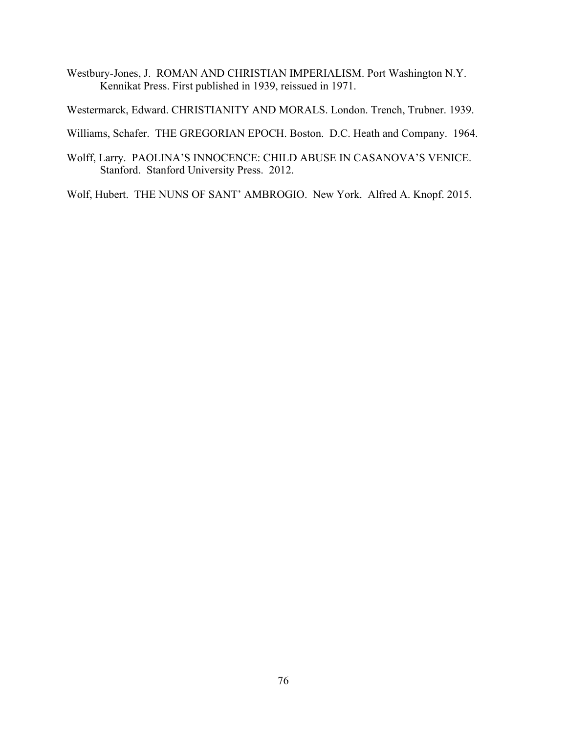Westbury-Jones, J. ROMAN AND CHRISTIAN IMPERIALISM. Port Washington N.Y. Kennikat Press. First published in 1939, reissued in 1971.

Westermarck, Edward. CHRISTIANITY AND MORALS. London. Trench, Trubner. 1939.

Williams, Schafer. THE GREGORIAN EPOCH. Boston. D.C. Heath and Company. 1964.

Wolff, Larry. PAOLINA'S INNOCENCE: CHILD ABUSE IN CASANOVA'S VENICE. Stanford. Stanford University Press. 2012.

Wolf, Hubert. THE NUNS OF SANT' AMBROGIO. New York. Alfred A. Knopf. 2015.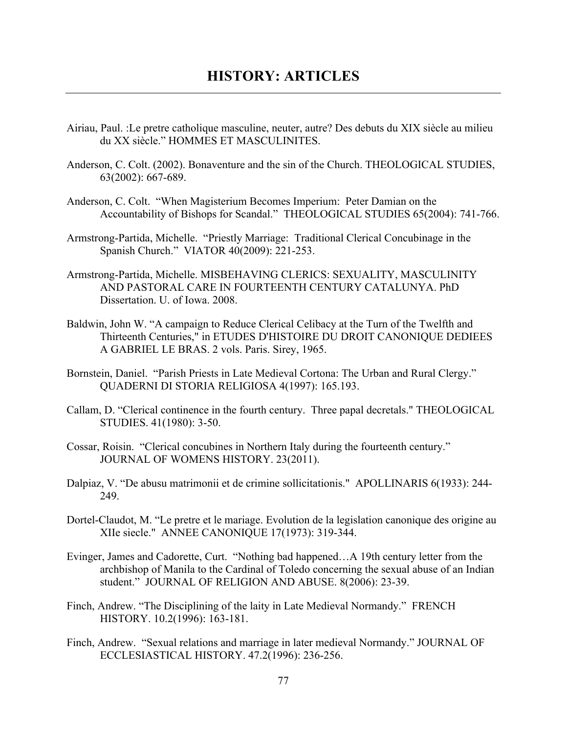- Airiau, Paul. :Le pretre catholique masculine, neuter, autre? Des debuts du XIX siècle au milieu du XX siècle." HOMMES ET MASCULINITES.
- Anderson, C. Colt. (2002). Bonaventure and the sin of the Church. THEOLOGICAL STUDIES, 63(2002): 667-689.
- Anderson, C. Colt. "When Magisterium Becomes Imperium: Peter Damian on the Accountability of Bishops for Scandal." THEOLOGICAL STUDIES 65(2004): 741-766.
- Armstrong-Partida, Michelle. "Priestly Marriage: Traditional Clerical Concubinage in the Spanish Church." VIATOR 40(2009): 221-253.
- Armstrong-Partida, Michelle. MISBEHAVING CLERICS: SEXUALITY, MASCULINITY AND PASTORAL CARE IN FOURTEENTH CENTURY CATALUNYA. PhD Dissertation. U. of Iowa. 2008.
- Baldwin, John W. "A campaign to Reduce Clerical Celibacy at the Turn of the Twelfth and Thirteenth Centuries," in ETUDES D'HISTOIRE DU DROIT CANONIQUE DEDIEES A GABRIEL LE BRAS. 2 vols. Paris. Sirey, 1965.
- Bornstein, Daniel. "Parish Priests in Late Medieval Cortona: The Urban and Rural Clergy." QUADERNI DI STORIA RELIGIOSA 4(1997): 165.193.
- Callam, D. "Clerical continence in the fourth century. Three papal decretals." THEOLOGICAL STUDIES. 41(1980): 3-50.
- Cossar, Roisin. "Clerical concubines in Northern Italy during the fourteenth century." JOURNAL OF WOMENS HISTORY. 23(2011).
- Dalpiaz, V. "De abusu matrimonii et de crimine sollicitationis." APOLLINARIS 6(1933): 244- 249.
- Dortel-Claudot, M. "Le pretre et le mariage. Evolution de la legislation canonique des origine au XIIe siecle." ANNEE CANONIQUE 17(1973): 319-344.
- Evinger, James and Cadorette, Curt. "Nothing bad happened…A 19th century letter from the archbishop of Manila to the Cardinal of Toledo concerning the sexual abuse of an Indian student." JOURNAL OF RELIGION AND ABUSE. 8(2006): 23-39.
- Finch, Andrew. "The Disciplining of the laity in Late Medieval Normandy." FRENCH HISTORY. 10.2(1996): 163-181.
- Finch, Andrew. "Sexual relations and marriage in later medieval Normandy." JOURNAL OF ECCLESIASTICAL HISTORY. 47.2(1996): 236-256.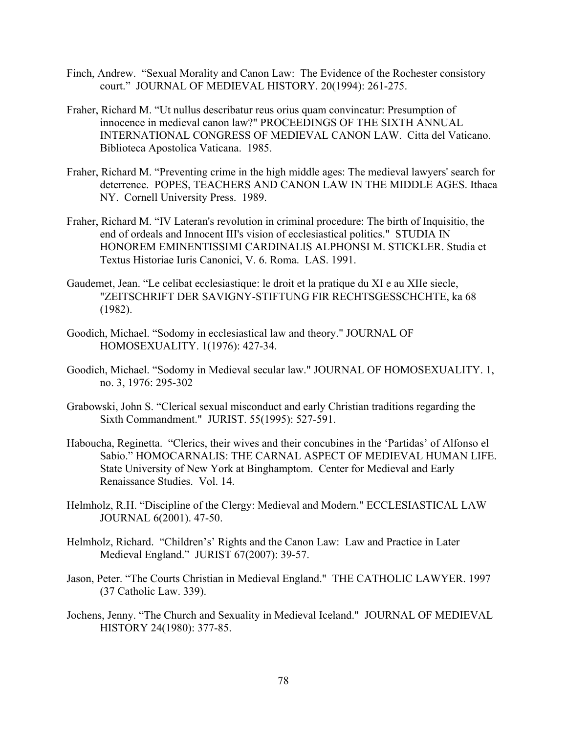- Finch, Andrew. "Sexual Morality and Canon Law: The Evidence of the Rochester consistory court." JOURNAL OF MEDIEVAL HISTORY. 20(1994): 261-275.
- Fraher, Richard M. "Ut nullus describatur reus orius quam convincatur: Presumption of innocence in medieval canon law?" PROCEEDINGS OF THE SIXTH ANNUAL INTERNATIONAL CONGRESS OF MEDIEVAL CANON LAW. Citta del Vaticano. Biblioteca Apostolica Vaticana. 1985.
- Fraher, Richard M. "Preventing crime in the high middle ages: The medieval lawyers' search for deterrence. POPES, TEACHERS AND CANON LAW IN THE MIDDLE AGES. Ithaca NY. Cornell University Press. 1989.
- Fraher, Richard M. "IV Lateran's revolution in criminal procedure: The birth of Inquisitio, the end of ordeals and Innocent III's vision of ecclesiastical politics." STUDIA IN HONOREM EMINENTISSIMI CARDINALIS ALPHONSI M. STICKLER. Studia et Textus Historiae Iuris Canonici, V. 6. Roma. LAS. 1991.
- Gaudemet, Jean. "Le celibat ecclesiastique: le droit et la pratique du XI e au XIIe siecle, "ZEITSCHRIFT DER SAVIGNY-STIFTUNG FIR RECHTSGESSCHCHTE, ka 68 (1982).
- Goodich, Michael. "Sodomy in ecclesiastical law and theory." JOURNAL OF HOMOSEXUALITY. 1(1976): 427-34.
- Goodich, Michael. "Sodomy in Medieval secular law." JOURNAL OF HOMOSEXUALITY. 1, no. 3, 1976: 295-302
- Grabowski, John S. "Clerical sexual misconduct and early Christian traditions regarding the Sixth Commandment." JURIST. 55(1995): 527-591.
- Haboucha, Reginetta. "Clerics, their wives and their concubines in the 'Partidas' of Alfonso el Sabio." HOMOCARNALIS: THE CARNAL ASPECT OF MEDIEVAL HUMAN LIFE. State University of New York at Binghamptom. Center for Medieval and Early Renaissance Studies. Vol. 14.
- Helmholz, R.H. "Discipline of the Clergy: Medieval and Modern." ECCLESIASTICAL LAW JOURNAL 6(2001). 47-50.
- Helmholz, Richard. "Children's' Rights and the Canon Law: Law and Practice in Later Medieval England." JURIST 67(2007): 39-57.
- Jason, Peter. "The Courts Christian in Medieval England." THE CATHOLIC LAWYER. 1997 (37 Catholic Law. 339).
- Jochens, Jenny. "The Church and Sexuality in Medieval Iceland." JOURNAL OF MEDIEVAL HISTORY 24(1980): 377-85.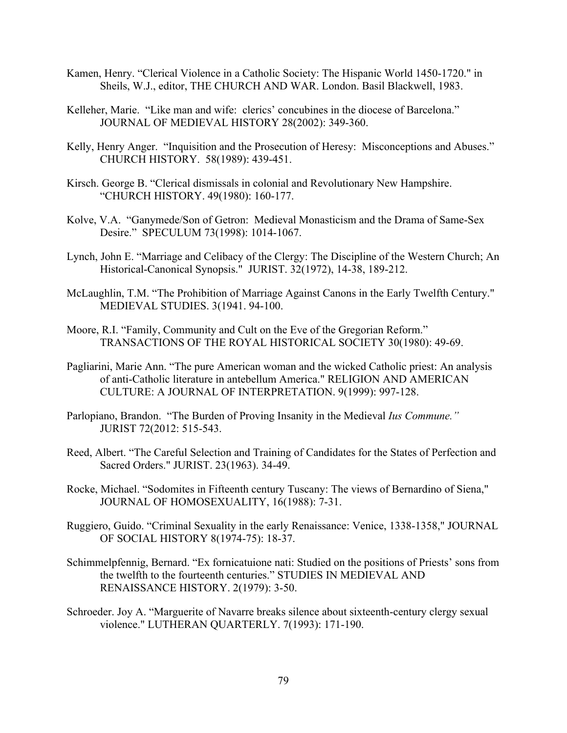- Kamen, Henry. "Clerical Violence in a Catholic Society: The Hispanic World 1450-1720." in Sheils, W.J., editor, THE CHURCH AND WAR. London. Basil Blackwell, 1983.
- Kelleher, Marie. "Like man and wife: clerics' concubines in the diocese of Barcelona." JOURNAL OF MEDIEVAL HISTORY 28(2002): 349-360.
- Kelly, Henry Anger. "Inquisition and the Prosecution of Heresy: Misconceptions and Abuses." CHURCH HISTORY. 58(1989): 439-451.
- Kirsch. George B. "Clerical dismissals in colonial and Revolutionary New Hampshire. "CHURCH HISTORY. 49(1980): 160-177.
- Kolve, V.A. "Ganymede/Son of Getron: Medieval Monasticism and the Drama of Same-Sex Desire." SPECULUM 73(1998): 1014-1067.
- Lynch, John E. "Marriage and Celibacy of the Clergy: The Discipline of the Western Church; An Historical-Canonical Synopsis." JURIST. 32(1972), 14-38, 189-212.
- McLaughlin, T.M. "The Prohibition of Marriage Against Canons in the Early Twelfth Century." MEDIEVAL STUDIES. 3(1941. 94-100.
- Moore, R.I. "Family, Community and Cult on the Eve of the Gregorian Reform." TRANSACTIONS OF THE ROYAL HISTORICAL SOCIETY 30(1980): 49-69.
- Pagliarini, Marie Ann. "The pure American woman and the wicked Catholic priest: An analysis of anti-Catholic literature in antebellum America." RELIGION AND AMERICAN CULTURE: A JOURNAL OF INTERPRETATION. 9(1999): 997-128.
- Parlopiano, Brandon. "The Burden of Proving Insanity in the Medieval *Ius Commune."*  JURIST 72(2012: 515-543.
- Reed, Albert. "The Careful Selection and Training of Candidates for the States of Perfection and Sacred Orders." JURIST. 23(1963). 34-49.
- Rocke, Michael. "Sodomites in Fifteenth century Tuscany: The views of Bernardino of Siena," JOURNAL OF HOMOSEXUALITY, 16(1988): 7-31.
- Ruggiero, Guido. "Criminal Sexuality in the early Renaissance: Venice, 1338-1358," JOURNAL OF SOCIAL HISTORY 8(1974-75): 18-37.
- Schimmelpfennig, Bernard. "Ex fornicatuione nati: Studied on the positions of Priests' sons from the twelfth to the fourteenth centuries." STUDIES IN MEDIEVAL AND RENAISSANCE HISTORY. 2(1979): 3-50.
- Schroeder. Joy A. "Marguerite of Navarre breaks silence about sixteenth-century clergy sexual violence." LUTHERAN QUARTERLY. 7(1993): 171-190.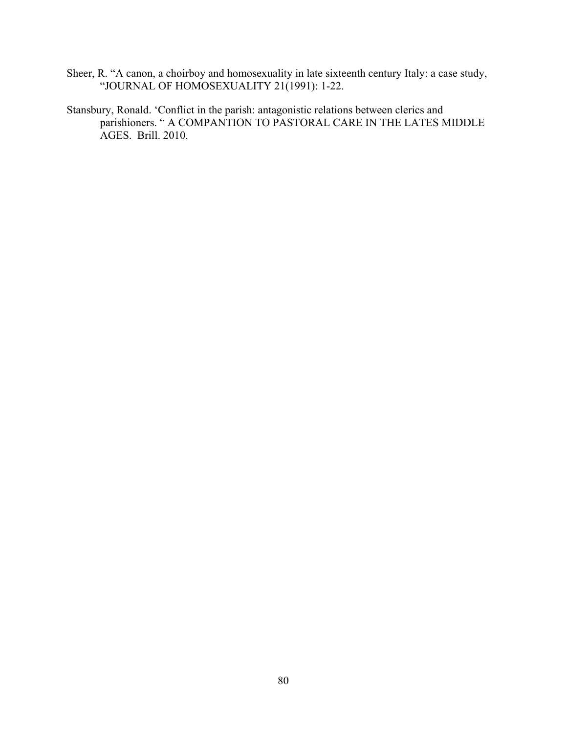- Sheer, R. "A canon, a choirboy and homosexuality in late sixteenth century Italy: a case study, "JOURNAL OF HOMOSEXUALITY 21(1991): 1-22.
- Stansbury, Ronald. 'Conflict in the parish: antagonistic relations between clerics and parishioners. " A COMPANTION TO PASTORAL CARE IN THE LATES MIDDLE AGES. Brill. 2010.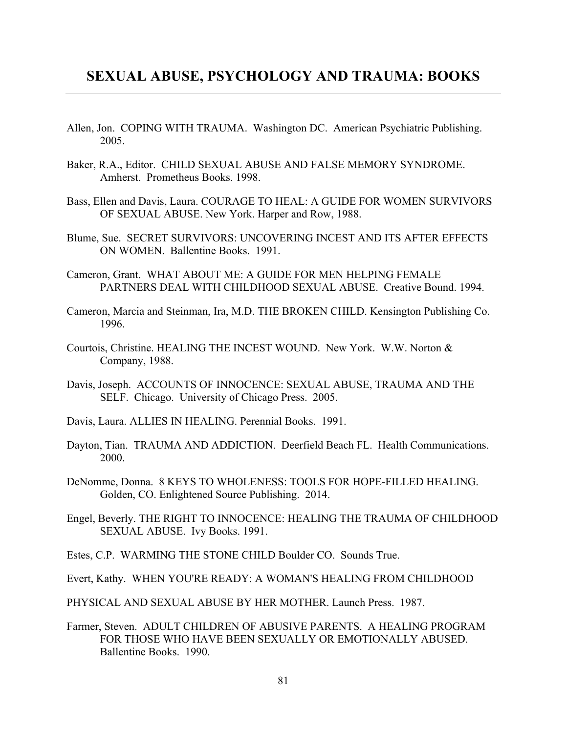# **SEXUAL ABUSE, PSYCHOLOGY AND TRAUMA: BOOKS**

- Allen, Jon. COPING WITH TRAUMA. Washington DC. American Psychiatric Publishing. 2005.
- Baker, R.A., Editor. CHILD SEXUAL ABUSE AND FALSE MEMORY SYNDROME. Amherst. Prometheus Books. 1998.
- Bass, Ellen and Davis, Laura. COURAGE TO HEAL: A GUIDE FOR WOMEN SURVIVORS OF SEXUAL ABUSE. New York. Harper and Row, 1988.
- Blume, Sue. SECRET SURVIVORS: UNCOVERING INCEST AND ITS AFTER EFFECTS ON WOMEN. Ballentine Books. 1991.
- Cameron, Grant. WHAT ABOUT ME: A GUIDE FOR MEN HELPING FEMALE PARTNERS DEAL WITH CHILDHOOD SEXUAL ABUSE. Creative Bound. 1994.
- Cameron, Marcia and Steinman, Ira, M.D. THE BROKEN CHILD. Kensington Publishing Co. 1996.
- Courtois, Christine. HEALING THE INCEST WOUND. New York. W.W. Norton & Company, 1988.
- Davis, Joseph. ACCOUNTS OF INNOCENCE: SEXUAL ABUSE, TRAUMA AND THE SELF. Chicago. University of Chicago Press. 2005.
- Davis, Laura. ALLIES IN HEALING. Perennial Books. 1991.
- Dayton, Tian. TRAUMA AND ADDICTION. Deerfield Beach FL. Health Communications. 2000.
- DeNomme, Donna. 8 KEYS TO WHOLENESS: TOOLS FOR HOPE-FILLED HEALING. Golden, CO. Enlightened Source Publishing. 2014.
- Engel, Beverly. THE RIGHT TO INNOCENCE: HEALING THE TRAUMA OF CHILDHOOD SEXUAL ABUSE. Ivy Books. 1991.
- Estes, C.P. WARMING THE STONE CHILD Boulder CO. Sounds True.
- Evert, Kathy. WHEN YOU'RE READY: A WOMAN'S HEALING FROM CHILDHOOD

PHYSICAL AND SEXUAL ABUSE BY HER MOTHER. Launch Press. 1987.

Farmer, Steven. ADULT CHILDREN OF ABUSIVE PARENTS. A HEALING PROGRAM FOR THOSE WHO HAVE BEEN SEXUALLY OR EMOTIONALLY ABUSED. Ballentine Books. 1990.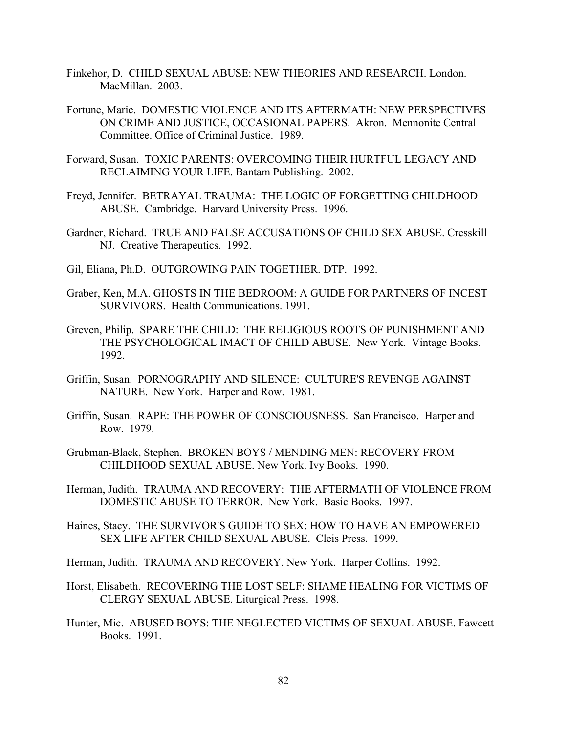- Finkehor, D. CHILD SEXUAL ABUSE: NEW THEORIES AND RESEARCH. London. MacMillan. 2003.
- Fortune, Marie. DOMESTIC VIOLENCE AND ITS AFTERMATH: NEW PERSPECTIVES ON CRIME AND JUSTICE, OCCASIONAL PAPERS. Akron. Mennonite Central Committee. Office of Criminal Justice. 1989.
- Forward, Susan. TOXIC PARENTS: OVERCOMING THEIR HURTFUL LEGACY AND RECLAIMING YOUR LIFE. Bantam Publishing. 2002.
- Freyd, Jennifer. BETRAYAL TRAUMA: THE LOGIC OF FORGETTING CHILDHOOD ABUSE. Cambridge. Harvard University Press. 1996.
- Gardner, Richard. TRUE AND FALSE ACCUSATIONS OF CHILD SEX ABUSE. Cresskill NJ. Creative Therapeutics. 1992.
- Gil, Eliana, Ph.D. OUTGROWING PAIN TOGETHER. DTP. 1992.
- Graber, Ken, M.A. GHOSTS IN THE BEDROOM: A GUIDE FOR PARTNERS OF INCEST SURVIVORS. Health Communications. 1991.
- Greven, Philip. SPARE THE CHILD: THE RELIGIOUS ROOTS OF PUNISHMENT AND THE PSYCHOLOGICAL IMACT OF CHILD ABUSE. New York. Vintage Books. 1992.
- Griffin, Susan. PORNOGRAPHY AND SILENCE: CULTURE'S REVENGE AGAINST NATURE. New York. Harper and Row. 1981.
- Griffin, Susan. RAPE: THE POWER OF CONSCIOUSNESS. San Francisco. Harper and Row. 1979.
- Grubman-Black, Stephen. BROKEN BOYS / MENDING MEN: RECOVERY FROM CHILDHOOD SEXUAL ABUSE. New York. Ivy Books. 1990.
- Herman, Judith. TRAUMA AND RECOVERY: THE AFTERMATH OF VIOLENCE FROM DOMESTIC ABUSE TO TERROR. New York. Basic Books. 1997.
- Haines, Stacy. THE SURVIVOR'S GUIDE TO SEX: HOW TO HAVE AN EMPOWERED SEX LIFE AFTER CHILD SEXUAL ABUSE. Cleis Press. 1999.
- Herman, Judith. TRAUMA AND RECOVERY. New York. Harper Collins. 1992.
- Horst, Elisabeth. RECOVERING THE LOST SELF: SHAME HEALING FOR VICTIMS OF CLERGY SEXUAL ABUSE. Liturgical Press. 1998.
- Hunter, Mic. ABUSED BOYS: THE NEGLECTED VICTIMS OF SEXUAL ABUSE. Fawcett Books. 1991.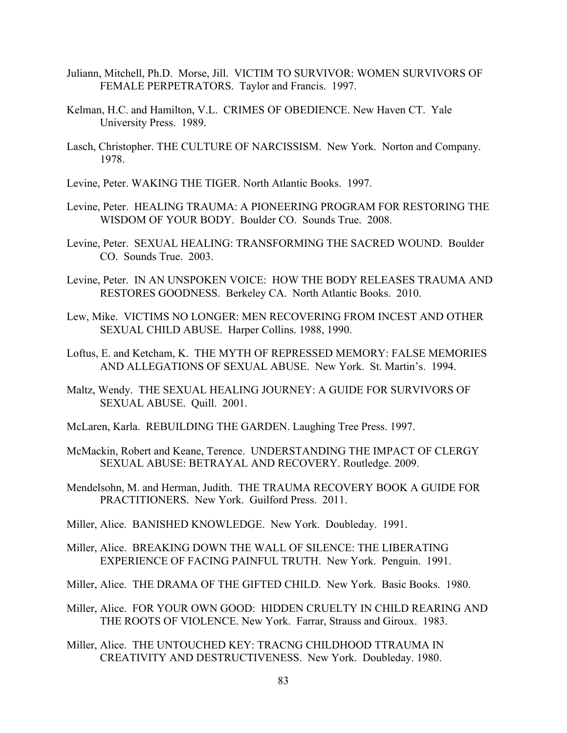- Juliann, Mitchell, Ph.D. Morse, Jill. VICTIM TO SURVIVOR: WOMEN SURVIVORS OF FEMALE PERPETRATORS. Taylor and Francis. 1997.
- Kelman, H.C. and Hamilton, V.L. CRIMES OF OBEDIENCE. New Haven CT. Yale University Press. 1989.
- Lasch, Christopher. THE CULTURE OF NARCISSISM. New York. Norton and Company. 1978.
- Levine, Peter. WAKING THE TIGER. North Atlantic Books. 1997.
- Levine, Peter. HEALING TRAUMA: A PIONEERING PROGRAM FOR RESTORING THE WISDOM OF YOUR BODY. Boulder CO. Sounds True. 2008.
- Levine, Peter. SEXUAL HEALING: TRANSFORMING THE SACRED WOUND. Boulder CO. Sounds True. 2003.
- Levine, Peter. IN AN UNSPOKEN VOICE: HOW THE BODY RELEASES TRAUMA AND RESTORES GOODNESS. Berkeley CA. North Atlantic Books. 2010.
- Lew, Mike. VICTIMS NO LONGER: MEN RECOVERING FROM INCEST AND OTHER SEXUAL CHILD ABUSE. Harper Collins. 1988, 1990.
- Loftus, E. and Ketcham, K. THE MYTH OF REPRESSED MEMORY: FALSE MEMORIES AND ALLEGATIONS OF SEXUAL ABUSE. New York. St. Martin's. 1994.
- Maltz, Wendy. THE SEXUAL HEALING JOURNEY: A GUIDE FOR SURVIVORS OF SEXUAL ABUSE. Quill. 2001.
- McLaren, Karla. REBUILDING THE GARDEN. Laughing Tree Press. 1997.
- McMackin, Robert and Keane, Terence. UNDERSTANDING THE IMPACT OF CLERGY SEXUAL ABUSE: BETRAYAL AND RECOVERY. Routledge. 2009.
- Mendelsohn, M. and Herman, Judith. THE TRAUMA RECOVERY BOOK A GUIDE FOR PRACTITIONERS. New York. Guilford Press. 2011.
- Miller, Alice. BANISHED KNOWLEDGE. New York. Doubleday. 1991.
- Miller, Alice. BREAKING DOWN THE WALL OF SILENCE: THE LIBERATING EXPERIENCE OF FACING PAINFUL TRUTH. New York. Penguin. 1991.
- Miller, Alice. THE DRAMA OF THE GIFTED CHILD. New York. Basic Books. 1980.
- Miller, Alice. FOR YOUR OWN GOOD: HIDDEN CRUELTY IN CHILD REARING AND THE ROOTS OF VIOLENCE. New York. Farrar, Strauss and Giroux. 1983.
- Miller, Alice. THE UNTOUCHED KEY: TRACNG CHILDHOOD TTRAUMA IN CREATIVITY AND DESTRUCTIVENESS. New York. Doubleday. 1980.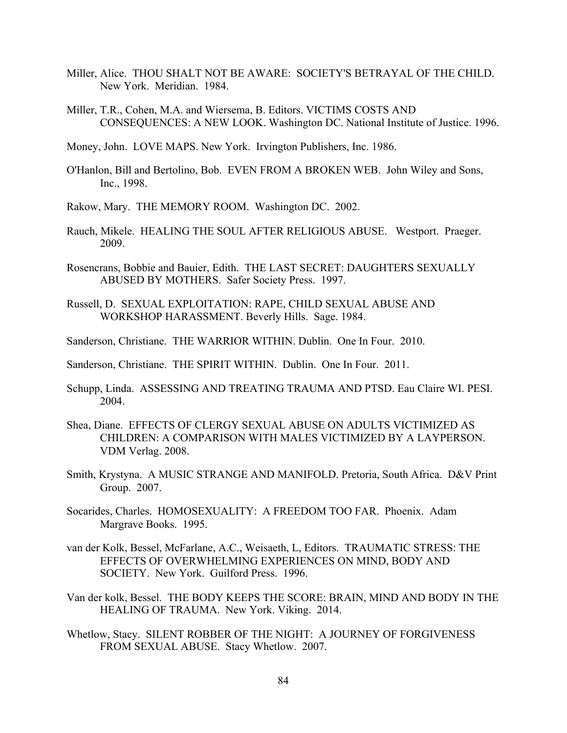- Miller, Alice. THOU SHALT NOT BE AWARE: SOCIETY'S BETRAYAL OF THE CHILD. New York. Meridian. 1984.
- Miller, T.R., Cohen, M.A. and Wiersema, B. Editors. VICTIMS COSTS AND CONSEQUENCES: A NEW LOOK. Washington DC. National Institute of Justice. 1996.
- Money, John. LOVE MAPS. New York. Irvington Publishers, Inc. 1986.
- O'Hanlon, Bill and Bertolino, Bob. EVEN FROM A BROKEN WEB. John Wiley and Sons, Inc., 1998.
- Rakow, Mary. THE MEMORY ROOM. Washington DC. 2002.
- Rauch, Mikele. HEALING THE SOUL AFTER RELIGIOUS ABUSE. Westport. Praeger. 2009.
- Rosencrans, Bobbie and Bauier, Edith. THE LAST SECRET: DAUGHTERS SEXUALLY ABUSED BY MOTHERS. Safer Society Press. 1997.
- Russell, D. SEXUAL EXPLOITATION: RAPE, CHILD SEXUAL ABUSE AND WORKSHOP HARASSMENT. Beverly Hills. Sage. 1984.
- Sanderson, Christiane. THE WARRIOR WITHIN. Dublin. One In Four. 2010.
- Sanderson, Christiane. THE SPIRIT WITHIN. Dublin. One In Four. 2011.
- Schupp, Linda. ASSESSING AND TREATING TRAUMA AND PTSD. Eau Claire WI. PESI. 2004.
- Shea, Diane. EFFECTS OF CLERGY SEXUAL ABUSE ON ADULTS VICTIMIZED AS CHILDREN: A COMPARISON WITH MALES VICTIMIZED BY A LAYPERSON. VDM Verlag. 2008.
- Smith, Krystyna. A MUSIC STRANGE AND MANIFOLD. Pretoria, South Africa. D&V Print Group. 2007.
- Socarides, Charles. HOMOSEXUALITY: A FREEDOM TOO FAR. Phoenix. Adam Margrave Books. 1995.
- van der Kolk, Bessel, McFarlane, A.C., Weisaeth, L, Editors. TRAUMATIC STRESS: THE EFFECTS OF OVERWHELMING EXPERIENCES ON MIND, BODY AND SOCIETY. New York. Guilford Press. 1996.
- Van der kolk, Bessel. THE BODY KEEPS THE SCORE: BRAIN, MIND AND BODY IN THE HEALING OF TRAUMA. New York. Viking. 2014.
- Whetlow, Stacy. SILENT ROBBER OF THE NIGHT: A JOURNEY OF FORGIVENESS FROM SEXUAL ABUSE. Stacy Whetlow. 2007.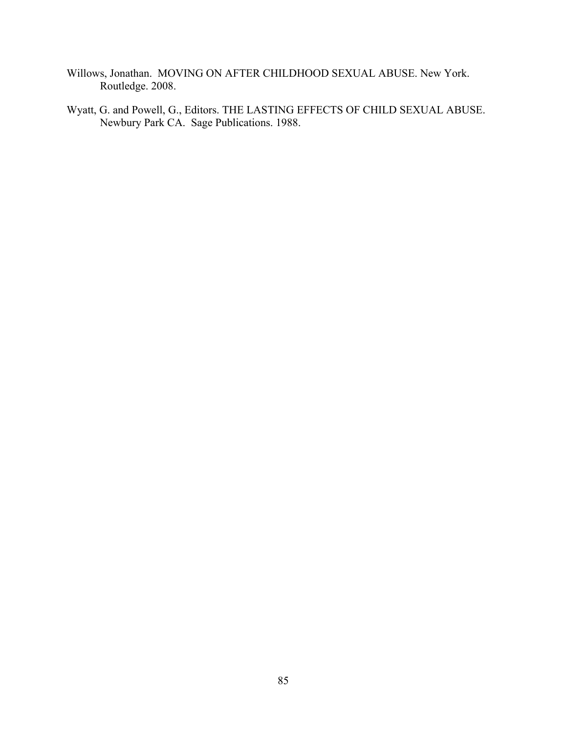- Willows, Jonathan. MOVING ON AFTER CHILDHOOD SEXUAL ABUSE. New York. Routledge. 2008.
- Wyatt, G. and Powell, G., Editors. THE LASTING EFFECTS OF CHILD SEXUAL ABUSE. Newbury Park CA. Sage Publications. 1988.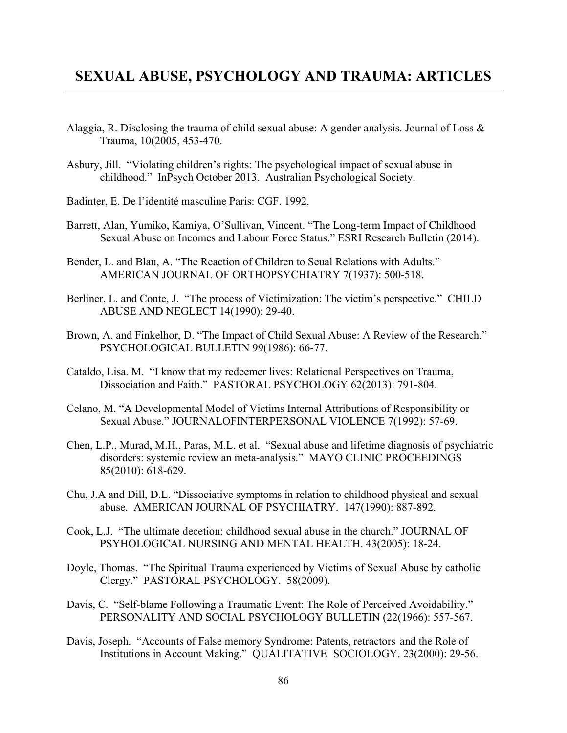# **SEXUAL ABUSE, PSYCHOLOGY AND TRAUMA: ARTICLES**

- Alaggia, R. Disclosing the trauma of child sexual abuse: A gender analysis. Journal of Loss  $\&$ Trauma, 10(2005, 453-470.
- Asbury, Jill. "Violating children's rights: The psychological impact of sexual abuse in childhood." InPsych October 2013. Australian Psychological Society.
- Badinter, E. De l'identité masculine Paris: CGF. 1992.
- Barrett, Alan, Yumiko, Kamiya, O'Sullivan, Vincent. "The Long-term Impact of Childhood Sexual Abuse on Incomes and Labour Force Status." ESRI Research Bulletin (2014).
- Bender, L. and Blau, A. "The Reaction of Children to Seual Relations with Adults." AMERICAN JOURNAL OF ORTHOPSYCHIATRY 7(1937): 500-518.
- Berliner, L. and Conte, J. "The process of Victimization: The victim's perspective." CHILD ABUSE AND NEGLECT 14(1990): 29-40.
- Brown, A. and Finkelhor, D. "The Impact of Child Sexual Abuse: A Review of the Research." PSYCHOLOGICAL BULLETIN 99(1986): 66-77.
- Cataldo, Lisa. M. "I know that my redeemer lives: Relational Perspectives on Trauma, Dissociation and Faith." PASTORAL PSYCHOLOGY 62(2013): 791-804.
- Celano, M. "A Developmental Model of Victims Internal Attributions of Responsibility or Sexual Abuse." JOURNALOFINTERPERSONAL VIOLENCE 7(1992): 57-69.
- Chen, L.P., Murad, M.H., Paras, M.L. et al. "Sexual abuse and lifetime diagnosis of psychiatric disorders: systemic review an meta-analysis." MAYO CLINIC PROCEEDINGS 85(2010): 618-629.
- Chu, J.A and Dill, D.L. "Dissociative symptoms in relation to childhood physical and sexual abuse. AMERICAN JOURNAL OF PSYCHIATRY. 147(1990): 887-892.
- Cook, L.J. "The ultimate decetion: childhood sexual abuse in the church." JOURNAL OF PSYHOLOGICAL NURSING AND MENTAL HEALTH. 43(2005): 18-24.
- Doyle, Thomas. "The Spiritual Trauma experienced by Victims of Sexual Abuse by catholic Clergy." PASTORAL PSYCHOLOGY. 58(2009).
- Davis, C. "Self-blame Following a Traumatic Event: The Role of Perceived Avoidability." PERSONALITY AND SOCIAL PSYCHOLOGY BULLETIN (22(1966): 557-567.
- Davis, Joseph. "Accounts of False memory Syndrome: Patents, retractors and the Role of Institutions in Account Making." QUALITATIVE SOCIOLOGY. 23(2000): 29-56.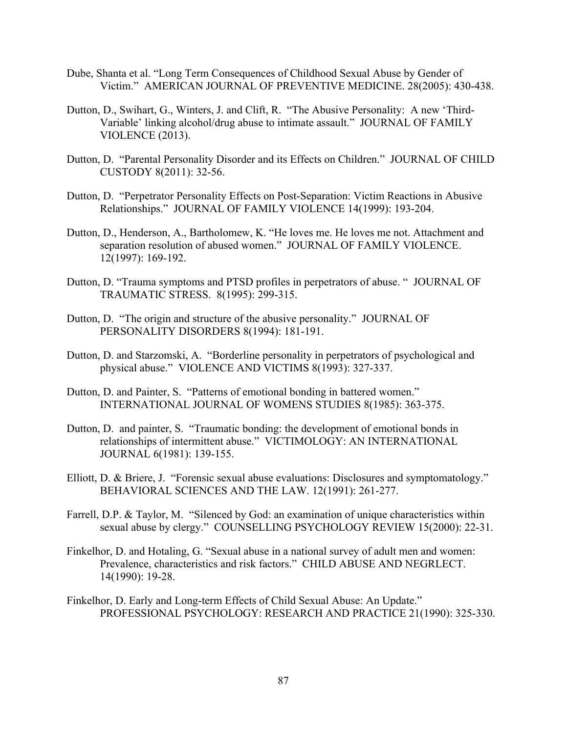- Dube, Shanta et al. "Long Term Consequences of Childhood Sexual Abuse by Gender of Victim." AMERICAN JOURNAL OF PREVENTIVE MEDICINE. 28(2005): 430-438.
- Dutton, D., Swihart, G., Winters, J. and Clift, R. "The Abusive Personality: A new 'Third-Variable' linking alcohol/drug abuse to intimate assault." JOURNAL OF FAMILY VIOLENCE (2013).
- Dutton, D. "Parental Personality Disorder and its Effects on Children." JOURNAL OF CHILD CUSTODY 8(2011): 32-56.
- Dutton, D. "Perpetrator Personality Effects on Post-Separation: Victim Reactions in Abusive Relationships." JOURNAL OF FAMILY VIOLENCE 14(1999): 193-204.
- Dutton, D., Henderson, A., Bartholomew, K. "He loves me. He loves me not. Attachment and separation resolution of abused women." JOURNAL OF FAMILY VIOLENCE. 12(1997): 169-192.
- Dutton, D. "Trauma symptoms and PTSD profiles in perpetrators of abuse. " JOURNAL OF TRAUMATIC STRESS. 8(1995): 299-315.
- Dutton, D. "The origin and structure of the abusive personality." JOURNAL OF PERSONALITY DISORDERS 8(1994): 181-191.
- Dutton, D. and Starzomski, A. "Borderline personality in perpetrators of psychological and physical abuse." VIOLENCE AND VICTIMS 8(1993): 327-337.
- Dutton, D. and Painter, S. "Patterns of emotional bonding in battered women." INTERNATIONAL JOURNAL OF WOMENS STUDIES 8(1985): 363-375.
- Dutton, D. and painter, S. "Traumatic bonding: the development of emotional bonds in relationships of intermittent abuse." VICTIMOLOGY: AN INTERNATIONAL JOURNAL 6(1981): 139-155.
- Elliott, D. & Briere, J. "Forensic sexual abuse evaluations: Disclosures and symptomatology." BEHAVIORAL SCIENCES AND THE LAW. 12(1991): 261-277.
- Farrell, D.P. & Taylor, M. "Silenced by God: an examination of unique characteristics within sexual abuse by clergy." COUNSELLING PSYCHOLOGY REVIEW 15(2000): 22-31.
- Finkelhor, D. and Hotaling, G. "Sexual abuse in a national survey of adult men and women: Prevalence, characteristics and risk factors." CHILD ABUSE AND NEGRLECT. 14(1990): 19-28.
- Finkelhor, D. Early and Long-term Effects of Child Sexual Abuse: An Update." PROFESSIONAL PSYCHOLOGY: RESEARCH AND PRACTICE 21(1990): 325-330.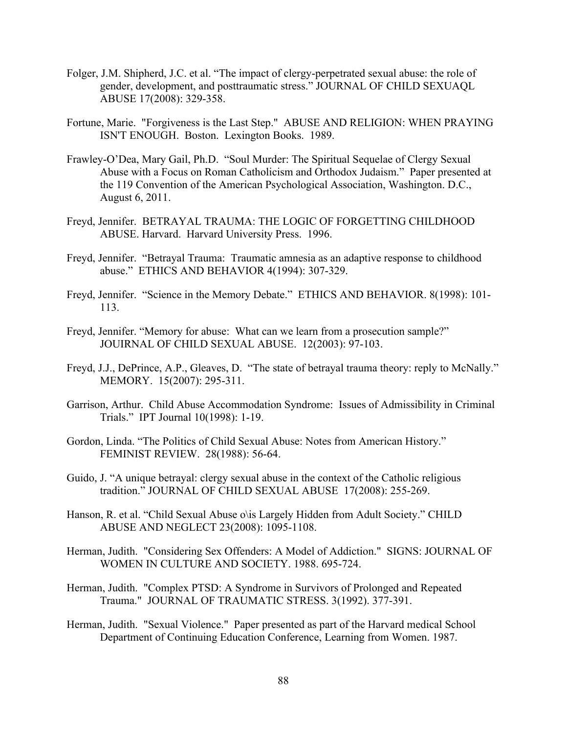- Folger, J.M. Shipherd, J.C. et al. "The impact of clergy-perpetrated sexual abuse: the role of gender, development, and posttraumatic stress." JOURNAL OF CHILD SEXUAQL ABUSE 17(2008): 329-358.
- Fortune, Marie. "Forgiveness is the Last Step." ABUSE AND RELIGION: WHEN PRAYING ISN'T ENOUGH. Boston. Lexington Books. 1989.
- Frawley-O'Dea, Mary Gail, Ph.D. "Soul Murder: The Spiritual Sequelae of Clergy Sexual Abuse with a Focus on Roman Catholicism and Orthodox Judaism." Paper presented at the 119 Convention of the American Psychological Association, Washington. D.C., August 6, 2011.
- Freyd, Jennifer. BETRAYAL TRAUMA: THE LOGIC OF FORGETTING CHILDHOOD ABUSE. Harvard. Harvard University Press. 1996.
- Freyd, Jennifer. "Betrayal Trauma: Traumatic amnesia as an adaptive response to childhood abuse." ETHICS AND BEHAVIOR 4(1994): 307-329.
- Freyd, Jennifer. "Science in the Memory Debate." ETHICS AND BEHAVIOR. 8(1998): 101- 113.
- Freyd, Jennifer. "Memory for abuse: What can we learn from a prosecution sample?" JOUIRNAL OF CHILD SEXUAL ABUSE. 12(2003): 97-103.
- Freyd, J.J., DePrince, A.P., Gleaves, D. "The state of betrayal trauma theory: reply to McNally." MEMORY. 15(2007): 295-311.
- Garrison, Arthur. Child Abuse Accommodation Syndrome: Issues of Admissibility in Criminal Trials." IPT Journal 10(1998): 1-19.
- Gordon, Linda. "The Politics of Child Sexual Abuse: Notes from American History." FEMINIST REVIEW. 28(1988): 56-64.
- Guido, J. "A unique betrayal: clergy sexual abuse in the context of the Catholic religious tradition." JOURNAL OF CHILD SEXUAL ABUSE 17(2008): 255-269.
- Hanson, R. et al. "Child Sexual Abuse o\is Largely Hidden from Adult Society." CHILD ABUSE AND NEGLECT 23(2008): 1095-1108.
- Herman, Judith. "Considering Sex Offenders: A Model of Addiction." SIGNS: JOURNAL OF WOMEN IN CULTURE AND SOCIETY. 1988. 695-724.
- Herman, Judith. "Complex PTSD: A Syndrome in Survivors of Prolonged and Repeated Trauma." JOURNAL OF TRAUMATIC STRESS. 3(1992). 377-391.
- Herman, Judith. "Sexual Violence." Paper presented as part of the Harvard medical School Department of Continuing Education Conference, Learning from Women. 1987.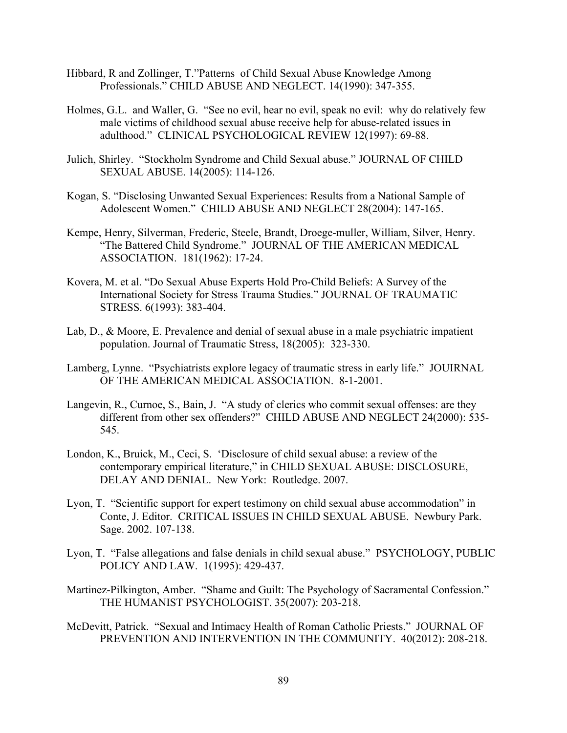- Hibbard, R and Zollinger, T."Patterns of Child Sexual Abuse Knowledge Among Professionals." CHILD ABUSE AND NEGLECT. 14(1990): 347-355.
- Holmes, G.L. and Waller, G. "See no evil, hear no evil, speak no evil: why do relatively few male victims of childhood sexual abuse receive help for abuse-related issues in adulthood." CLINICAL PSYCHOLOGICAL REVIEW 12(1997): 69-88.
- Julich, Shirley. "Stockholm Syndrome and Child Sexual abuse." JOURNAL OF CHILD SEXUAL ABUSE. 14(2005): 114-126.
- Kogan, S. "Disclosing Unwanted Sexual Experiences: Results from a National Sample of Adolescent Women." CHILD ABUSE AND NEGLECT 28(2004): 147-165.
- Kempe, Henry, Silverman, Frederic, Steele, Brandt, Droege-muller, William, Silver, Henry. "The Battered Child Syndrome." JOURNAL OF THE AMERICAN MEDICAL ASSOCIATION. 181(1962): 17-24.
- Kovera, M. et al. "Do Sexual Abuse Experts Hold Pro-Child Beliefs: A Survey of the International Society for Stress Trauma Studies." JOURNAL OF TRAUMATIC STRESS. 6(1993): 383-404.
- Lab, D., & Moore, E. Prevalence and denial of sexual abuse in a male psychiatric impatient population. Journal of Traumatic Stress, 18(2005): 323-330.
- Lamberg, Lynne. "Psychiatrists explore legacy of traumatic stress in early life." JOUIRNAL OF THE AMERICAN MEDICAL ASSOCIATION. 8-1-2001.
- Langevin, R., Curnoe, S., Bain, J. "A study of clerics who commit sexual offenses: are they different from other sex offenders?" CHILD ABUSE AND NEGLECT 24(2000): 535- 545.
- London, K., Bruick, M., Ceci, S. 'Disclosure of child sexual abuse: a review of the contemporary empirical literature," in CHILD SEXUAL ABUSE: DISCLOSURE, DELAY AND DENIAL. New York: Routledge. 2007.
- Lyon, T. "Scientific support for expert testimony on child sexual abuse accommodation" in Conte, J. Editor. CRITICAL ISSUES IN CHILD SEXUAL ABUSE. Newbury Park. Sage. 2002. 107-138.
- Lyon, T. "False allegations and false denials in child sexual abuse." PSYCHOLOGY, PUBLIC POLICY AND LAW. 1(1995): 429-437.
- Martinez-Pilkington, Amber. "Shame and Guilt: The Psychology of Sacramental Confession." THE HUMANIST PSYCHOLOGIST. 35(2007): 203-218.
- McDevitt, Patrick. "Sexual and Intimacy Health of Roman Catholic Priests." JOURNAL OF PREVENTION AND INTERVENTION IN THE COMMUNITY. 40(2012): 208-218.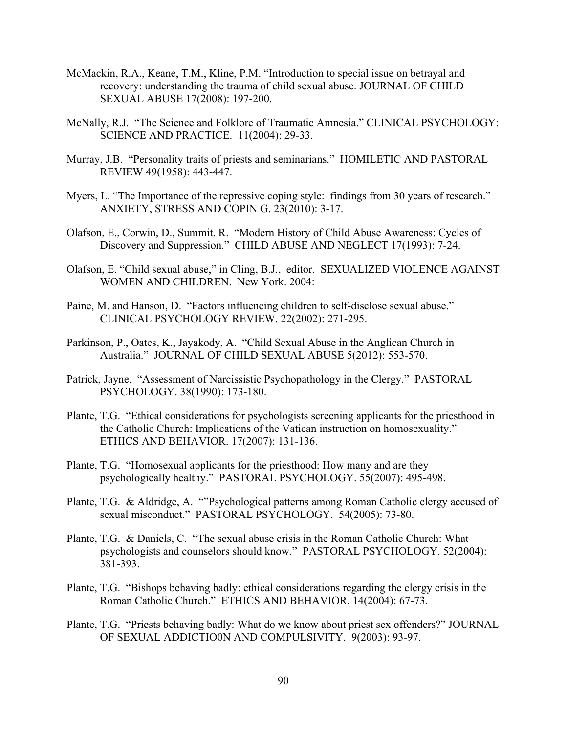- McMackin, R.A., Keane, T.M., Kline, P.M. "Introduction to special issue on betrayal and recovery: understanding the trauma of child sexual abuse. JOURNAL OF CHILD SEXUAL ABUSE 17(2008): 197-200.
- McNally, R.J. "The Science and Folklore of Traumatic Amnesia." CLINICAL PSYCHOLOGY: SCIENCE AND PRACTICE. 11(2004): 29-33.
- Murray, J.B. "Personality traits of priests and seminarians." HOMILETIC AND PASTORAL REVIEW 49(1958): 443-447.
- Myers, L. "The Importance of the repressive coping style: findings from 30 years of research." ANXIETY, STRESS AND COPIN G. 23(2010): 3-17.
- Olafson, E., Corwin, D., Summit, R. "Modern History of Child Abuse Awareness: Cycles of Discovery and Suppression." CHILD ABUSE AND NEGLECT 17(1993): 7-24.
- Olafson, E. "Child sexual abuse," in Cling, B.J., editor. SEXUALIZED VIOLENCE AGAINST WOMEN AND CHILDREN. New York. 2004:
- Paine, M. and Hanson, D. "Factors influencing children to self-disclose sexual abuse." CLINICAL PSYCHOLOGY REVIEW. 22(2002): 271-295.
- Parkinson, P., Oates, K., Jayakody, A. "Child Sexual Abuse in the Anglican Church in Australia." JOURNAL OF CHILD SEXUAL ABUSE 5(2012): 553-570.
- Patrick, Jayne. "Assessment of Narcissistic Psychopathology in the Clergy." PASTORAL PSYCHOLOGY. 38(1990): 173-180.
- Plante, T.G. "Ethical considerations for psychologists screening applicants for the priesthood in the Catholic Church: Implications of the Vatican instruction on homosexuality." ETHICS AND BEHAVIOR. 17(2007): 131-136.
- Plante, T.G. "Homosexual applicants for the priesthood: How many and are they psychologically healthy." PASTORAL PSYCHOLOGY. 55(2007): 495-498.
- Plante, T.G. & Aldridge, A. ""Psychological patterns among Roman Catholic clergy accused of sexual misconduct." PASTORAL PSYCHOLOGY. 54(2005): 73-80.
- Plante, T.G. & Daniels, C. "The sexual abuse crisis in the Roman Catholic Church: What psychologists and counselors should know." PASTORAL PSYCHOLOGY. 52(2004): 381-393.
- Plante, T.G. "Bishops behaving badly: ethical considerations regarding the clergy crisis in the Roman Catholic Church." ETHICS AND BEHAVIOR. 14(2004): 67-73.
- Plante, T.G. "Priests behaving badly: What do we know about priest sex offenders?" JOURNAL OF SEXUAL ADDICTIO0N AND COMPULSIVITY. 9(2003): 93-97.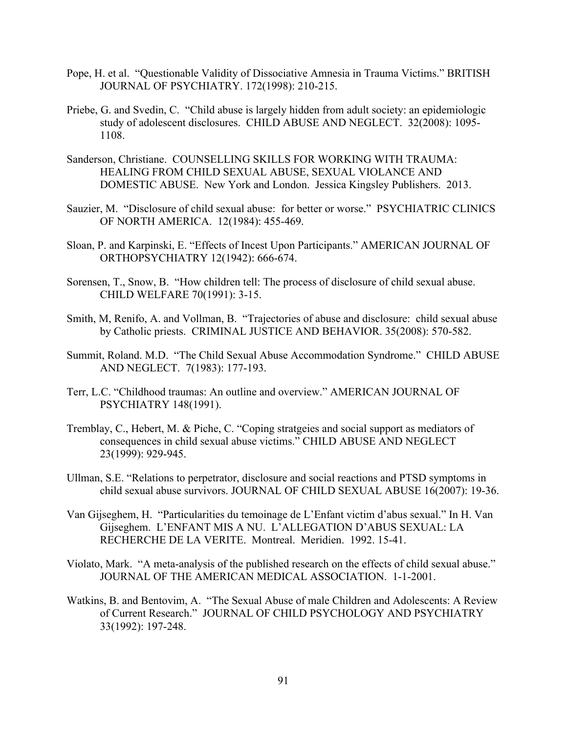- Pope, H. et al. "Questionable Validity of Dissociative Amnesia in Trauma Victims." BRITISH JOURNAL OF PSYCHIATRY. 172(1998): 210-215.
- Priebe, G. and Svedin, C. "Child abuse is largely hidden from adult society: an epidemiologic study of adolescent disclosures. CHILD ABUSE AND NEGLECT. 32(2008): 1095- 1108.
- Sanderson, Christiane. COUNSELLING SKILLS FOR WORKING WITH TRAUMA: HEALING FROM CHILD SEXUAL ABUSE, SEXUAL VIOLANCE AND DOMESTIC ABUSE. New York and London. Jessica Kingsley Publishers. 2013.
- Sauzier, M. "Disclosure of child sexual abuse: for better or worse." PSYCHIATRIC CLINICS OF NORTH AMERICA. 12(1984): 455-469.
- Sloan, P. and Karpinski, E. "Effects of Incest Upon Participants." AMERICAN JOURNAL OF ORTHOPSYCHIATRY 12(1942): 666-674.
- Sorensen, T., Snow, B. "How children tell: The process of disclosure of child sexual abuse. CHILD WELFARE 70(1991): 3-15.
- Smith, M, Renifo, A. and Vollman, B. "Trajectories of abuse and disclosure: child sexual abuse by Catholic priests. CRIMINAL JUSTICE AND BEHAVIOR. 35(2008): 570-582.
- Summit, Roland. M.D. "The Child Sexual Abuse Accommodation Syndrome." CHILD ABUSE AND NEGLECT. 7(1983): 177-193.
- Terr, L.C. "Childhood traumas: An outline and overview." AMERICAN JOURNAL OF PSYCHIATRY 148(1991).
- Tremblay, C., Hebert, M. & Piche, C. "Coping stratgeies and social support as mediators of consequences in child sexual abuse victims." CHILD ABUSE AND NEGLECT 23(1999): 929-945.
- Ullman, S.E. "Relations to perpetrator, disclosure and social reactions and PTSD symptoms in child sexual abuse survivors. JOURNAL OF CHILD SEXUAL ABUSE 16(2007): 19-36.
- Van Gijseghem, H. "Particularities du temoinage de L'Enfant victim d'abus sexual." In H. Van Gijseghem. L'ENFANT MIS A NU. L'ALLEGATION D'ABUS SEXUAL: LA RECHERCHE DE LA VERITE. Montreal. Meridien. 1992. 15-41.
- Violato, Mark. "A meta-analysis of the published research on the effects of child sexual abuse." JOURNAL OF THE AMERICAN MEDICAL ASSOCIATION. 1-1-2001.
- Watkins, B. and Bentovim, A. "The Sexual Abuse of male Children and Adolescents: A Review of Current Research." JOURNAL OF CHILD PSYCHOLOGY AND PSYCHIATRY 33(1992): 197-248.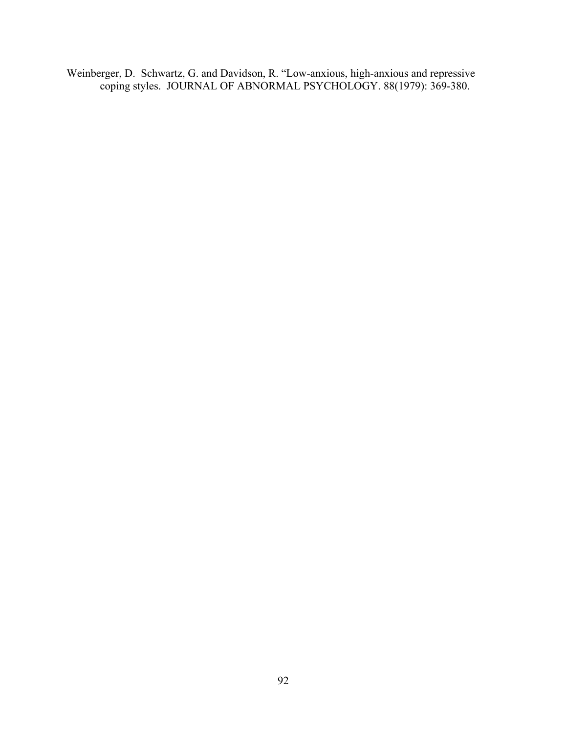Weinberger, D. Schwartz, G. and Davidson, R. "Low-anxious, high-anxious and repressive coping styles. JOURNAL OF ABNORMAL PSYCHOLOGY. 88(1979): 369-380.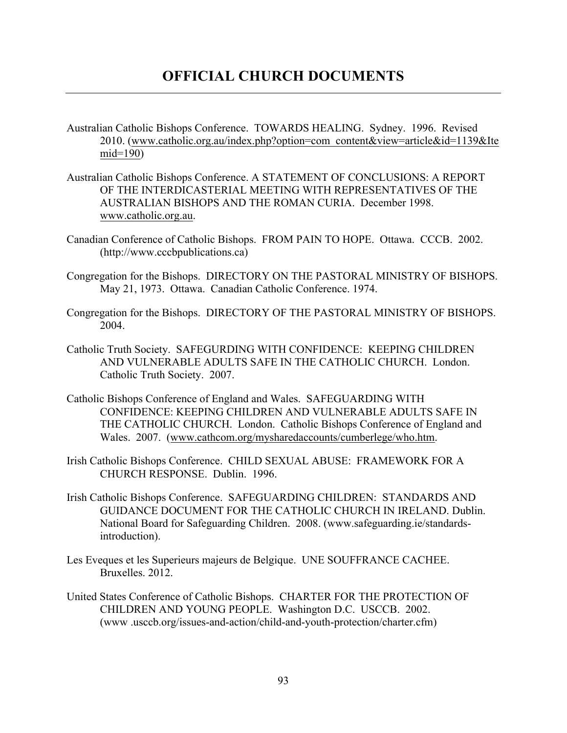- Australian Catholic Bishops Conference. TOWARDS HEALING. Sydney. 1996. Revised 2010. (www.catholic.org.au/index.php?option=com\_content&view=article&id=1139&Ite mid=190)
- Australian Catholic Bishops Conference. A STATEMENT OF CONCLUSIONS: A REPORT OF THE INTERDICASTERIAL MEETING WITH REPRESENTATIVES OF THE AUSTRALIAN BISHOPS AND THE ROMAN CURIA. December 1998. www.catholic.org.au.
- Canadian Conference of Catholic Bishops. FROM PAIN TO HOPE. Ottawa. CCCB. 2002. (http://www.cccbpublications.ca)
- Congregation for the Bishops. DIRECTORY ON THE PASTORAL MINISTRY OF BISHOPS. May 21, 1973. Ottawa. Canadian Catholic Conference. 1974.
- Congregation for the Bishops. DIRECTORY OF THE PASTORAL MINISTRY OF BISHOPS. 2004.
- Catholic Truth Society. SAFEGURDING WITH CONFIDENCE: KEEPING CHILDREN AND VULNERABLE ADULTS SAFE IN THE CATHOLIC CHURCH. London. Catholic Truth Society. 2007.
- Catholic Bishops Conference of England and Wales. SAFEGUARDING WITH CONFIDENCE: KEEPING CHILDREN AND VULNERABLE ADULTS SAFE IN THE CATHOLIC CHURCH. London. Catholic Bishops Conference of England and Wales. 2007. (www.cathcom.org/mysharedaccounts/cumberlege/who.htm.
- Irish Catholic Bishops Conference. CHILD SEXUAL ABUSE: FRAMEWORK FOR A CHURCH RESPONSE. Dublin. 1996.
- Irish Catholic Bishops Conference. SAFEGUARDING CHILDREN: STANDARDS AND GUIDANCE DOCUMENT FOR THE CATHOLIC CHURCH IN IRELAND. Dublin. National Board for Safeguarding Children. 2008. (www.safeguarding.ie/standardsintroduction).
- Les Eveques et les Superieurs majeurs de Belgique. UNE SOUFFRANCE CACHEE. Bruxelles. 2012.
- United States Conference of Catholic Bishops. CHARTER FOR THE PROTECTION OF CHILDREN AND YOUNG PEOPLE. Washington D.C. USCCB. 2002. (www .usccb.org/issues-and-action/child-and-youth-protection/charter.cfm)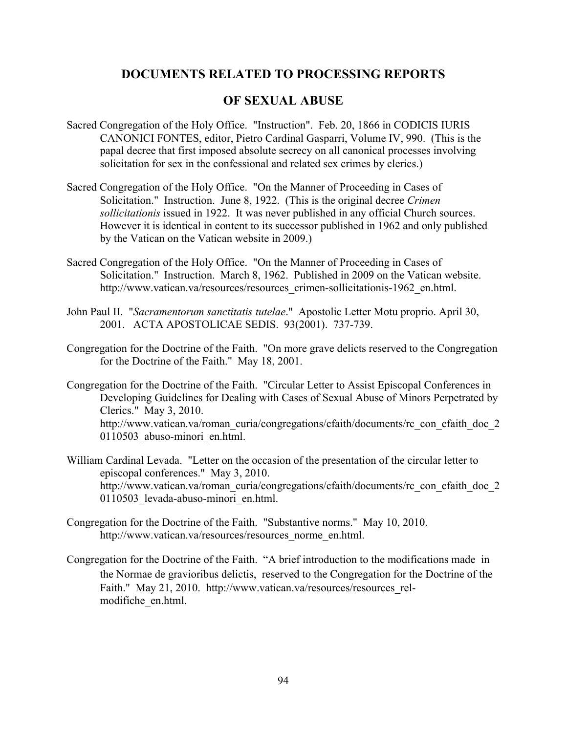## **DOCUMENTS RELATED TO PROCESSING REPORTS**

## **OF SEXUAL ABUSE**

- Sacred Congregation of the Holy Office. "Instruction". Feb. 20, 1866 in CODICIS IURIS CANONICI FONTES, editor, Pietro Cardinal Gasparri, Volume IV, 990. (This is the papal decree that first imposed absolute secrecy on all canonical processes involving solicitation for sex in the confessional and related sex crimes by clerics.)
- Sacred Congregation of the Holy Office. "On the Manner of Proceeding in Cases of Solicitation." Instruction. June 8, 1922. (This is the original decree *Crimen sollicitationis* issued in 1922. It was never published in any official Church sources. However it is identical in content to its successor published in 1962 and only published by the Vatican on the Vatican website in 2009.)
- Sacred Congregation of the Holy Office. "On the Manner of Proceeding in Cases of Solicitation." Instruction. March 8, 1962. Published in 2009 on the Vatican website. http://www.vatican.va/resources/resources\_crimen-sollicitationis-1962\_en.html.
- John Paul II. "*Sacramentorum sanctitatis tutelae*." Apostolic Letter Motu proprio. April 30, 2001. ACTA APOSTOLICAE SEDIS. 93(2001). 737-739.
- Congregation for the Doctrine of the Faith. "On more grave delicts reserved to the Congregation for the Doctrine of the Faith." May 18, 2001.
- Congregation for the Doctrine of the Faith. "Circular Letter to Assist Episcopal Conferences in Developing Guidelines for Dealing with Cases of Sexual Abuse of Minors Perpetrated by Clerics." May 3, 2010. http://www.vatican.va/roman\_curia/congregations/cfaith/documents/rc\_con\_cfaith\_doc\_2 0110503\_abuso-minori\_en.html.
- William Cardinal Levada. "Letter on the occasion of the presentation of the circular letter to episcopal conferences." May 3, 2010. http://www.vatican.va/roman\_curia/congregations/cfaith/documents/rc\_con\_cfaith\_doc\_2 0110503\_levada-abuso-minori\_en.html.
- Congregation for the Doctrine of the Faith. "Substantive norms." May 10, 2010. http://www.vatican.va/resources/resources\_norme\_en.html.
- Congregation for the Doctrine of the Faith. "A brief introduction to the modifications made in the Normae de gravioribus delictis, reserved to the Congregation for the Doctrine of the Faith." May 21, 2010. http://www.vatican.va/resources/resources relmodifiche\_en.html.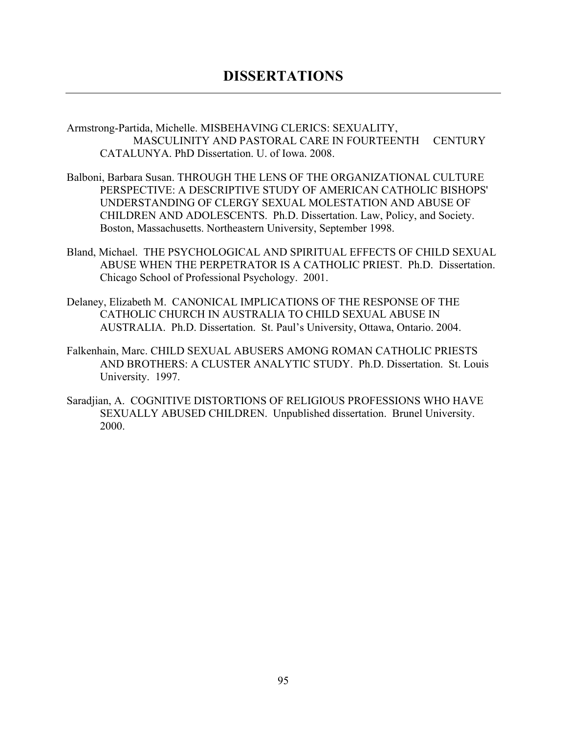Armstrong-Partida, Michelle. MISBEHAVING CLERICS: SEXUALITY, MASCULINITY AND PASTORAL CARE IN FOURTEENTH CENTURY CATALUNYA. PhD Dissertation. U. of Iowa. 2008.

- Balboni, Barbara Susan. THROUGH THE LENS OF THE ORGANIZATIONAL CULTURE PERSPECTIVE: A DESCRIPTIVE STUDY OF AMERICAN CATHOLIC BISHOPS' UNDERSTANDING OF CLERGY SEXUAL MOLESTATION AND ABUSE OF CHILDREN AND ADOLESCENTS. Ph.D. Dissertation. Law, Policy, and Society. Boston, Massachusetts. Northeastern University, September 1998.
- Bland, Michael. THE PSYCHOLOGICAL AND SPIRITUAL EFFECTS OF CHILD SEXUAL ABUSE WHEN THE PERPETRATOR IS A CATHOLIC PRIEST. Ph.D. Dissertation. Chicago School of Professional Psychology. 2001.
- Delaney, Elizabeth M. CANONICAL IMPLICATIONS OF THE RESPONSE OF THE CATHOLIC CHURCH IN AUSTRALIA TO CHILD SEXUAL ABUSE IN AUSTRALIA. Ph.D. Dissertation. St. Paul's University, Ottawa, Ontario. 2004.
- Falkenhain, Marc. CHILD SEXUAL ABUSERS AMONG ROMAN CATHOLIC PRIESTS AND BROTHERS: A CLUSTER ANALYTIC STUDY. Ph.D. Dissertation. St. Louis University. 1997.
- Saradjian, A. COGNITIVE DISTORTIONS OF RELIGIOUS PROFESSIONS WHO HAVE SEXUALLY ABUSED CHILDREN. Unpublished dissertation. Brunel University. 2000.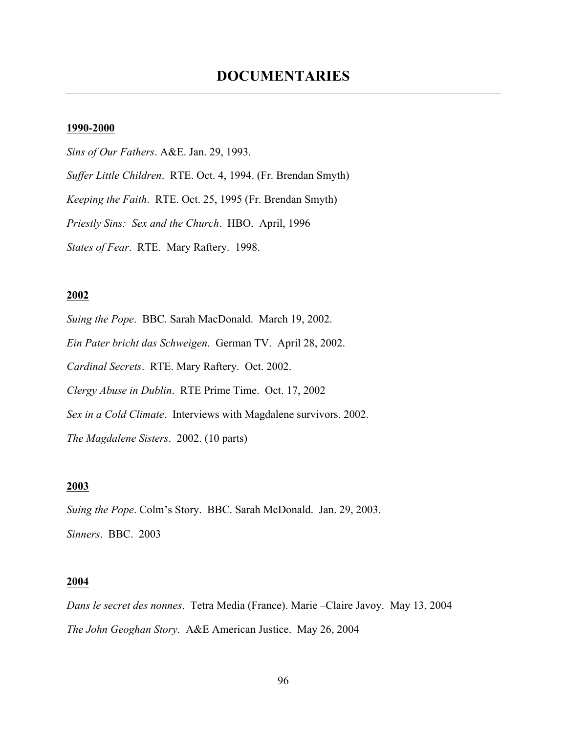### **1990-2000**

*Sins of Our Fathers*. A&E. Jan. 29, 1993. *Suffer Little Children*. RTE. Oct. 4, 1994. (Fr. Brendan Smyth) *Keeping the Faith*. RTE. Oct. 25, 1995 (Fr. Brendan Smyth) *Priestly Sins: Sex and the Church*. HBO. April, 1996 *States of Fear*. RTE. Mary Raftery. 1998.

### **2002**

*Suing the Pope*. BBC. Sarah MacDonald. March 19, 2002. *Ein Pater bricht das Schweigen*. German TV. April 28, 2002. *Cardinal Secrets*. RTE. Mary Raftery. Oct. 2002. *Clergy Abuse in Dublin*. RTE Prime Time. Oct. 17, 2002 *Sex in a Cold Climate*. Interviews with Magdalene survivors. 2002. *The Magdalene Sisters*. 2002. (10 parts)

### **2003**

*Suing the Pope*. Colm's Story. BBC. Sarah McDonald. Jan. 29, 2003. *Sinners*. BBC. 2003

### **2004**

*Dans le secret des nonnes*. Tetra Media (France). Marie –Claire Javoy. May 13, 2004 *The John Geoghan Story*. A&E American Justice. May 26, 2004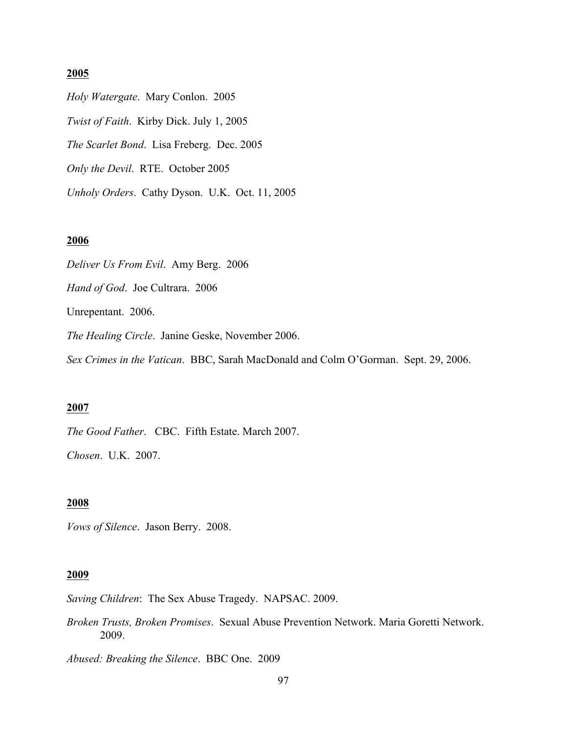### **2005**

*Holy Watergate*. Mary Conlon. 2005 *Twist of Faith*. Kirby Dick. July 1, 2005 *The Scarlet Bond*. Lisa Freberg. Dec. 2005 *Only the Devil*. RTE. October 2005 *Unholy Orders*. Cathy Dyson. U.K. Oct. 11, 2005

### **2006**

*Deliver Us From Evil*. Amy Berg. 2006 *Hand of God*. Joe Cultrara. 2006 Unrepentant. 2006. *The Healing Circle*. Janine Geske, November 2006. *Sex Crimes in the Vatican*. BBC, Sarah MacDonald and Colm O'Gorman. Sept. 29, 2006.

### **2007**

*The Good Father*. CBC. Fifth Estate. March 2007.

*Chosen*. U.K. 2007.

### **2008**

*Vows of Silence*. Jason Berry. 2008.

#### **2009**

*Saving Children*: The Sex Abuse Tragedy. NAPSAC. 2009.

*Broken Trusts, Broken Promises*. Sexual Abuse Prevention Network. Maria Goretti Network. 2009.

*Abused: Breaking the Silence*. BBC One. 2009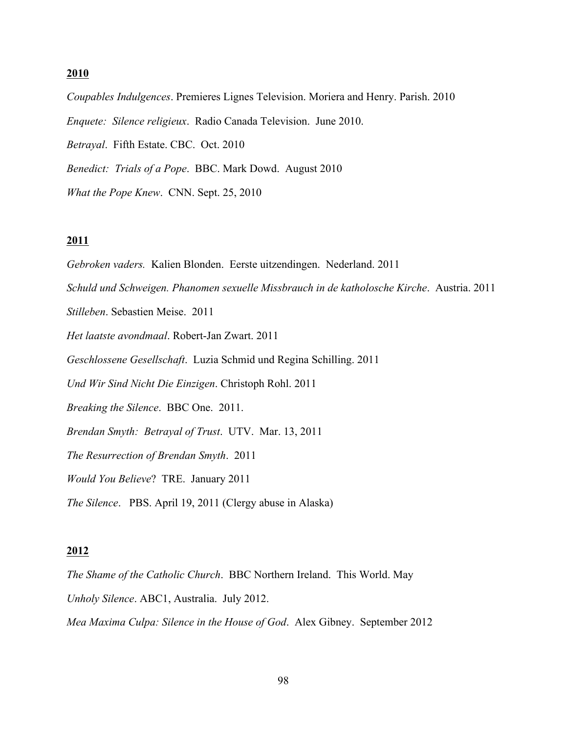#### **2010**

*Coupables Indulgences*. Premieres Lignes Television. Moriera and Henry. Parish. 2010 *Enquete: Silence religieux*. Radio Canada Television. June 2010. *Betrayal*. Fifth Estate. CBC. Oct. 2010 *Benedict: Trials of a Pope*. BBC. Mark Dowd. August 2010 *What the Pope Knew*. CNN. Sept. 25, 2010

### **2011**

*Gebroken vaders.* Kalien Blonden. Eerste uitzendingen. Nederland. 2011 *Schuld und Schweigen. Phanomen sexuelle Missbrauch in de katholosche Kirche*. Austria. 2011 *Stilleben*. Sebastien Meise. 2011 *Het laatste avondmaal*. Robert-Jan Zwart. 2011 *Geschlossene Gesellschaft*. Luzia Schmid und Regina Schilling. 2011 *Und Wir Sind Nicht Die Einzigen*. Christoph Rohl. 2011 *Breaking the Silence*. BBC One. 2011. *Brendan Smyth: Betrayal of Trust*. UTV. Mar. 13, 2011 *The Resurrection of Brendan Smyth*. 2011 *Would You Believe*? TRE. January 2011 *The Silence*. PBS. April 19, 2011 (Clergy abuse in Alaska)

#### **2012**

*The Shame of the Catholic Church*. BBC Northern Ireland. This World. May *Unholy Silence*. ABC1, Australia. July 2012.

*Mea Maxima Culpa: Silence in the House of God*. Alex Gibney. September 2012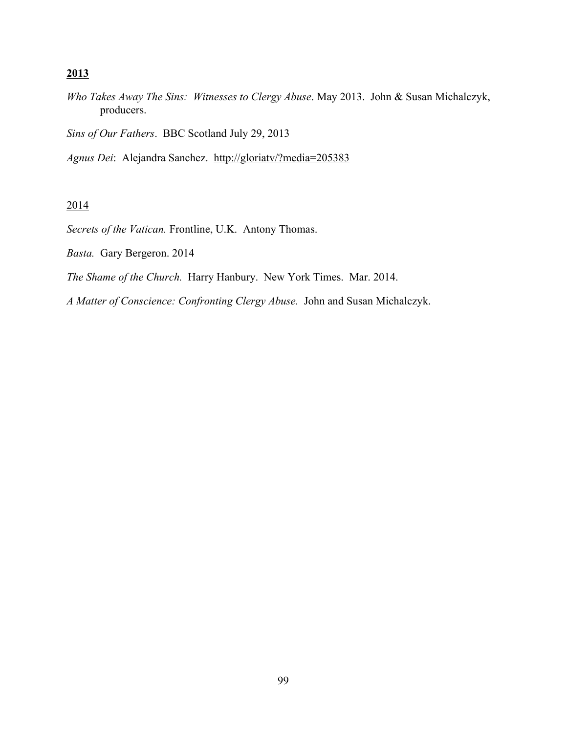### **2013**

*Who Takes Away The Sins: Witnesses to Clergy Abuse*. May 2013. John & Susan Michalczyk, producers.

*Sins of Our Fathers*. BBC Scotland July 29, 2013

*Agnus Dei*: Alejandra Sanchez. http://gloriatv/?media=205383

## 2014

*Secrets of the Vatican.* Frontline, U.K. Antony Thomas.

*Basta.* Gary Bergeron. 2014

*The Shame of the Church.* Harry Hanbury. New York Times. Mar. 2014.

*A Matter of Conscience: Confronting Clergy Abuse.* John and Susan Michalczyk.